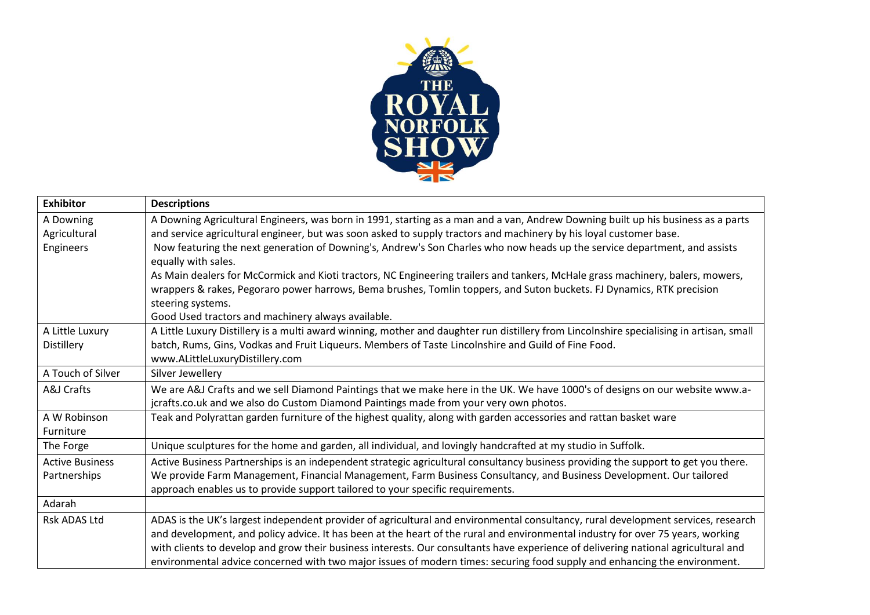

| <b>Exhibitor</b>       |                                                                                                                                          |
|------------------------|------------------------------------------------------------------------------------------------------------------------------------------|
|                        | <b>Descriptions</b>                                                                                                                      |
| A Downing              | A Downing Agricultural Engineers, was born in 1991, starting as a man and a van, Andrew Downing built up his business as a parts         |
| Agricultural           | and service agricultural engineer, but was soon asked to supply tractors and machinery by his loyal customer base.                       |
| Engineers              | Now featuring the next generation of Downing's, Andrew's Son Charles who now heads up the service department, and assists                |
|                        | equally with sales.                                                                                                                      |
|                        | As Main dealers for McCormick and Kioti tractors, NC Engineering trailers and tankers, McHale grass machinery, balers, mowers,           |
|                        | wrappers & rakes, Pegoraro power harrows, Bema brushes, Tomlin toppers, and Suton buckets. FJ Dynamics, RTK precision                    |
|                        | steering systems.                                                                                                                        |
|                        | Good Used tractors and machinery always available.                                                                                       |
| A Little Luxury        | A Little Luxury Distillery is a multi award winning, mother and daughter run distillery from Lincolnshire specialising in artisan, small |
| Distillery             | batch, Rums, Gins, Vodkas and Fruit Liqueurs. Members of Taste Lincolnshire and Guild of Fine Food.                                      |
|                        | www.ALittleLuxuryDistillery.com                                                                                                          |
| A Touch of Silver      | Silver Jewellery                                                                                                                         |
| A&J Crafts             | We are A&J Crafts and we sell Diamond Paintings that we make here in the UK. We have 1000's of designs on our website www.a-             |
|                        | jcrafts.co.uk and we also do Custom Diamond Paintings made from your very own photos.                                                    |
| A W Robinson           | Teak and Polyrattan garden furniture of the highest quality, along with garden accessories and rattan basket ware                        |
| Furniture              |                                                                                                                                          |
| The Forge              | Unique sculptures for the home and garden, all individual, and lovingly handcrafted at my studio in Suffolk.                             |
| <b>Active Business</b> | Active Business Partnerships is an independent strategic agricultural consultancy business providing the support to get you there.       |
| Partnerships           | We provide Farm Management, Financial Management, Farm Business Consultancy, and Business Development. Our tailored                      |
|                        | approach enables us to provide support tailored to your specific requirements.                                                           |
| Adarah                 |                                                                                                                                          |
| <b>Rsk ADAS Ltd</b>    | ADAS is the UK's largest independent provider of agricultural and environmental consultancy, rural development services, research        |
|                        | and development, and policy advice. It has been at the heart of the rural and environmental industry for over 75 years, working          |
|                        | with clients to develop and grow their business interests. Our consultants have experience of delivering national agricultural and       |
|                        | environmental advice concerned with two major issues of modern times: securing food supply and enhancing the environment.                |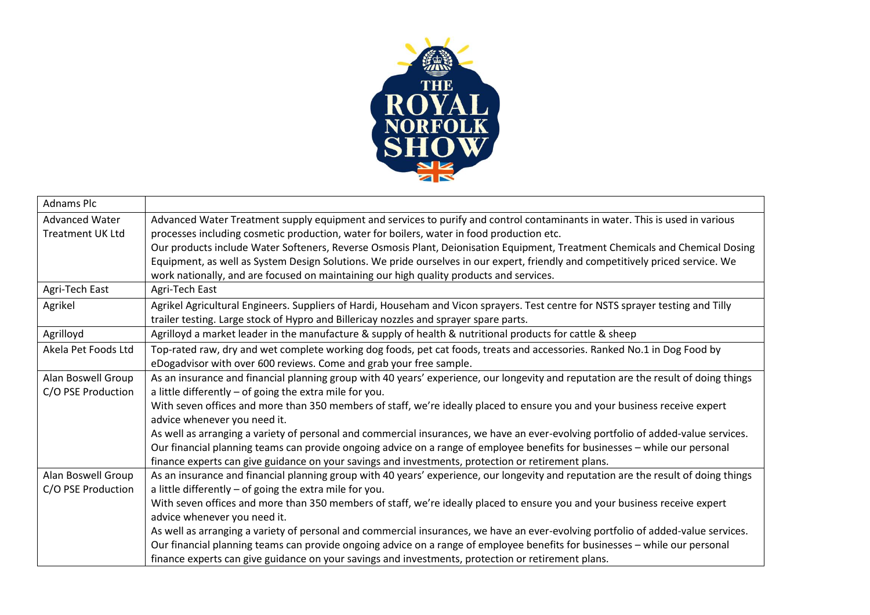

| <b>Adnams Plc</b>       |                                                                                                                                     |
|-------------------------|-------------------------------------------------------------------------------------------------------------------------------------|
| <b>Advanced Water</b>   | Advanced Water Treatment supply equipment and services to purify and control contaminants in water. This is used in various         |
| <b>Treatment UK Ltd</b> | processes including cosmetic production, water for boilers, water in food production etc.                                           |
|                         | Our products include Water Softeners, Reverse Osmosis Plant, Deionisation Equipment, Treatment Chemicals and Chemical Dosing        |
|                         | Equipment, as well as System Design Solutions. We pride ourselves in our expert, friendly and competitively priced service. We      |
|                         | work nationally, and are focused on maintaining our high quality products and services.                                             |
| Agri-Tech East          | Agri-Tech East                                                                                                                      |
| Agrikel                 | Agrikel Agricultural Engineers. Suppliers of Hardi, Househam and Vicon sprayers. Test centre for NSTS sprayer testing and Tilly     |
|                         | trailer testing. Large stock of Hypro and Billericay nozzles and sprayer spare parts.                                               |
| Agrilloyd               | Agrilloyd a market leader in the manufacture & supply of health & nutritional products for cattle & sheep                           |
| Akela Pet Foods Ltd     | Top-rated raw, dry and wet complete working dog foods, pet cat foods, treats and accessories. Ranked No.1 in Dog Food by            |
|                         | eDogadvisor with over 600 reviews. Come and grab your free sample.                                                                  |
| Alan Boswell Group      | As an insurance and financial planning group with 40 years' experience, our longevity and reputation are the result of doing things |
| C/O PSE Production      | a little differently - of going the extra mile for you.                                                                             |
|                         | With seven offices and more than 350 members of staff, we're ideally placed to ensure you and your business receive expert          |
|                         | advice whenever you need it.                                                                                                        |
|                         | As well as arranging a variety of personal and commercial insurances, we have an ever-evolving portfolio of added-value services.   |
|                         | Our financial planning teams can provide ongoing advice on a range of employee benefits for businesses - while our personal         |
|                         | finance experts can give guidance on your savings and investments, protection or retirement plans.                                  |
| Alan Boswell Group      | As an insurance and financial planning group with 40 years' experience, our longevity and reputation are the result of doing things |
| C/O PSE Production      | a little differently $-$ of going the extra mile for you.                                                                           |
|                         | With seven offices and more than 350 members of staff, we're ideally placed to ensure you and your business receive expert          |
|                         | advice whenever you need it.                                                                                                        |
|                         | As well as arranging a variety of personal and commercial insurances, we have an ever-evolving portfolio of added-value services.   |
|                         | Our financial planning teams can provide ongoing advice on a range of employee benefits for businesses - while our personal         |
|                         | finance experts can give guidance on your savings and investments, protection or retirement plans.                                  |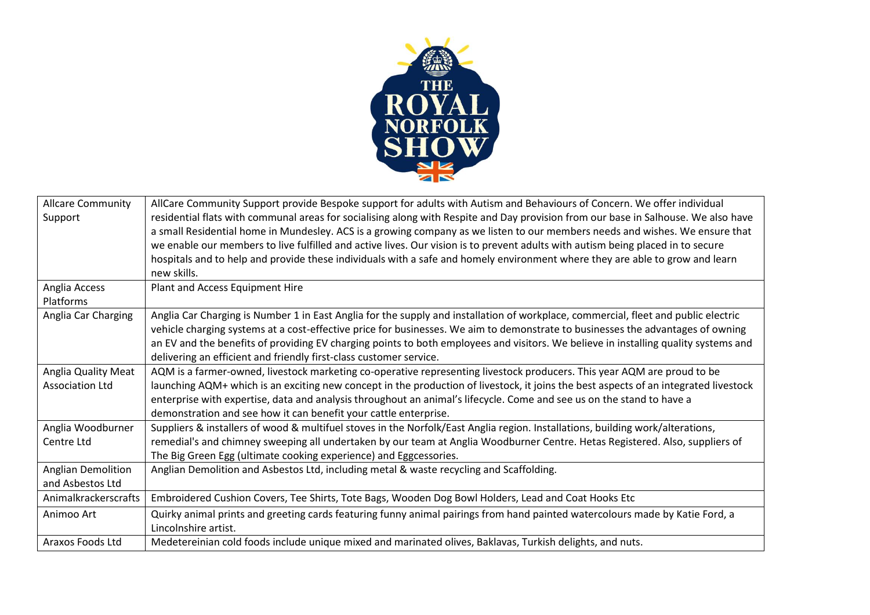

| <b>Allcare Community</b><br>Support           | AllCare Community Support provide Bespoke support for adults with Autism and Behaviours of Concern. We offer individual<br>residential flats with communal areas for socialising along with Respite and Day provision from our base in Salhouse. We also have<br>a small Residential home in Mundesley. ACS is a growing company as we listen to our members needs and wishes. We ensure that<br>we enable our members to live fulfilled and active lives. Our vision is to prevent adults with autism being placed in to secure<br>hospitals and to help and provide these individuals with a safe and homely environment where they are able to grow and learn<br>new skills. |
|-----------------------------------------------|---------------------------------------------------------------------------------------------------------------------------------------------------------------------------------------------------------------------------------------------------------------------------------------------------------------------------------------------------------------------------------------------------------------------------------------------------------------------------------------------------------------------------------------------------------------------------------------------------------------------------------------------------------------------------------|
| Anglia Access<br>Platforms                    | Plant and Access Equipment Hire                                                                                                                                                                                                                                                                                                                                                                                                                                                                                                                                                                                                                                                 |
| Anglia Car Charging                           | Anglia Car Charging is Number 1 in East Anglia for the supply and installation of workplace, commercial, fleet and public electric<br>vehicle charging systems at a cost-effective price for businesses. We aim to demonstrate to businesses the advantages of owning<br>an EV and the benefits of providing EV charging points to both employees and visitors. We believe in installing quality systems and<br>delivering an efficient and friendly first-class customer service.                                                                                                                                                                                              |
| Anglia Quality Meat<br><b>Association Ltd</b> | AQM is a farmer-owned, livestock marketing co-operative representing livestock producers. This year AQM are proud to be<br>launching AQM+ which is an exciting new concept in the production of livestock, it joins the best aspects of an integrated livestock<br>enterprise with expertise, data and analysis throughout an animal's lifecycle. Come and see us on the stand to have a<br>demonstration and see how it can benefit your cattle enterprise.                                                                                                                                                                                                                    |
| Anglia Woodburner<br>Centre Ltd               | Suppliers & installers of wood & multifuel stoves in the Norfolk/East Anglia region. Installations, building work/alterations,<br>remedial's and chimney sweeping all undertaken by our team at Anglia Woodburner Centre. Hetas Registered. Also, suppliers of<br>The Big Green Egg (ultimate cooking experience) and Eggcessories.                                                                                                                                                                                                                                                                                                                                             |
| <b>Anglian Demolition</b><br>and Asbestos Ltd | Anglian Demolition and Asbestos Ltd, including metal & waste recycling and Scaffolding.                                                                                                                                                                                                                                                                                                                                                                                                                                                                                                                                                                                         |
| Animalkrackerscrafts                          | Embroidered Cushion Covers, Tee Shirts, Tote Bags, Wooden Dog Bowl Holders, Lead and Coat Hooks Etc                                                                                                                                                                                                                                                                                                                                                                                                                                                                                                                                                                             |
| Animoo Art                                    | Quirky animal prints and greeting cards featuring funny animal pairings from hand painted watercolours made by Katie Ford, a<br>Lincolnshire artist.                                                                                                                                                                                                                                                                                                                                                                                                                                                                                                                            |
| Araxos Foods Ltd                              | Medetereinian cold foods include unique mixed and marinated olives, Baklavas, Turkish delights, and nuts.                                                                                                                                                                                                                                                                                                                                                                                                                                                                                                                                                                       |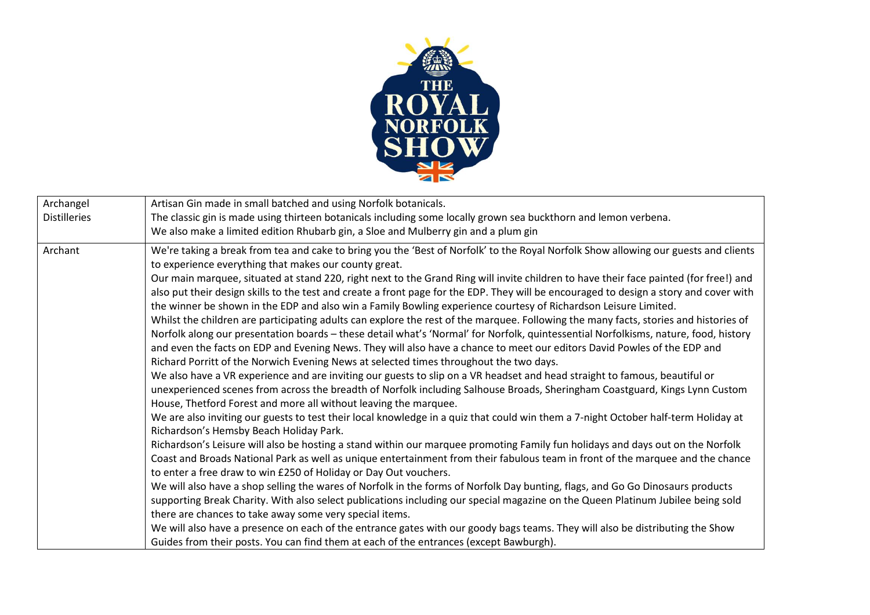

| Archangel<br><b>Distilleries</b> | Artisan Gin made in small batched and using Norfolk botanicals.<br>The classic gin is made using thirteen botanicals including some locally grown sea buckthorn and lemon verbena.                                                                                                                                                                                                                                                                                                                                                                                                                                                                                                                                                                                                                                                                                                                                                                                      |
|----------------------------------|-------------------------------------------------------------------------------------------------------------------------------------------------------------------------------------------------------------------------------------------------------------------------------------------------------------------------------------------------------------------------------------------------------------------------------------------------------------------------------------------------------------------------------------------------------------------------------------------------------------------------------------------------------------------------------------------------------------------------------------------------------------------------------------------------------------------------------------------------------------------------------------------------------------------------------------------------------------------------|
| Archant                          | We also make a limited edition Rhubarb gin, a Sloe and Mulberry gin and a plum gin<br>We're taking a break from tea and cake to bring you the 'Best of Norfolk' to the Royal Norfolk Show allowing our guests and clients<br>to experience everything that makes our county great.<br>Our main marquee, situated at stand 220, right next to the Grand Ring will invite children to have their face painted (for free!) and<br>also put their design skills to the test and create a front page for the EDP. They will be encouraged to design a story and cover with<br>the winner be shown in the EDP and also win a Family Bowling experience courtesy of Richardson Leisure Limited.<br>Whilst the children are participating adults can explore the rest of the marquee. Following the many facts, stories and histories of<br>Norfolk along our presentation boards - these detail what's 'Normal' for Norfolk, quintessential Norfolkisms, nature, food, history |
|                                  | and even the facts on EDP and Evening News. They will also have a chance to meet our editors David Powles of the EDP and<br>Richard Porritt of the Norwich Evening News at selected times throughout the two days.<br>We also have a VR experience and are inviting our guests to slip on a VR headset and head straight to famous, beautiful or<br>unexperienced scenes from across the breadth of Norfolk including Salhouse Broads, Sheringham Coastguard, Kings Lynn Custom<br>House, Thetford Forest and more all without leaving the marquee.<br>We are also inviting our guests to test their local knowledge in a quiz that could win them a 7-night October half-term Holiday at<br>Richardson's Hemsby Beach Holiday Park.                                                                                                                                                                                                                                    |
|                                  | Richardson's Leisure will also be hosting a stand within our marquee promoting Family fun holidays and days out on the Norfolk<br>Coast and Broads National Park as well as unique entertainment from their fabulous team in front of the marquee and the chance<br>to enter a free draw to win £250 of Holiday or Day Out vouchers.<br>We will also have a shop selling the wares of Norfolk in the forms of Norfolk Day bunting, flags, and Go Go Dinosaurs products<br>supporting Break Charity. With also select publications including our special magazine on the Queen Platinum Jubilee being sold<br>there are chances to take away some very special items.<br>We will also have a presence on each of the entrance gates with our goody bags teams. They will also be distributing the Show<br>Guides from their posts. You can find them at each of the entrances (except Bawburgh).                                                                         |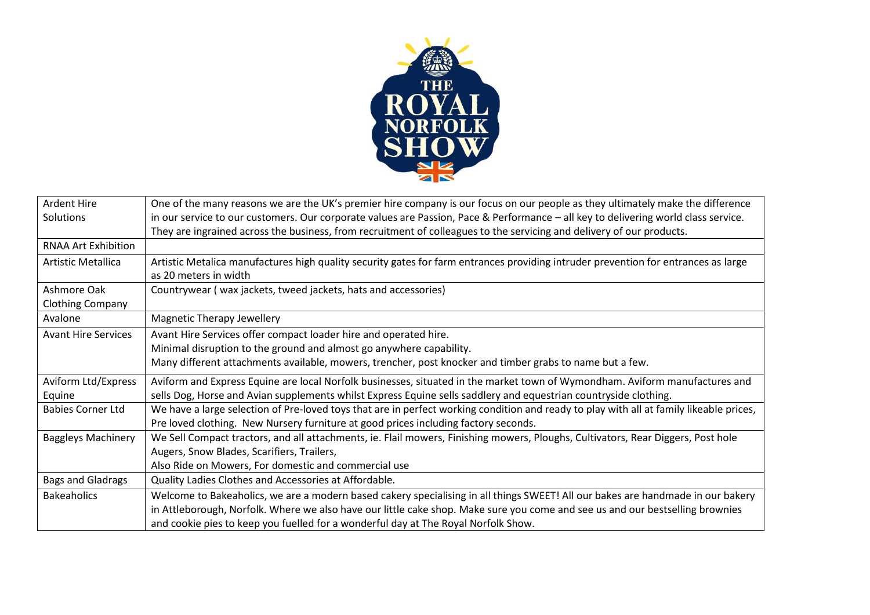

| <b>Ardent Hire</b>         | One of the many reasons we are the UK's premier hire company is our focus on our people as they ultimately make the difference          |
|----------------------------|-----------------------------------------------------------------------------------------------------------------------------------------|
| Solutions                  | in our service to our customers. Our corporate values are Passion, Pace & Performance - all key to delivering world class service.      |
|                            | They are ingrained across the business, from recruitment of colleagues to the servicing and delivery of our products.                   |
| RNAA Art Exhibition        |                                                                                                                                         |
| Artistic Metallica         | Artistic Metalica manufactures high quality security gates for farm entrances providing intruder prevention for entrances as large      |
|                            | as 20 meters in width                                                                                                                   |
| Ashmore Oak                | Countrywear (wax jackets, tweed jackets, hats and accessories)                                                                          |
| <b>Clothing Company</b>    |                                                                                                                                         |
| Avalone                    | <b>Magnetic Therapy Jewellery</b>                                                                                                       |
| <b>Avant Hire Services</b> | Avant Hire Services offer compact loader hire and operated hire.                                                                        |
|                            | Minimal disruption to the ground and almost go anywhere capability.                                                                     |
|                            | Many different attachments available, mowers, trencher, post knocker and timber grabs to name but a few.                                |
| Aviform Ltd/Express        | Aviform and Express Equine are local Norfolk businesses, situated in the market town of Wymondham. Aviform manufactures and             |
| Equine                     | sells Dog, Horse and Avian supplements whilst Express Equine sells saddlery and equestrian countryside clothing.                        |
| <b>Babies Corner Ltd</b>   | We have a large selection of Pre-loved toys that are in perfect working condition and ready to play with all at family likeable prices, |
|                            | Pre loved clothing. New Nursery furniture at good prices including factory seconds.                                                     |
| <b>Baggleys Machinery</b>  | We Sell Compact tractors, and all attachments, ie. Flail mowers, Finishing mowers, Ploughs, Cultivators, Rear Diggers, Post hole        |
|                            | Augers, Snow Blades, Scarifiers, Trailers,                                                                                              |
|                            | Also Ride on Mowers, For domestic and commercial use                                                                                    |
| <b>Bags and Gladrags</b>   | Quality Ladies Clothes and Accessories at Affordable.                                                                                   |
| <b>Bakeaholics</b>         | Welcome to Bakeaholics, we are a modern based cakery specialising in all things SWEET! All our bakes are handmade in our bakery         |
|                            | in Attleborough, Norfolk. Where we also have our little cake shop. Make sure you come and see us and our bestselling brownies           |
|                            | and cookie pies to keep you fuelled for a wonderful day at The Royal Norfolk Show.                                                      |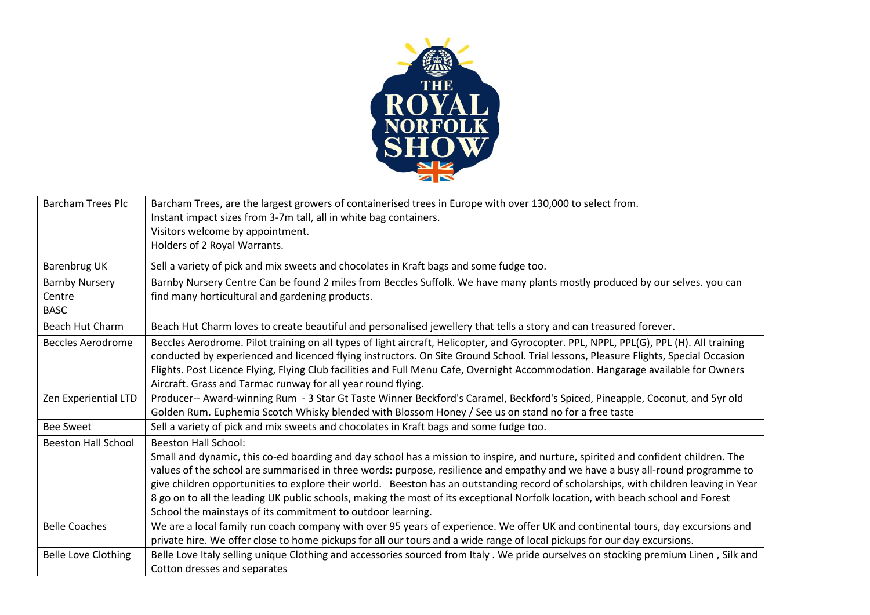

| <b>Barcham Trees Plc</b>   | Barcham Trees, are the largest growers of containerised trees in Europe with over 130,000 to select from.                              |
|----------------------------|----------------------------------------------------------------------------------------------------------------------------------------|
|                            | Instant impact sizes from 3-7m tall, all in white bag containers.                                                                      |
|                            | Visitors welcome by appointment.                                                                                                       |
|                            | Holders of 2 Royal Warrants.                                                                                                           |
| Barenbrug UK               | Sell a variety of pick and mix sweets and chocolates in Kraft bags and some fudge too.                                                 |
| <b>Barnby Nursery</b>      | Barnby Nursery Centre Can be found 2 miles from Beccles Suffolk. We have many plants mostly produced by our selves. you can            |
| Centre                     | find many horticultural and gardening products.                                                                                        |
| <b>BASC</b>                |                                                                                                                                        |
| <b>Beach Hut Charm</b>     | Beach Hut Charm loves to create beautiful and personalised jewellery that tells a story and can treasured forever.                     |
| <b>Beccles Aerodrome</b>   | Beccles Aerodrome. Pilot training on all types of light aircraft, Helicopter, and Gyrocopter. PPL, NPPL, PPL(G), PPL (H). All training |
|                            | conducted by experienced and licenced flying instructors. On Site Ground School. Trial lessons, Pleasure Flights, Special Occasion     |
|                            | Flights. Post Licence Flying, Flying Club facilities and Full Menu Cafe, Overnight Accommodation. Hangarage available for Owners       |
|                            | Aircraft. Grass and Tarmac runway for all year round flying.                                                                           |
| Zen Experiential LTD       | Producer-- Award-winning Rum - 3 Star Gt Taste Winner Beckford's Caramel, Beckford's Spiced, Pineapple, Coconut, and 5yr old           |
|                            | Golden Rum. Euphemia Scotch Whisky blended with Blossom Honey / See us on stand no for a free taste                                    |
| <b>Bee Sweet</b>           | Sell a variety of pick and mix sweets and chocolates in Kraft bags and some fudge too.                                                 |
| <b>Beeston Hall School</b> | <b>Beeston Hall School:</b>                                                                                                            |
|                            | Small and dynamic, this co-ed boarding and day school has a mission to inspire, and nurture, spirited and confident children. The      |
|                            | values of the school are summarised in three words: purpose, resilience and empathy and we have a busy all-round programme to          |
|                            | give children opportunities to explore their world. Beeston has an outstanding record of scholarships, with children leaving in Year   |
|                            | 8 go on to all the leading UK public schools, making the most of its exceptional Norfolk location, with beach school and Forest        |
|                            | School the mainstays of its commitment to outdoor learning.                                                                            |
| <b>Belle Coaches</b>       | We are a local family run coach company with over 95 years of experience. We offer UK and continental tours, day excursions and        |
|                            | private hire. We offer close to home pickups for all our tours and a wide range of local pickups for our day excursions.               |
| <b>Belle Love Clothing</b> | Belle Love Italy selling unique Clothing and accessories sourced from Italy. We pride ourselves on stocking premium Linen, Silk and    |
|                            | Cotton dresses and separates                                                                                                           |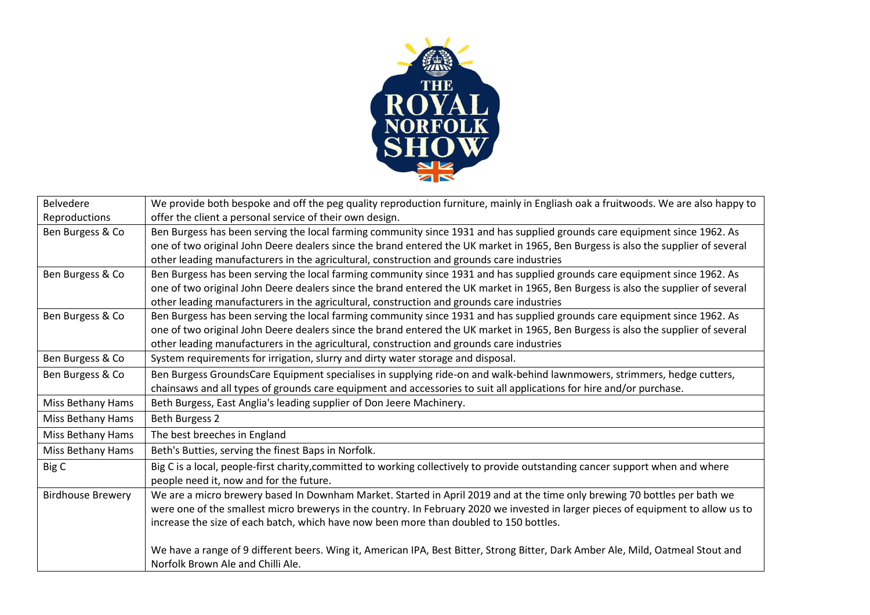

| <b>Belvedere</b>         | We provide both bespoke and off the peg quality reproduction furniture, mainly in Engliash oak a fruitwoods. We are also happy to |
|--------------------------|-----------------------------------------------------------------------------------------------------------------------------------|
| Reproductions            | offer the client a personal service of their own design.                                                                          |
| Ben Burgess & Co         | Ben Burgess has been serving the local farming community since 1931 and has supplied grounds care equipment since 1962. As        |
|                          | one of two original John Deere dealers since the brand entered the UK market in 1965, Ben Burgess is also the supplier of several |
|                          | other leading manufacturers in the agricultural, construction and grounds care industries                                         |
| Ben Burgess & Co         | Ben Burgess has been serving the local farming community since 1931 and has supplied grounds care equipment since 1962. As        |
|                          | one of two original John Deere dealers since the brand entered the UK market in 1965, Ben Burgess is also the supplier of several |
|                          | other leading manufacturers in the agricultural, construction and grounds care industries                                         |
| Ben Burgess & Co         | Ben Burgess has been serving the local farming community since 1931 and has supplied grounds care equipment since 1962. As        |
|                          | one of two original John Deere dealers since the brand entered the UK market in 1965, Ben Burgess is also the supplier of several |
|                          | other leading manufacturers in the agricultural, construction and grounds care industries                                         |
| Ben Burgess & Co         | System requirements for irrigation, slurry and dirty water storage and disposal.                                                  |
| Ben Burgess & Co         | Ben Burgess GroundsCare Equipment specialises in supplying ride-on and walk-behind lawnmowers, strimmers, hedge cutters,          |
|                          | chainsaws and all types of grounds care equipment and accessories to suit all applications for hire and/or purchase.              |
| Miss Bethany Hams        | Beth Burgess, East Anglia's leading supplier of Don Jeere Machinery.                                                              |
| Miss Bethany Hams        | Beth Burgess 2                                                                                                                    |
| Miss Bethany Hams        | The best breeches in England                                                                                                      |
| <b>Miss Bethany Hams</b> | Beth's Butties, serving the finest Baps in Norfolk.                                                                               |
| Big C                    | Big C is a local, people-first charity, committed to working collectively to provide outstanding cancer support when and where    |
|                          | people need it, now and for the future.                                                                                           |
| <b>Birdhouse Brewery</b> | We are a micro brewery based In Downham Market. Started in April 2019 and at the time only brewing 70 bottles per bath we         |
|                          | were one of the smallest micro brewerys in the country. In February 2020 we invested in larger pieces of equipment to allow us to |
|                          | increase the size of each batch, which have now been more than doubled to 150 bottles.                                            |
|                          |                                                                                                                                   |
|                          | We have a range of 9 different beers. Wing it, American IPA, Best Bitter, Strong Bitter, Dark Amber Ale, Mild, Oatmeal Stout and  |
|                          | Norfolk Brown Ale and Chilli Ale.                                                                                                 |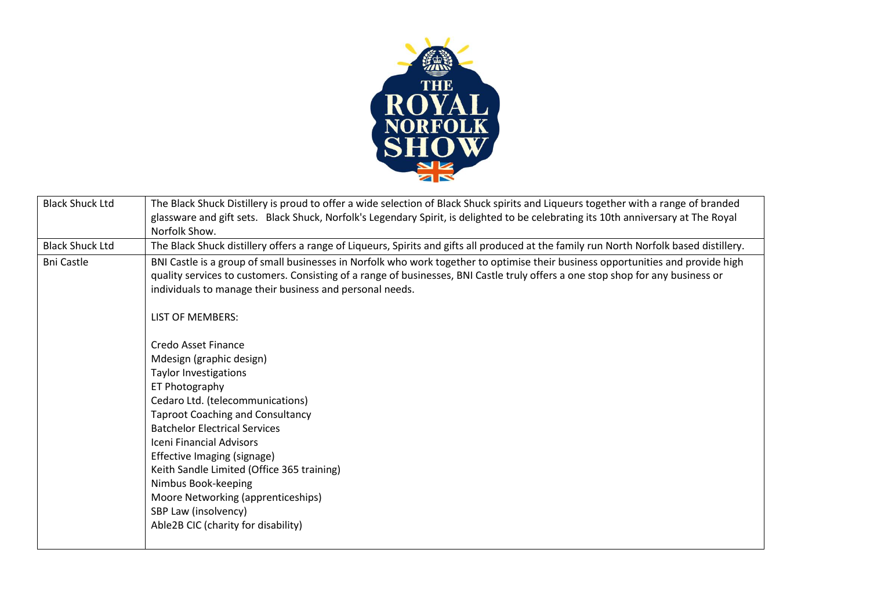

| <b>Black Shuck Ltd</b> | The Black Shuck Distillery is proud to offer a wide selection of Black Shuck spirits and Liqueurs together with a range of branded      |
|------------------------|-----------------------------------------------------------------------------------------------------------------------------------------|
|                        | glassware and gift sets. Black Shuck, Norfolk's Legendary Spirit, is delighted to be celebrating its 10th anniversary at The Royal      |
|                        | Norfolk Show.                                                                                                                           |
| <b>Black Shuck Ltd</b> | The Black Shuck distillery offers a range of Liqueurs, Spirits and gifts all produced at the family run North Norfolk based distillery. |
| <b>Bni Castle</b>      | BNI Castle is a group of small businesses in Norfolk who work together to optimise their business opportunities and provide high        |
|                        | quality services to customers. Consisting of a range of businesses, BNI Castle truly offers a one stop shop for any business or         |
|                        | individuals to manage their business and personal needs.                                                                                |
|                        |                                                                                                                                         |
|                        | <b>LIST OF MEMBERS:</b>                                                                                                                 |
|                        |                                                                                                                                         |
|                        | Credo Asset Finance                                                                                                                     |
|                        | Mdesign (graphic design)                                                                                                                |
|                        | <b>Taylor Investigations</b>                                                                                                            |
|                        | ET Photography                                                                                                                          |
|                        | Cedaro Ltd. (telecommunications)                                                                                                        |
|                        | <b>Taproot Coaching and Consultancy</b>                                                                                                 |
|                        | <b>Batchelor Electrical Services</b>                                                                                                    |
|                        | Iceni Financial Advisors                                                                                                                |
|                        | Effective Imaging (signage)                                                                                                             |
|                        | Keith Sandle Limited (Office 365 training)                                                                                              |
|                        | Nimbus Book-keeping                                                                                                                     |
|                        | Moore Networking (apprenticeships)                                                                                                      |
|                        | SBP Law (insolvency)                                                                                                                    |
|                        | Able2B CIC (charity for disability)                                                                                                     |
|                        |                                                                                                                                         |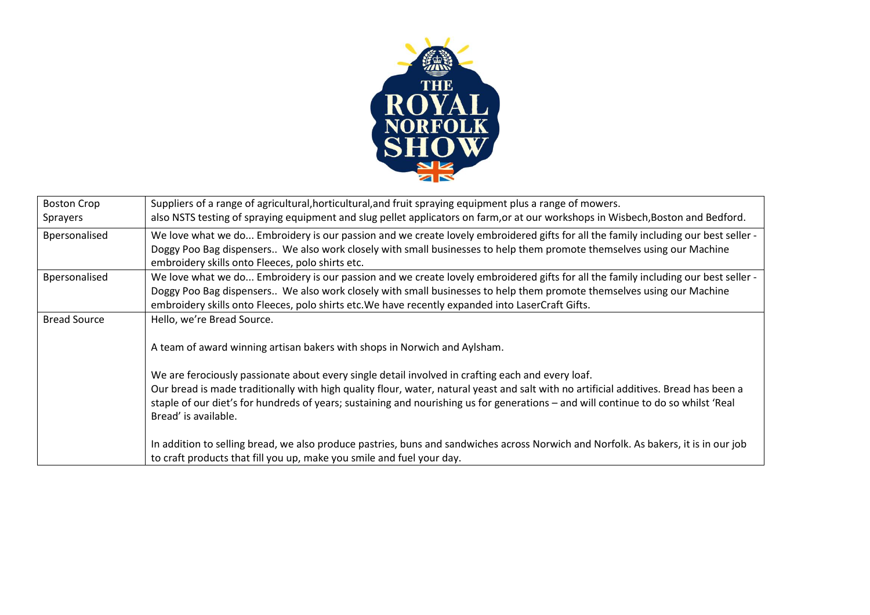

| <b>Boston Crop</b>  | Suppliers of a range of agricultural, horticultural, and fruit spraying equipment plus a range of mowers.                             |
|---------------------|---------------------------------------------------------------------------------------------------------------------------------------|
| Sprayers            | also NSTS testing of spraying equipment and slug pellet applicators on farm, or at our workshops in Wisbech, Boston and Bedford.      |
| Bpersonalised       | We love what we do Embroidery is our passion and we create lovely embroidered gifts for all the family including our best seller -    |
|                     | Doggy Poo Bag dispensers We also work closely with small businesses to help them promote themselves using our Machine                 |
|                     | embroidery skills onto Fleeces, polo shirts etc.                                                                                      |
| Bpersonalised       | We love what we do Embroidery is our passion and we create lovely embroidered gifts for all the family including our best seller -    |
|                     | Doggy Poo Bag dispensers We also work closely with small businesses to help them promote themselves using our Machine                 |
|                     | embroidery skills onto Fleeces, polo shirts etc. We have recently expanded into LaserCraft Gifts.                                     |
| <b>Bread Source</b> | Hello, we're Bread Source.                                                                                                            |
|                     |                                                                                                                                       |
|                     | A team of award winning artisan bakers with shops in Norwich and Aylsham.                                                             |
|                     | We are ferociously passionate about every single detail involved in crafting each and every loaf.                                     |
|                     | Our bread is made traditionally with high quality flour, water, natural yeast and salt with no artificial additives. Bread has been a |
|                     | staple of our diet's for hundreds of years; sustaining and nourishing us for generations - and will continue to do so whilst 'Real    |
|                     | Bread' is available.                                                                                                                  |
|                     |                                                                                                                                       |
|                     | In addition to selling bread, we also produce pastries, buns and sandwiches across Norwich and Norfolk. As bakers, it is in our job   |
|                     | to craft products that fill you up, make you smile and fuel your day.                                                                 |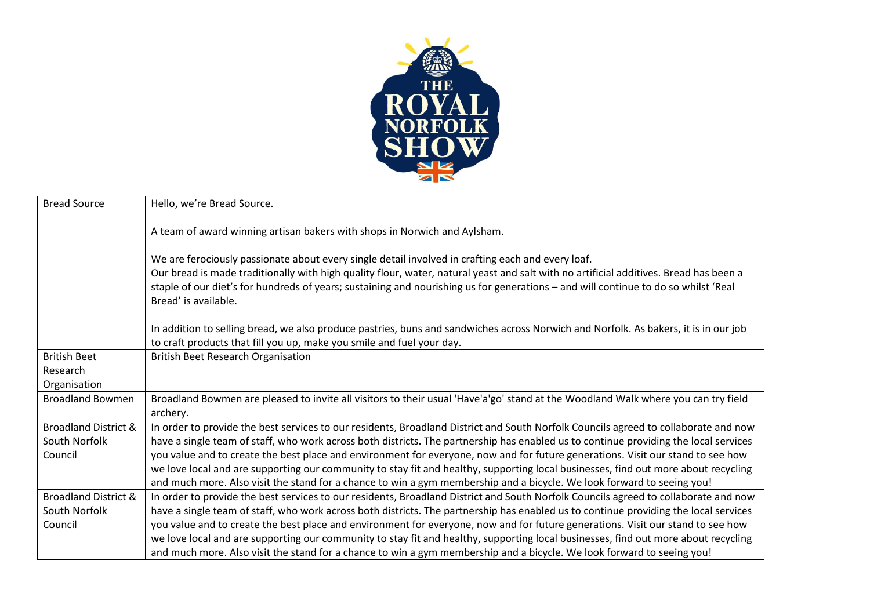

| <b>Bread Source</b>             | Hello, we're Bread Source.                                                                                                            |
|---------------------------------|---------------------------------------------------------------------------------------------------------------------------------------|
|                                 |                                                                                                                                       |
|                                 | A team of award winning artisan bakers with shops in Norwich and Aylsham.                                                             |
|                                 |                                                                                                                                       |
|                                 | We are ferociously passionate about every single detail involved in crafting each and every loaf.                                     |
|                                 | Our bread is made traditionally with high quality flour, water, natural yeast and salt with no artificial additives. Bread has been a |
|                                 | staple of our diet's for hundreds of years; sustaining and nourishing us for generations - and will continue to do so whilst 'Real    |
|                                 | Bread' is available.                                                                                                                  |
|                                 |                                                                                                                                       |
|                                 | In addition to selling bread, we also produce pastries, buns and sandwiches across Norwich and Norfolk. As bakers, it is in our job   |
|                                 | to craft products that fill you up, make you smile and fuel your day.                                                                 |
|                                 |                                                                                                                                       |
| <b>British Beet</b>             | <b>British Beet Research Organisation</b>                                                                                             |
| Research                        |                                                                                                                                       |
| Organisation                    |                                                                                                                                       |
| <b>Broadland Bowmen</b>         | Broadland Bowmen are pleased to invite all visitors to their usual 'Have'a'go' stand at the Woodland Walk where you can try field     |
|                                 | archery.                                                                                                                              |
| <b>Broadland District &amp;</b> | In order to provide the best services to our residents, Broadland District and South Norfolk Councils agreed to collaborate and now   |
| South Norfolk                   | have a single team of staff, who work across both districts. The partnership has enabled us to continue providing the local services  |
| Council                         | you value and to create the best place and environment for everyone, now and for future generations. Visit our stand to see how       |
|                                 | we love local and are supporting our community to stay fit and healthy, supporting local businesses, find out more about recycling    |
|                                 | and much more. Also visit the stand for a chance to win a gym membership and a bicycle. We look forward to seeing you!                |
| <b>Broadland District &amp;</b> | In order to provide the best services to our residents, Broadland District and South Norfolk Councils agreed to collaborate and now   |
| South Norfolk                   | have a single team of staff, who work across both districts. The partnership has enabled us to continue providing the local services  |
| Council                         | you value and to create the best place and environment for everyone, now and for future generations. Visit our stand to see how       |
|                                 | we love local and are supporting our community to stay fit and healthy, supporting local businesses, find out more about recycling    |
|                                 | and much more. Also visit the stand for a chance to win a gym membership and a bicycle. We look forward to seeing you!                |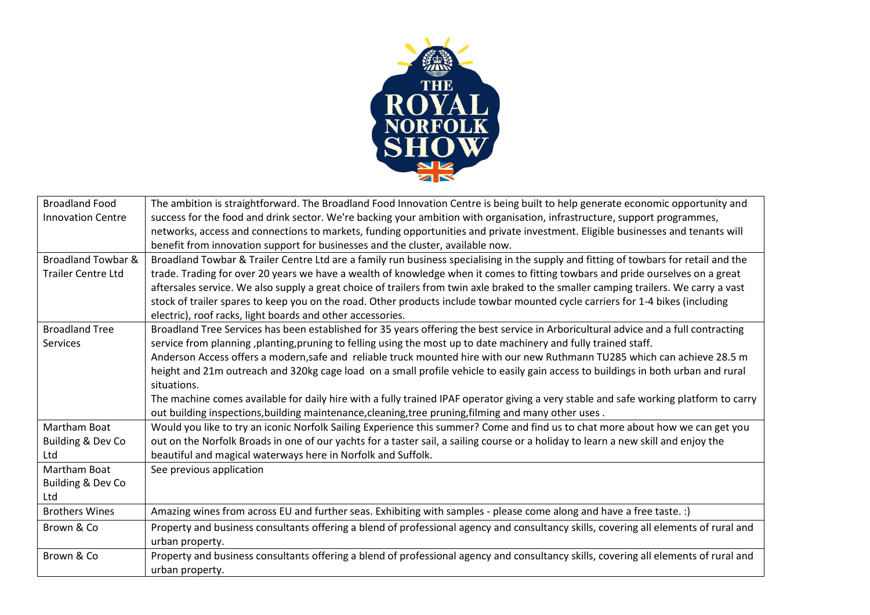

| <b>Broadland Food</b>         | The ambition is straightforward. The Broadland Food Innovation Centre is being built to help generate economic opportunity and        |
|-------------------------------|---------------------------------------------------------------------------------------------------------------------------------------|
| <b>Innovation Centre</b>      | success for the food and drink sector. We're backing your ambition with organisation, infrastructure, support programmes,             |
|                               | networks, access and connections to markets, funding opportunities and private investment. Eligible businesses and tenants will       |
|                               | benefit from innovation support for businesses and the cluster, available now.                                                        |
| <b>Broadland Towbar &amp;</b> | Broadland Towbar & Trailer Centre Ltd are a family run business specialising in the supply and fitting of towbars for retail and the  |
| <b>Trailer Centre Ltd</b>     | trade. Trading for over 20 years we have a wealth of knowledge when it comes to fitting towbars and pride ourselves on a great        |
|                               | aftersales service. We also supply a great choice of trailers from twin axle braked to the smaller camping trailers. We carry a vast  |
|                               | stock of trailer spares to keep you on the road. Other products include towbar mounted cycle carriers for 1-4 bikes (including        |
|                               | electric), roof racks, light boards and other accessories.                                                                            |
| <b>Broadland Tree</b>         | Broadland Tree Services has been established for 35 years offering the best service in Arboricultural advice and a full contracting   |
| Services                      | service from planning, planting, pruning to felling using the most up to date machinery and fully trained staff.                      |
|                               | Anderson Access offers a modern, safe and reliable truck mounted hire with our new Ruthmann TU285 which can achieve 28.5 m            |
|                               | height and 21m outreach and 320kg cage load on a small profile vehicle to easily gain access to buildings in both urban and rural     |
|                               | situations.                                                                                                                           |
|                               | The machine comes available for daily hire with a fully trained IPAF operator giving a very stable and safe working platform to carry |
|                               | out building inspections, building maintenance, cleaning, tree pruning, filming and many other uses.                                  |
| Martham Boat                  | Would you like to try an iconic Norfolk Sailing Experience this summer? Come and find us to chat more about how we can get you        |
| Building & Dev Co             | out on the Norfolk Broads in one of our yachts for a taster sail, a sailing course or a holiday to learn a new skill and enjoy the    |
| Ltd                           | beautiful and magical waterways here in Norfolk and Suffolk.                                                                          |
| Martham Boat                  | See previous application                                                                                                              |
| Building & Dev Co             |                                                                                                                                       |
| Ltd                           |                                                                                                                                       |
| <b>Brothers Wines</b>         | Amazing wines from across EU and further seas. Exhibiting with samples - please come along and have a free taste. :)                  |
| Brown & Co                    | Property and business consultants offering a blend of professional agency and consultancy skills, covering all elements of rural and  |
|                               | urban property.                                                                                                                       |
| Brown & Co                    | Property and business consultants offering a blend of professional agency and consultancy skills, covering all elements of rural and  |
|                               | urban property.                                                                                                                       |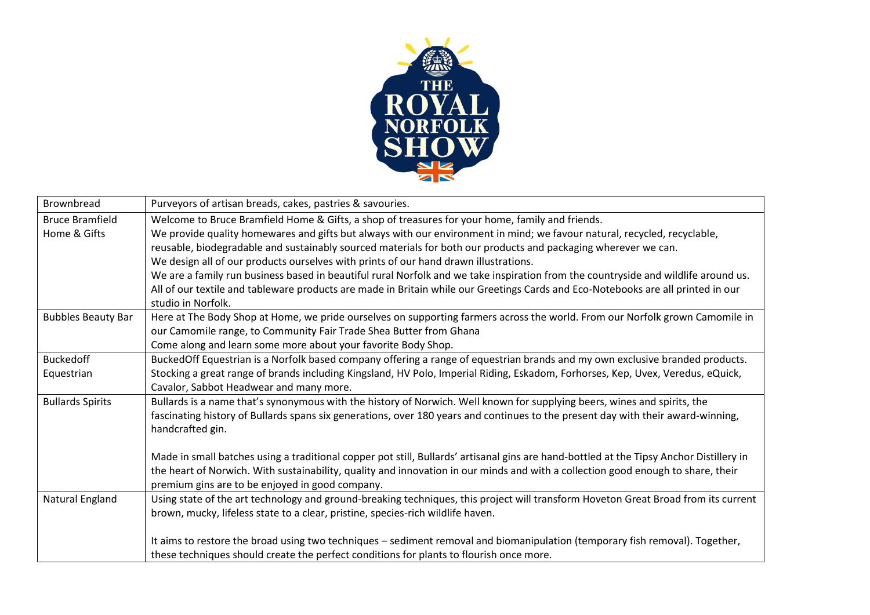

| <b>Brownbread</b>         | Purveyors of artisan breads, cakes, pastries & savouries.                                                                               |
|---------------------------|-----------------------------------------------------------------------------------------------------------------------------------------|
| <b>Bruce Bramfield</b>    | Welcome to Bruce Bramfield Home & Gifts, a shop of treasures for your home, family and friends.                                         |
| Home & Gifts              | We provide quality homewares and gifts but always with our environment in mind; we favour natural, recycled, recyclable,                |
|                           | reusable, biodegradable and sustainably sourced materials for both our products and packaging wherever we can.                          |
|                           | We design all of our products ourselves with prints of our hand drawn illustrations.                                                    |
|                           | We are a family run business based in beautiful rural Norfolk and we take inspiration from the countryside and wildlife around us.      |
|                           | All of our textile and tableware products are made in Britain while our Greetings Cards and Eco-Notebooks are all printed in our        |
|                           | studio in Norfolk.                                                                                                                      |
| <b>Bubbles Beauty Bar</b> | Here at The Body Shop at Home, we pride ourselves on supporting farmers across the world. From our Norfolk grown Camomile in            |
|                           | our Camomile range, to Community Fair Trade Shea Butter from Ghana                                                                      |
|                           | Come along and learn some more about your favorite Body Shop.                                                                           |
| <b>Buckedoff</b>          | BuckedOff Equestrian is a Norfolk based company offering a range of equestrian brands and my own exclusive branded products.            |
| Equestrian                | Stocking a great range of brands including Kingsland, HV Polo, Imperial Riding, Eskadom, Forhorses, Kep, Uvex, Veredus, eQuick,         |
|                           | Cavalor, Sabbot Headwear and many more.                                                                                                 |
| <b>Bullards Spirits</b>   | Bullards is a name that's synonymous with the history of Norwich. Well known for supplying beers, wines and spirits, the                |
|                           | fascinating history of Bullards spans six generations, over 180 years and continues to the present day with their award-winning,        |
|                           | handcrafted gin.                                                                                                                        |
|                           |                                                                                                                                         |
|                           | Made in small batches using a traditional copper pot still, Bullards' artisanal gins are hand-bottled at the Tipsy Anchor Distillery in |
|                           | the heart of Norwich. With sustainability, quality and innovation in our minds and with a collection good enough to share, their        |
|                           | premium gins are to be enjoyed in good company.                                                                                         |
| Natural England           | Using state of the art technology and ground-breaking techniques, this project will transform Hoveton Great Broad from its current      |
|                           | brown, mucky, lifeless state to a clear, pristine, species-rich wildlife haven.                                                         |
|                           |                                                                                                                                         |
|                           | It aims to restore the broad using two techniques - sediment removal and biomanipulation (temporary fish removal). Together,            |
|                           | these techniques should create the perfect conditions for plants to flourish once more.                                                 |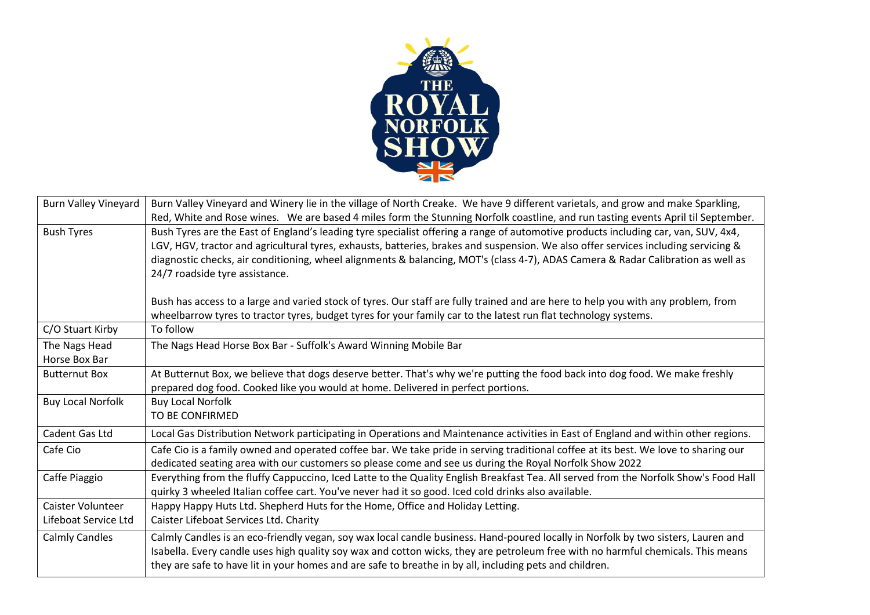

| <b>Burn Valley Vineyard</b> | Burn Valley Vineyard and Winery lie in the village of North Creake. We have 9 different varietals, and grow and make Sparkling,      |
|-----------------------------|--------------------------------------------------------------------------------------------------------------------------------------|
|                             | Red, White and Rose wines. We are based 4 miles form the Stunning Norfolk coastline, and run tasting events April til September.     |
| <b>Bush Tyres</b>           | Bush Tyres are the East of England's leading tyre specialist offering a range of automotive products including car, van, SUV, 4x4,   |
|                             | LGV, HGV, tractor and agricultural tyres, exhausts, batteries, brakes and suspension. We also offer services including servicing &   |
|                             | diagnostic checks, air conditioning, wheel alignments & balancing, MOT's (class 4-7), ADAS Camera & Radar Calibration as well as     |
|                             | 24/7 roadside tyre assistance.                                                                                                       |
|                             |                                                                                                                                      |
|                             | Bush has access to a large and varied stock of tyres. Our staff are fully trained and are here to help you with any problem, from    |
|                             | wheelbarrow tyres to tractor tyres, budget tyres for your family car to the latest run flat technology systems.                      |
| C/O Stuart Kirby            | To follow                                                                                                                            |
| The Nags Head               | The Nags Head Horse Box Bar - Suffolk's Award Winning Mobile Bar                                                                     |
| Horse Box Bar               |                                                                                                                                      |
| <b>Butternut Box</b>        | At Butternut Box, we believe that dogs deserve better. That's why we're putting the food back into dog food. We make freshly         |
|                             | prepared dog food. Cooked like you would at home. Delivered in perfect portions.                                                     |
| <b>Buy Local Norfolk</b>    | <b>Buy Local Norfolk</b>                                                                                                             |
|                             | TO BE CONFIRMED                                                                                                                      |
| Cadent Gas Ltd              | Local Gas Distribution Network participating in Operations and Maintenance activities in East of England and within other regions.   |
| Cafe Cio                    | Cafe Cio is a family owned and operated coffee bar. We take pride in serving traditional coffee at its best. We love to sharing our  |
|                             | dedicated seating area with our customers so please come and see us during the Royal Norfolk Show 2022                               |
| Caffe Piaggio               | Everything from the fluffy Cappuccino, Iced Latte to the Quality English Breakfast Tea. All served from the Norfolk Show's Food Hall |
|                             | quirky 3 wheeled Italian coffee cart. You've never had it so good. Iced cold drinks also available.                                  |
| Caister Volunteer           | Happy Happy Huts Ltd. Shepherd Huts for the Home, Office and Holiday Letting.                                                        |
| Lifeboat Service Ltd        | Caister Lifeboat Services Ltd. Charity                                                                                               |
| <b>Calmly Candles</b>       | Calmly Candles is an eco-friendly vegan, soy wax local candle business. Hand-poured locally in Norfolk by two sisters, Lauren and    |
|                             | Isabella. Every candle uses high quality soy wax and cotton wicks, they are petroleum free with no harmful chemicals. This means     |
|                             | they are safe to have lit in your homes and are safe to breathe in by all, including pets and children.                              |
|                             |                                                                                                                                      |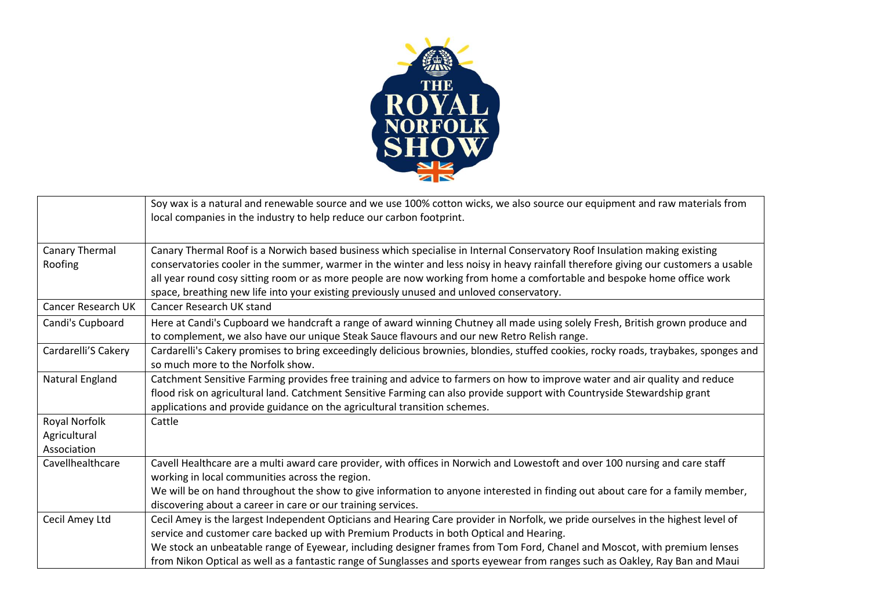

|                                              | Soy wax is a natural and renewable source and we use 100% cotton wicks, we also source our equipment and raw materials from<br>local companies in the industry to help reduce our carbon footprint.                                                                                                                                                                                                                                                                                     |
|----------------------------------------------|-----------------------------------------------------------------------------------------------------------------------------------------------------------------------------------------------------------------------------------------------------------------------------------------------------------------------------------------------------------------------------------------------------------------------------------------------------------------------------------------|
| Canary Thermal<br>Roofing                    | Canary Thermal Roof is a Norwich based business which specialise in Internal Conservatory Roof Insulation making existing<br>conservatories cooler in the summer, warmer in the winter and less noisy in heavy rainfall therefore giving our customers a usable<br>all year round cosy sitting room or as more people are now working from home a comfortable and bespoke home office work<br>space, breathing new life into your existing previously unused and unloved conservatory.  |
| Cancer Research UK                           | Cancer Research UK stand                                                                                                                                                                                                                                                                                                                                                                                                                                                                |
| Candi's Cupboard                             | Here at Candi's Cupboard we handcraft a range of award winning Chutney all made using solely Fresh, British grown produce and<br>to complement, we also have our unique Steak Sauce flavours and our new Retro Relish range.                                                                                                                                                                                                                                                            |
| Cardarelli'S Cakery                          | Cardarelli's Cakery promises to bring exceedingly delicious brownies, blondies, stuffed cookies, rocky roads, traybakes, sponges and<br>so much more to the Norfolk show.                                                                                                                                                                                                                                                                                                               |
| Natural England                              | Catchment Sensitive Farming provides free training and advice to farmers on how to improve water and air quality and reduce<br>flood risk on agricultural land. Catchment Sensitive Farming can also provide support with Countryside Stewardship grant<br>applications and provide guidance on the agricultural transition schemes.                                                                                                                                                    |
| Royal Norfolk<br>Agricultural<br>Association | Cattle                                                                                                                                                                                                                                                                                                                                                                                                                                                                                  |
| Cavellhealthcare                             | Cavell Healthcare are a multi award care provider, with offices in Norwich and Lowestoft and over 100 nursing and care staff<br>working in local communities across the region.<br>We will be on hand throughout the show to give information to anyone interested in finding out about care for a family member,<br>discovering about a career in care or our training services.                                                                                                       |
| Cecil Amey Ltd                               | Cecil Amey is the largest Independent Opticians and Hearing Care provider in Norfolk, we pride ourselves in the highest level of<br>service and customer care backed up with Premium Products in both Optical and Hearing.<br>We stock an unbeatable range of Eyewear, including designer frames from Tom Ford, Chanel and Moscot, with premium lenses<br>from Nikon Optical as well as a fantastic range of Sunglasses and sports eyewear from ranges such as Oakley, Ray Ban and Maui |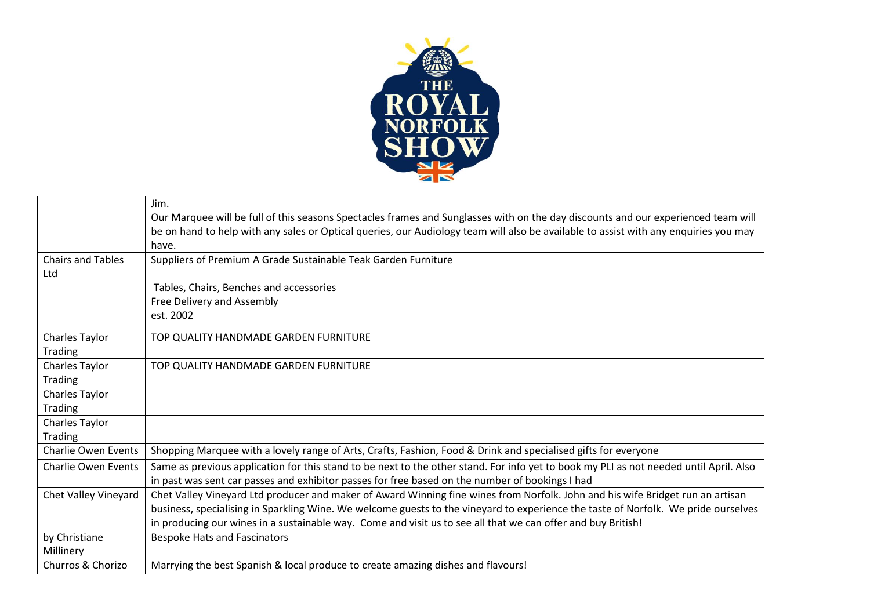

|                            | Jim.                                                                                                                                                                                                                                                                      |
|----------------------------|---------------------------------------------------------------------------------------------------------------------------------------------------------------------------------------------------------------------------------------------------------------------------|
|                            | Our Marquee will be full of this seasons Spectacles frames and Sunglasses with on the day discounts and our experienced team will<br>be on hand to help with any sales or Optical queries, our Audiology team will also be available to assist with any enquiries you may |
|                            | have.                                                                                                                                                                                                                                                                     |
| <b>Chairs and Tables</b>   | Suppliers of Premium A Grade Sustainable Teak Garden Furniture                                                                                                                                                                                                            |
| Ltd                        |                                                                                                                                                                                                                                                                           |
|                            | Tables, Chairs, Benches and accessories                                                                                                                                                                                                                                   |
|                            | Free Delivery and Assembly                                                                                                                                                                                                                                                |
|                            | est. 2002                                                                                                                                                                                                                                                                 |
| Charles Taylor             | TOP QUALITY HANDMADE GARDEN FURNITURE                                                                                                                                                                                                                                     |
| Trading                    |                                                                                                                                                                                                                                                                           |
| Charles Taylor             | TOP QUALITY HANDMADE GARDEN FURNITURE                                                                                                                                                                                                                                     |
| Trading                    |                                                                                                                                                                                                                                                                           |
| Charles Taylor             |                                                                                                                                                                                                                                                                           |
| Trading                    |                                                                                                                                                                                                                                                                           |
| Charles Taylor             |                                                                                                                                                                                                                                                                           |
| Trading                    |                                                                                                                                                                                                                                                                           |
| <b>Charlie Owen Events</b> | Shopping Marquee with a lovely range of Arts, Crafts, Fashion, Food & Drink and specialised gifts for everyone                                                                                                                                                            |
| <b>Charlie Owen Events</b> | Same as previous application for this stand to be next to the other stand. For info yet to book my PLI as not needed until April. Also                                                                                                                                    |
|                            | in past was sent car passes and exhibitor passes for free based on the number of bookings I had                                                                                                                                                                           |
| Chet Valley Vineyard       | Chet Valley Vineyard Ltd producer and maker of Award Winning fine wines from Norfolk. John and his wife Bridget run an artisan                                                                                                                                            |
|                            | business, specialising in Sparkling Wine. We welcome guests to the vineyard to experience the taste of Norfolk. We pride ourselves                                                                                                                                        |
|                            | in producing our wines in a sustainable way. Come and visit us to see all that we can offer and buy British!                                                                                                                                                              |
| by Christiane              | <b>Bespoke Hats and Fascinators</b>                                                                                                                                                                                                                                       |
| Millinery                  |                                                                                                                                                                                                                                                                           |
| Churros & Chorizo          | Marrying the best Spanish & local produce to create amazing dishes and flavours!                                                                                                                                                                                          |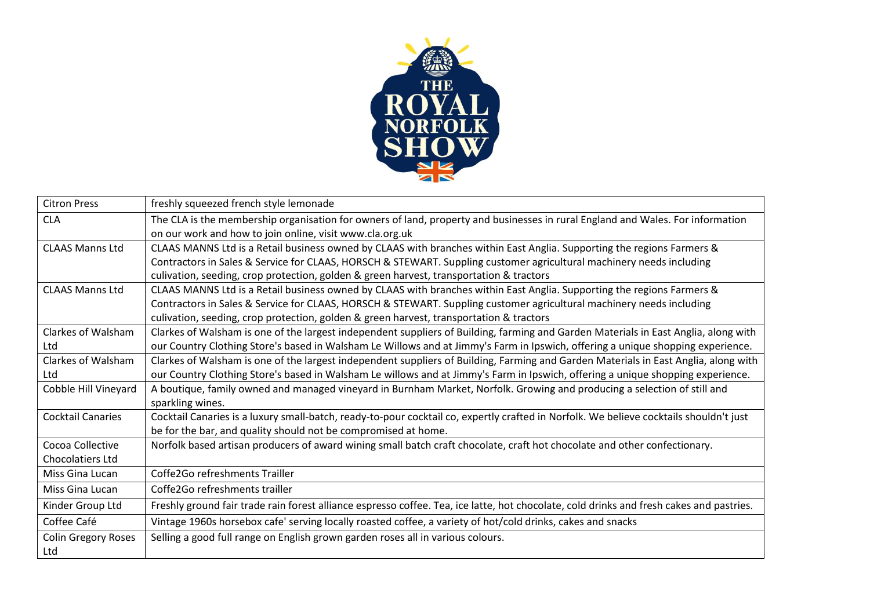

| <b>Citron Press</b>        | freshly squeezed french style lemonade                                                                                                   |
|----------------------------|------------------------------------------------------------------------------------------------------------------------------------------|
| <b>CLA</b>                 | The CLA is the membership organisation for owners of land, property and businesses in rural England and Wales. For information           |
|                            | on our work and how to join online, visit www.cla.org.uk                                                                                 |
| <b>CLAAS Manns Ltd</b>     | CLAAS MANNS Ltd is a Retail business owned by CLAAS with branches within East Anglia. Supporting the regions Farmers &                   |
|                            | Contractors in Sales & Service for CLAAS, HORSCH & STEWART. Suppling customer agricultural machinery needs including                     |
|                            | culivation, seeding, crop protection, golden & green harvest, transportation & tractors                                                  |
| <b>CLAAS Manns Ltd</b>     | CLAAS MANNS Ltd is a Retail business owned by CLAAS with branches within East Anglia. Supporting the regions Farmers &                   |
|                            | Contractors in Sales & Service for CLAAS, HORSCH & STEWART. Suppling customer agricultural machinery needs including                     |
|                            | culivation, seeding, crop protection, golden & green harvest, transportation & tractors                                                  |
| Clarkes of Walsham         | Clarkes of Walsham is one of the largest independent suppliers of Building, farming and Garden Materials in East Anglia, along with      |
| Ltd                        | our Country Clothing Store's based in Walsham Le Willows and at Jimmy's Farm in Ipswich, offering a unique shopping experience.          |
| Clarkes of Walsham         | Clarkes of Walsham is one of the largest independent suppliers of Building, Farming and Garden Materials in East Anglia, along with      |
| Ltd                        | our Country Clothing Store's based in Walsham Le willows and at Jimmy's Farm in Ipswich, offering a unique shopping experience.          |
| Cobble Hill Vineyard       | A boutique, family owned and managed vineyard in Burnham Market, Norfolk. Growing and producing a selection of still and                 |
|                            | sparkling wines.                                                                                                                         |
| <b>Cocktail Canaries</b>   | Cocktail Canaries is a luxury small-batch, ready-to-pour cocktail co, expertly crafted in Norfolk. We believe cocktails shouldn't just   |
|                            | be for the bar, and quality should not be compromised at home.                                                                           |
| Cocoa Collective           | Norfolk based artisan producers of award wining small batch craft chocolate, craft hot chocolate and other confectionary.                |
| <b>Chocolatiers Ltd</b>    |                                                                                                                                          |
| Miss Gina Lucan            | Coffe2Go refreshments Trailler                                                                                                           |
| Miss Gina Lucan            | Coffe2Go refreshments trailler                                                                                                           |
| Kinder Group Ltd           | Freshly ground fair trade rain forest alliance espresso coffee. Tea, ice latte, hot chocolate, cold drinks and fresh cakes and pastries. |
| Coffee Café                | Vintage 1960s horsebox cafe' serving locally roasted coffee, a variety of hot/cold drinks, cakes and snacks                              |
| <b>Colin Gregory Roses</b> | Selling a good full range on English grown garden roses all in various colours.                                                          |
| Ltd                        |                                                                                                                                          |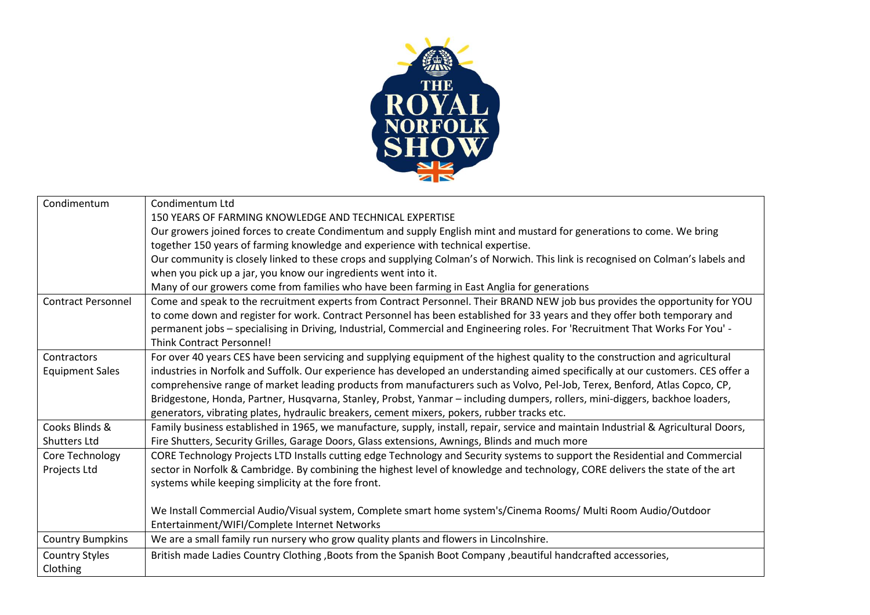

| Condimentum               | Condimentum Ltd                                                                                                                     |
|---------------------------|-------------------------------------------------------------------------------------------------------------------------------------|
|                           | 150 YEARS OF FARMING KNOWLEDGE AND TECHNICAL EXPERTISE                                                                              |
|                           | Our growers joined forces to create Condimentum and supply English mint and mustard for generations to come. We bring               |
|                           | together 150 years of farming knowledge and experience with technical expertise.                                                    |
|                           | Our community is closely linked to these crops and supplying Colman's of Norwich. This link is recognised on Colman's labels and    |
|                           | when you pick up a jar, you know our ingredients went into it.                                                                      |
|                           | Many of our growers come from families who have been farming in East Anglia for generations                                         |
| <b>Contract Personnel</b> | Come and speak to the recruitment experts from Contract Personnel. Their BRAND NEW job bus provides the opportunity for YOU         |
|                           | to come down and register for work. Contract Personnel has been established for 33 years and they offer both temporary and          |
|                           | permanent jobs - specialising in Driving, Industrial, Commercial and Engineering roles. For 'Recruitment That Works For You' -      |
|                           | <b>Think Contract Personnel!</b>                                                                                                    |
| Contractors               | For over 40 years CES have been servicing and supplying equipment of the highest quality to the construction and agricultural       |
| <b>Equipment Sales</b>    | industries in Norfolk and Suffolk. Our experience has developed an understanding aimed specifically at our customers. CES offer a   |
|                           | comprehensive range of market leading products from manufacturers such as Volvo, Pel-Job, Terex, Benford, Atlas Copco, CP,          |
|                           | Bridgestone, Honda, Partner, Husqvarna, Stanley, Probst, Yanmar - including dumpers, rollers, mini-diggers, backhoe loaders,        |
|                           | generators, vibrating plates, hydraulic breakers, cement mixers, pokers, rubber tracks etc.                                         |
| Cooks Blinds &            | Family business established in 1965, we manufacture, supply, install, repair, service and maintain Industrial & Agricultural Doors, |
| <b>Shutters Ltd</b>       | Fire Shutters, Security Grilles, Garage Doors, Glass extensions, Awnings, Blinds and much more                                      |
| Core Technology           | CORE Technology Projects LTD Installs cutting edge Technology and Security systems to support the Residential and Commercial        |
| Projects Ltd              | sector in Norfolk & Cambridge. By combining the highest level of knowledge and technology, CORE delivers the state of the art       |
|                           | systems while keeping simplicity at the fore front.                                                                                 |
|                           |                                                                                                                                     |
|                           | We Install Commercial Audio/Visual system, Complete smart home system's/Cinema Rooms/ Multi Room Audio/Outdoor                      |
|                           | Entertainment/WIFI/Complete Internet Networks                                                                                       |
| <b>Country Bumpkins</b>   | We are a small family run nursery who grow quality plants and flowers in Lincolnshire.                                              |
| <b>Country Styles</b>     | British made Ladies Country Clothing, Boots from the Spanish Boot Company, beautiful handcrafted accessories,                       |
| Clothing                  |                                                                                                                                     |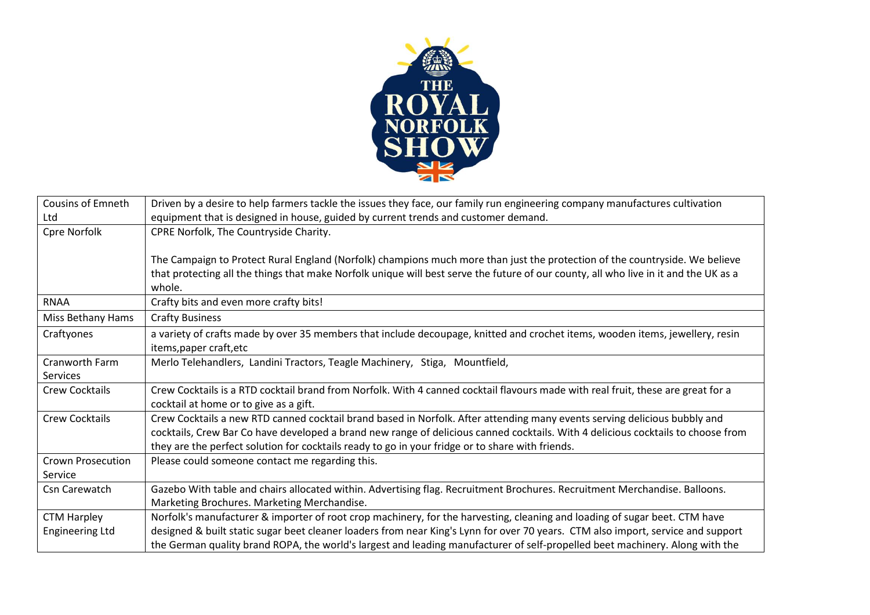

| Cousins of Emneth      | Driven by a desire to help farmers tackle the issues they face, our family run engineering company manufactures cultivation          |
|------------------------|--------------------------------------------------------------------------------------------------------------------------------------|
| Ltd                    | equipment that is designed in house, guided by current trends and customer demand.                                                   |
| Cpre Norfolk           | CPRE Norfolk, The Countryside Charity.                                                                                               |
|                        |                                                                                                                                      |
|                        | The Campaign to Protect Rural England (Norfolk) champions much more than just the protection of the countryside. We believe          |
|                        | that protecting all the things that make Norfolk unique will best serve the future of our county, all who live in it and the UK as a |
|                        | whole.                                                                                                                               |
| <b>RNAA</b>            | Crafty bits and even more crafty bits!                                                                                               |
| Miss Bethany Hams      | <b>Crafty Business</b>                                                                                                               |
| Craftyones             | a variety of crafts made by over 35 members that include decoupage, knitted and crochet items, wooden items, jewellery, resin        |
|                        | items, paper craft, etc                                                                                                              |
| Cranworth Farm         | Merlo Telehandlers, Landini Tractors, Teagle Machinery, Stiga, Mountfield,                                                           |
| <b>Services</b>        |                                                                                                                                      |
| <b>Crew Cocktails</b>  | Crew Cocktails is a RTD cocktail brand from Norfolk. With 4 canned cocktail flavours made with real fruit, these are great for a     |
|                        | cocktail at home or to give as a gift.                                                                                               |
| <b>Crew Cocktails</b>  | Crew Cocktails a new RTD canned cocktail brand based in Norfolk. After attending many events serving delicious bubbly and            |
|                        | cocktails, Crew Bar Co have developed a brand new range of delicious canned cocktails. With 4 delicious cocktails to choose from     |
|                        | they are the perfect solution for cocktails ready to go in your fridge or to share with friends.                                     |
| Crown Prosecution      | Please could someone contact me regarding this.                                                                                      |
| Service                |                                                                                                                                      |
| Csn Carewatch          | Gazebo With table and chairs allocated within. Advertising flag. Recruitment Brochures. Recruitment Merchandise. Balloons.           |
|                        | Marketing Brochures. Marketing Merchandise.                                                                                          |
| <b>CTM Harpley</b>     | Norfolk's manufacturer & importer of root crop machinery, for the harvesting, cleaning and loading of sugar beet. CTM have           |
| <b>Engineering Ltd</b> | designed & built static sugar beet cleaner loaders from near King's Lynn for over 70 years. CTM also import, service and support     |
|                        | the German quality brand ROPA, the world's largest and leading manufacturer of self-propelled beet machinery. Along with the         |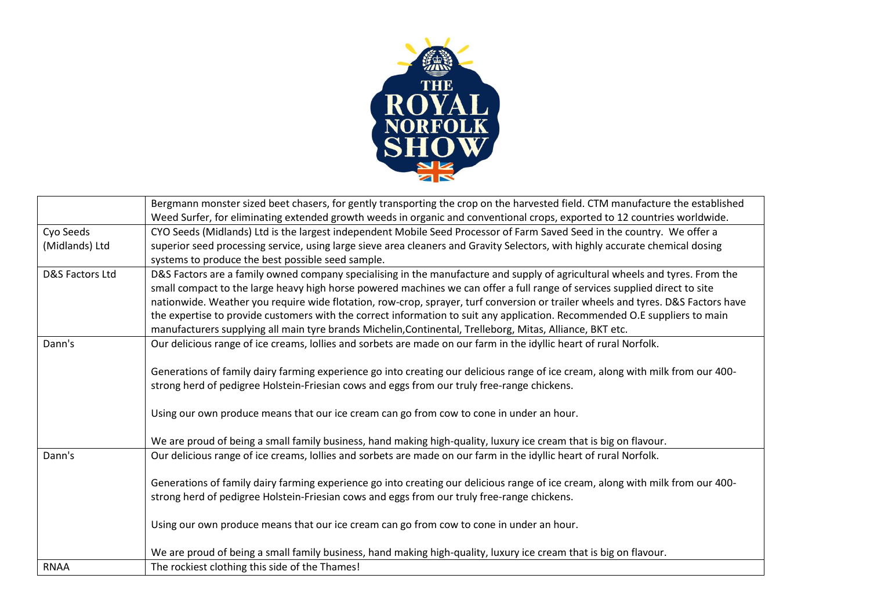

|                 | Bergmann monster sized beet chasers, for gently transporting the crop on the harvested field. CTM manufacture the established    |
|-----------------|----------------------------------------------------------------------------------------------------------------------------------|
|                 | Weed Surfer, for eliminating extended growth weeds in organic and conventional crops, exported to 12 countries worldwide.        |
| Cyo Seeds       | CYO Seeds (Midlands) Ltd is the largest independent Mobile Seed Processor of Farm Saved Seed in the country. We offer a          |
| (Midlands) Ltd  | superior seed processing service, using large sieve area cleaners and Gravity Selectors, with highly accurate chemical dosing    |
|                 | systems to produce the best possible seed sample.                                                                                |
| D&S Factors Ltd | D&S Factors are a family owned company specialising in the manufacture and supply of agricultural wheels and tyres. From the     |
|                 | small compact to the large heavy high horse powered machines we can offer a full range of services supplied direct to site       |
|                 | nationwide. Weather you require wide flotation, row-crop, sprayer, turf conversion or trailer wheels and tyres. D&S Factors have |
|                 | the expertise to provide customers with the correct information to suit any application. Recommended O.E suppliers to main       |
|                 | manufacturers supplying all main tyre brands Michelin, Continental, Trelleborg, Mitas, Alliance, BKT etc.                        |
| Dann's          | Our delicious range of ice creams, lollies and sorbets are made on our farm in the idyllic heart of rural Norfolk.               |
|                 |                                                                                                                                  |
|                 | Generations of family dairy farming experience go into creating our delicious range of ice cream, along with milk from our 400-  |
|                 | strong herd of pedigree Holstein-Friesian cows and eggs from our truly free-range chickens.                                      |
|                 |                                                                                                                                  |
|                 | Using our own produce means that our ice cream can go from cow to cone in under an hour.                                         |
|                 |                                                                                                                                  |
|                 | We are proud of being a small family business, hand making high-quality, luxury ice cream that is big on flavour.                |
| Dann's          | Our delicious range of ice creams, lollies and sorbets are made on our farm in the idyllic heart of rural Norfolk.               |
|                 |                                                                                                                                  |
|                 | Generations of family dairy farming experience go into creating our delicious range of ice cream, along with milk from our 400-  |
|                 | strong herd of pedigree Holstein-Friesian cows and eggs from our truly free-range chickens.                                      |
|                 |                                                                                                                                  |
|                 | Using our own produce means that our ice cream can go from cow to cone in under an hour.                                         |
|                 |                                                                                                                                  |
|                 | We are proud of being a small family business, hand making high-quality, luxury ice cream that is big on flavour.                |
| <b>RNAA</b>     | The rockiest clothing this side of the Thames!                                                                                   |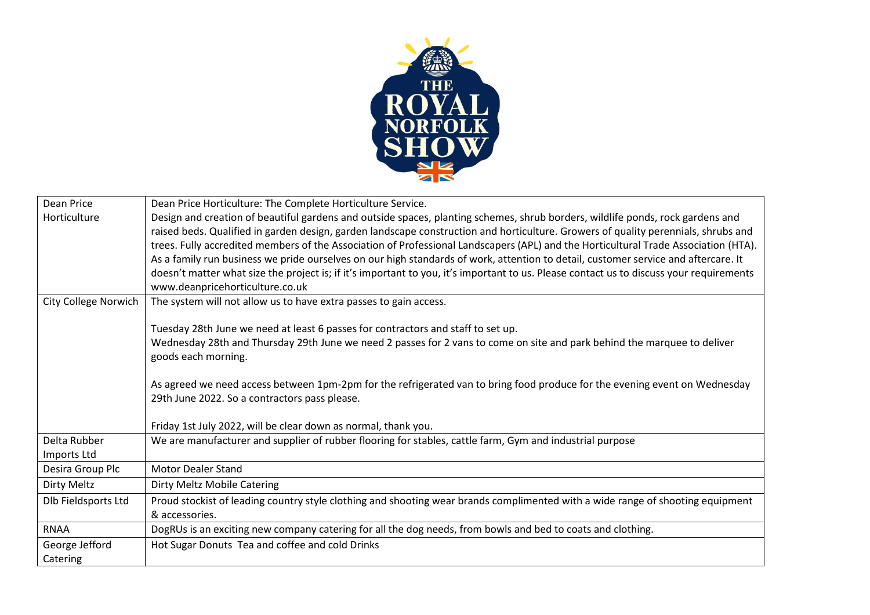

| Dean Price                  | Dean Price Horticulture: The Complete Horticulture Service.                                                                                                                                                                                                                                                                                                                                                                                                                                                                                                                                                                                                                                                                     |
|-----------------------------|---------------------------------------------------------------------------------------------------------------------------------------------------------------------------------------------------------------------------------------------------------------------------------------------------------------------------------------------------------------------------------------------------------------------------------------------------------------------------------------------------------------------------------------------------------------------------------------------------------------------------------------------------------------------------------------------------------------------------------|
| Horticulture                | Design and creation of beautiful gardens and outside spaces, planting schemes, shrub borders, wildlife ponds, rock gardens and<br>raised beds. Qualified in garden design, garden landscape construction and horticulture. Growers of quality perennials, shrubs and<br>trees. Fully accredited members of the Association of Professional Landscapers (APL) and the Horticultural Trade Association (HTA).<br>As a family run business we pride ourselves on our high standards of work, attention to detail, customer service and aftercare. It<br>doesn't matter what size the project is; if it's important to you, it's important to us. Please contact us to discuss your requirements<br>www.deanpricehorticulture.co.uk |
| <b>City College Norwich</b> | The system will not allow us to have extra passes to gain access.                                                                                                                                                                                                                                                                                                                                                                                                                                                                                                                                                                                                                                                               |
|                             | Tuesday 28th June we need at least 6 passes for contractors and staff to set up.<br>Wednesday 28th and Thursday 29th June we need 2 passes for 2 vans to come on site and park behind the marquee to deliver<br>goods each morning.<br>As agreed we need access between 1pm-2pm for the refrigerated van to bring food produce for the evening event on Wednesday<br>29th June 2022. So a contractors pass please.<br>Friday 1st July 2022, will be clear down as normal, thank you.                                                                                                                                                                                                                                            |
| Delta Rubber                | We are manufacturer and supplier of rubber flooring for stables, cattle farm, Gym and industrial purpose                                                                                                                                                                                                                                                                                                                                                                                                                                                                                                                                                                                                                        |
| Imports Ltd                 |                                                                                                                                                                                                                                                                                                                                                                                                                                                                                                                                                                                                                                                                                                                                 |
| Desira Group Plc            | <b>Motor Dealer Stand</b>                                                                                                                                                                                                                                                                                                                                                                                                                                                                                                                                                                                                                                                                                                       |
| Dirty Meltz                 | Dirty Meltz Mobile Catering                                                                                                                                                                                                                                                                                                                                                                                                                                                                                                                                                                                                                                                                                                     |
| Dlb Fieldsports Ltd         | Proud stockist of leading country style clothing and shooting wear brands complimented with a wide range of shooting equipment<br>& accessories.                                                                                                                                                                                                                                                                                                                                                                                                                                                                                                                                                                                |
| <b>RNAA</b>                 | DogRUs is an exciting new company catering for all the dog needs, from bowls and bed to coats and clothing.                                                                                                                                                                                                                                                                                                                                                                                                                                                                                                                                                                                                                     |
| George Jefford<br>Catering  | Hot Sugar Donuts Tea and coffee and cold Drinks                                                                                                                                                                                                                                                                                                                                                                                                                                                                                                                                                                                                                                                                                 |
|                             |                                                                                                                                                                                                                                                                                                                                                                                                                                                                                                                                                                                                                                                                                                                                 |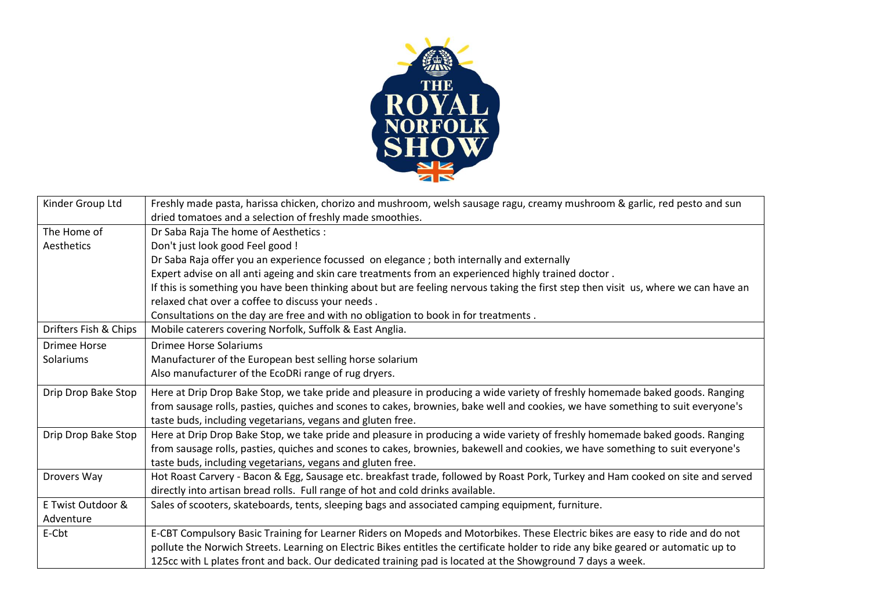

| Kinder Group Ltd      | Freshly made pasta, harissa chicken, chorizo and mushroom, welsh sausage ragu, creamy mushroom & garlic, red pesto and sun          |
|-----------------------|-------------------------------------------------------------------------------------------------------------------------------------|
|                       | dried tomatoes and a selection of freshly made smoothies.                                                                           |
| The Home of           | Dr Saba Raja The home of Aesthetics:                                                                                                |
| Aesthetics            | Don't just look good Feel good !                                                                                                    |
|                       | Dr Saba Raja offer you an experience focussed on elegance ; both internally and externally                                          |
|                       | Expert advise on all anti ageing and skin care treatments from an experienced highly trained doctor.                                |
|                       | If this is something you have been thinking about but are feeling nervous taking the first step then visit us, where we can have an |
|                       | relaxed chat over a coffee to discuss your needs.                                                                                   |
|                       | Consultations on the day are free and with no obligation to book in for treatments.                                                 |
| Drifters Fish & Chips | Mobile caterers covering Norfolk, Suffolk & East Anglia.                                                                            |
| <b>Drimee Horse</b>   | <b>Drimee Horse Solariums</b>                                                                                                       |
| Solariums             | Manufacturer of the European best selling horse solarium                                                                            |
|                       | Also manufacturer of the EcoDRi range of rug dryers.                                                                                |
| Drip Drop Bake Stop   | Here at Drip Drop Bake Stop, we take pride and pleasure in producing a wide variety of freshly homemade baked goods. Ranging        |
|                       | from sausage rolls, pasties, quiches and scones to cakes, brownies, bake well and cookies, we have something to suit everyone's     |
|                       | taste buds, including vegetarians, vegans and gluten free.                                                                          |
| Drip Drop Bake Stop   | Here at Drip Drop Bake Stop, we take pride and pleasure in producing a wide variety of freshly homemade baked goods. Ranging        |
|                       | from sausage rolls, pasties, quiches and scones to cakes, brownies, bakewell and cookies, we have something to suit everyone's      |
|                       | taste buds, including vegetarians, vegans and gluten free.                                                                          |
| Drovers Way           | Hot Roast Carvery - Bacon & Egg, Sausage etc. breakfast trade, followed by Roast Pork, Turkey and Ham cooked on site and served     |
|                       | directly into artisan bread rolls. Full range of hot and cold drinks available.                                                     |
| E Twist Outdoor &     | Sales of scooters, skateboards, tents, sleeping bags and associated camping equipment, furniture.                                   |
| Adventure             |                                                                                                                                     |
| E-Cbt                 | E-CBT Compulsory Basic Training for Learner Riders on Mopeds and Motorbikes. These Electric bikes are easy to ride and do not       |
|                       | pollute the Norwich Streets. Learning on Electric Bikes entitles the certificate holder to ride any bike geared or automatic up to  |
|                       | 125cc with L plates front and back. Our dedicated training pad is located at the Showground 7 days a week.                          |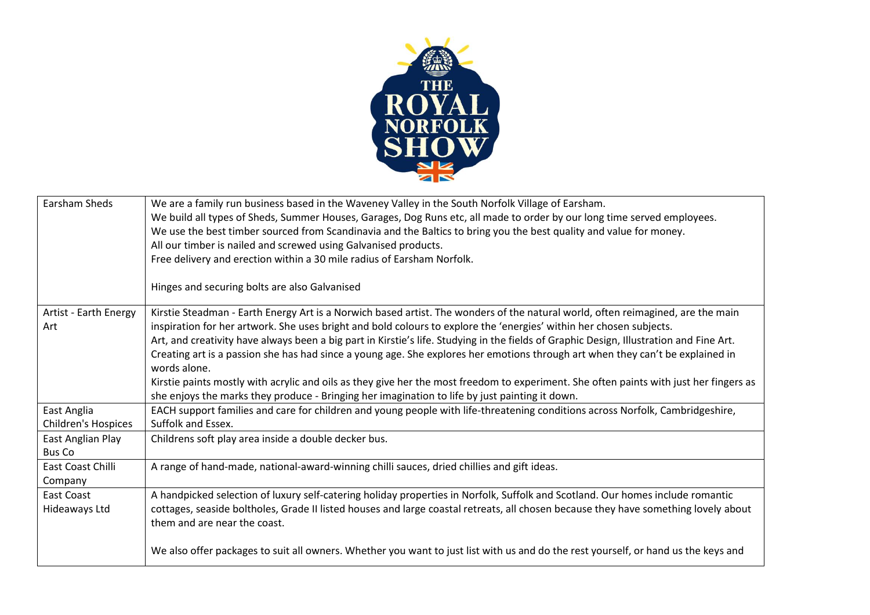

| We are a family run business based in the Waveney Valley in the South Norfolk Village of Earsham.                                       |
|-----------------------------------------------------------------------------------------------------------------------------------------|
| We build all types of Sheds, Summer Houses, Garages, Dog Runs etc, all made to order by our long time served employees.                 |
| We use the best timber sourced from Scandinavia and the Baltics to bring you the best quality and value for money.                      |
| All our timber is nailed and screwed using Galvanised products.                                                                         |
| Free delivery and erection within a 30 mile radius of Earsham Norfolk.                                                                  |
|                                                                                                                                         |
| Hinges and securing bolts are also Galvanised                                                                                           |
| Kirstie Steadman - Earth Energy Art is a Norwich based artist. The wonders of the natural world, often reimagined, are the main         |
| inspiration for her artwork. She uses bright and bold colours to explore the 'energies' within her chosen subjects.                     |
| Art, and creativity have always been a big part in Kirstie's life. Studying in the fields of Graphic Design, Illustration and Fine Art. |
| Creating art is a passion she has had since a young age. She explores her emotions through art when they can't be explained in          |
| words alone.                                                                                                                            |
| Kirstie paints mostly with acrylic and oils as they give her the most freedom to experiment. She often paints with just her fingers as  |
| she enjoys the marks they produce - Bringing her imagination to life by just painting it down.                                          |
| EACH support families and care for children and young people with life-threatening conditions across Norfolk, Cambridgeshire,           |
| Suffolk and Essex.                                                                                                                      |
| Childrens soft play area inside a double decker bus.                                                                                    |
|                                                                                                                                         |
| A range of hand-made, national-award-winning chilli sauces, dried chillies and gift ideas.                                              |
|                                                                                                                                         |
| A handpicked selection of luxury self-catering holiday properties in Norfolk, Suffolk and Scotland. Our homes include romantic          |
| cottages, seaside boltholes, Grade II listed houses and large coastal retreats, all chosen because they have something lovely about     |
| them and are near the coast.                                                                                                            |
|                                                                                                                                         |
| We also offer packages to suit all owners. Whether you want to just list with us and do the rest yourself, or hand us the keys and      |
|                                                                                                                                         |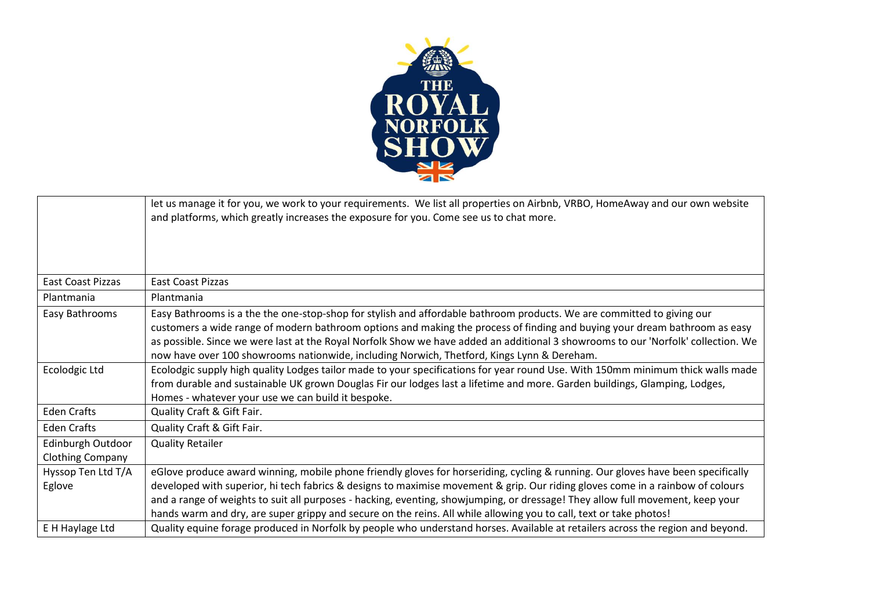

|                                              | let us manage it for you, we work to your requirements. We list all properties on Airbnb, VRBO, HomeAway and our own website<br>and platforms, which greatly increases the exposure for you. Come see us to chat more.                                                                                                                                                                                                                                                                                                     |
|----------------------------------------------|----------------------------------------------------------------------------------------------------------------------------------------------------------------------------------------------------------------------------------------------------------------------------------------------------------------------------------------------------------------------------------------------------------------------------------------------------------------------------------------------------------------------------|
| East Coast Pizzas                            | East Coast Pizzas                                                                                                                                                                                                                                                                                                                                                                                                                                                                                                          |
| Plantmania                                   | Plantmania                                                                                                                                                                                                                                                                                                                                                                                                                                                                                                                 |
| Easy Bathrooms                               | Easy Bathrooms is a the the one-stop-shop for stylish and affordable bathroom products. We are committed to giving our<br>customers a wide range of modern bathroom options and making the process of finding and buying your dream bathroom as easy<br>as possible. Since we were last at the Royal Norfolk Show we have added an additional 3 showrooms to our 'Norfolk' collection. We<br>now have over 100 showrooms nationwide, including Norwich, Thetford, Kings Lynn & Dereham.                                    |
| Ecolodgic Ltd                                | Ecolodgic supply high quality Lodges tailor made to your specifications for year round Use. With 150mm minimum thick walls made<br>from durable and sustainable UK grown Douglas Fir our lodges last a lifetime and more. Garden buildings, Glamping, Lodges,<br>Homes - whatever your use we can build it bespoke.                                                                                                                                                                                                        |
| <b>Eden Crafts</b>                           | Quality Craft & Gift Fair.                                                                                                                                                                                                                                                                                                                                                                                                                                                                                                 |
| <b>Eden Crafts</b>                           | Quality Craft & Gift Fair.                                                                                                                                                                                                                                                                                                                                                                                                                                                                                                 |
| Edinburgh Outdoor<br><b>Clothing Company</b> | <b>Quality Retailer</b>                                                                                                                                                                                                                                                                                                                                                                                                                                                                                                    |
| Hyssop Ten Ltd T/A<br>Eglove                 | eGlove produce award winning, mobile phone friendly gloves for horseriding, cycling & running. Our gloves have been specifically<br>developed with superior, hi tech fabrics & designs to maximise movement & grip. Our riding gloves come in a rainbow of colours<br>and a range of weights to suit all purposes - hacking, eventing, showjumping, or dressage! They allow full movement, keep your<br>hands warm and dry, are super grippy and secure on the reins. All while allowing you to call, text or take photos! |
| E H Haylage Ltd                              | Quality equine forage produced in Norfolk by people who understand horses. Available at retailers across the region and beyond.                                                                                                                                                                                                                                                                                                                                                                                            |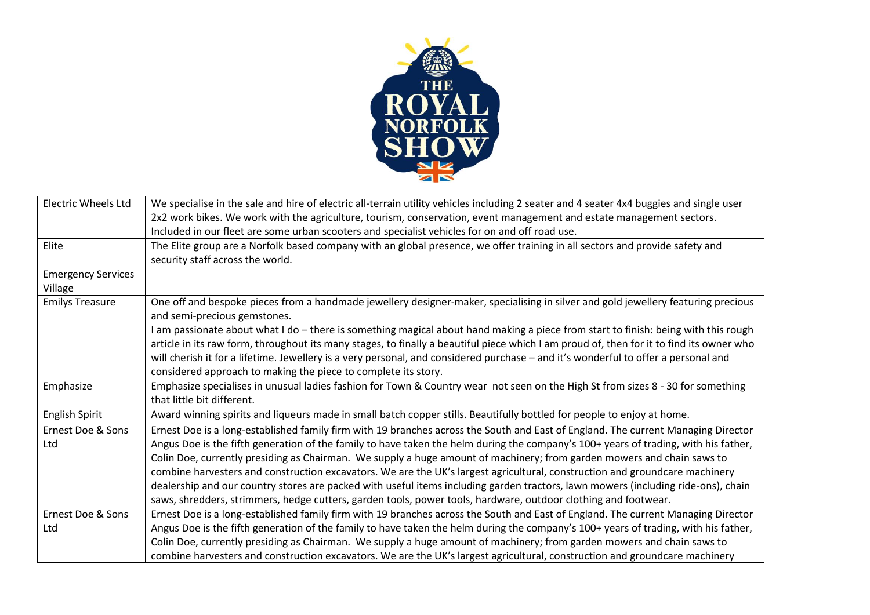

| <b>Electric Wheels Ltd</b> | We specialise in the sale and hire of electric all-terrain utility vehicles including 2 seater and 4 seater 4x4 buggies and single user                           |
|----------------------------|-------------------------------------------------------------------------------------------------------------------------------------------------------------------|
|                            | 2x2 work bikes. We work with the agriculture, tourism, conservation, event management and estate management sectors.                                              |
|                            | Included in our fleet are some urban scooters and specialist vehicles for on and off road use.                                                                    |
| Elite                      | The Elite group are a Norfolk based company with an global presence, we offer training in all sectors and provide safety and                                      |
|                            | security staff across the world.                                                                                                                                  |
| <b>Emergency Services</b>  |                                                                                                                                                                   |
| Village                    |                                                                                                                                                                   |
| <b>Emilys Treasure</b>     | One off and bespoke pieces from a handmade jewellery designer-maker, specialising in silver and gold jewellery featuring precious<br>and semi-precious gemstones. |
|                            | I am passionate about what I do - there is something magical about hand making a piece from start to finish: being with this rough                                |
|                            | article in its raw form, throughout its many stages, to finally a beautiful piece which I am proud of, then for it to find its owner who                          |
|                            | will cherish it for a lifetime. Jewellery is a very personal, and considered purchase - and it's wonderful to offer a personal and                                |
|                            | considered approach to making the piece to complete its story.                                                                                                    |
| Emphasize                  | Emphasize specialises in unusual ladies fashion for Town & Country wear not seen on the High St from sizes 8 - 30 for something                                   |
|                            | that little bit different.                                                                                                                                        |
| English Spirit             | Award winning spirits and liqueurs made in small batch copper stills. Beautifully bottled for people to enjoy at home.                                            |
| Ernest Doe & Sons          | Ernest Doe is a long-established family firm with 19 branches across the South and East of England. The current Managing Director                                 |
| Ltd                        | Angus Doe is the fifth generation of the family to have taken the helm during the company's 100+ years of trading, with his father,                               |
|                            | Colin Doe, currently presiding as Chairman. We supply a huge amount of machinery; from garden mowers and chain saws to                                            |
|                            | combine harvesters and construction excavators. We are the UK's largest agricultural, construction and groundcare machinery                                       |
|                            | dealership and our country stores are packed with useful items including garden tractors, lawn mowers (including ride-ons), chain                                 |
|                            | saws, shredders, strimmers, hedge cutters, garden tools, power tools, hardware, outdoor clothing and footwear.                                                    |
| Ernest Doe & Sons          | Ernest Doe is a long-established family firm with 19 branches across the South and East of England. The current Managing Director                                 |
| Ltd                        | Angus Doe is the fifth generation of the family to have taken the helm during the company's 100+ years of trading, with his father,                               |
|                            | Colin Doe, currently presiding as Chairman. We supply a huge amount of machinery; from garden mowers and chain saws to                                            |
|                            | combine harvesters and construction excavators. We are the UK's largest agricultural, construction and groundcare machinery                                       |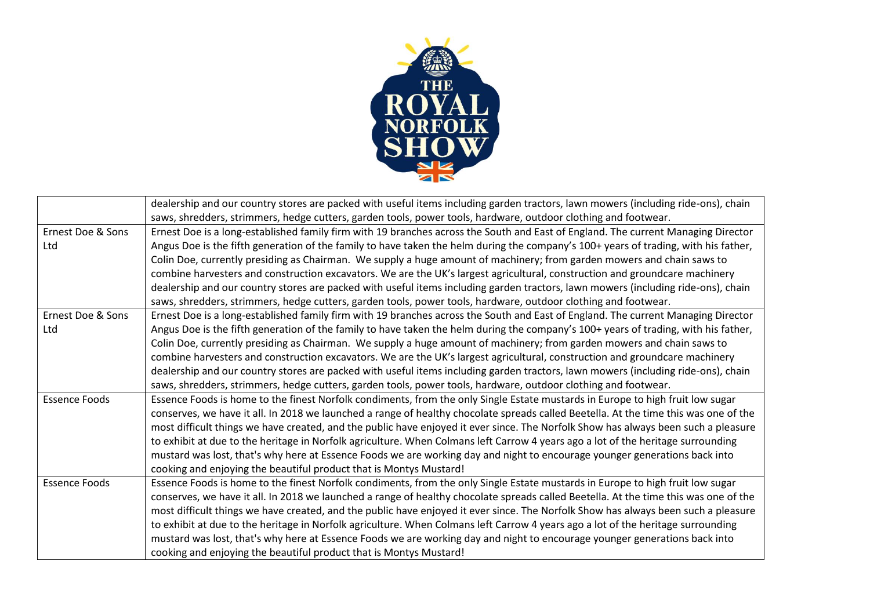

|                      | dealership and our country stores are packed with useful items including garden tractors, lawn mowers (including ride-ons), chain    |
|----------------------|--------------------------------------------------------------------------------------------------------------------------------------|
|                      | saws, shredders, strimmers, hedge cutters, garden tools, power tools, hardware, outdoor clothing and footwear.                       |
| Ernest Doe & Sons    | Ernest Doe is a long-established family firm with 19 branches across the South and East of England. The current Managing Director    |
| Ltd                  | Angus Doe is the fifth generation of the family to have taken the helm during the company's 100+ years of trading, with his father,  |
|                      | Colin Doe, currently presiding as Chairman. We supply a huge amount of machinery; from garden mowers and chain saws to               |
|                      | combine harvesters and construction excavators. We are the UK's largest agricultural, construction and groundcare machinery          |
|                      | dealership and our country stores are packed with useful items including garden tractors, lawn mowers (including ride-ons), chain    |
|                      | saws, shredders, strimmers, hedge cutters, garden tools, power tools, hardware, outdoor clothing and footwear.                       |
| Ernest Doe & Sons    | Ernest Doe is a long-established family firm with 19 branches across the South and East of England. The current Managing Director    |
| Ltd                  | Angus Doe is the fifth generation of the family to have taken the helm during the company's 100+ years of trading, with his father,  |
|                      | Colin Doe, currently presiding as Chairman. We supply a huge amount of machinery; from garden mowers and chain saws to               |
|                      | combine harvesters and construction excavators. We are the UK's largest agricultural, construction and groundcare machinery          |
|                      | dealership and our country stores are packed with useful items including garden tractors, lawn mowers (including ride-ons), chain    |
|                      | saws, shredders, strimmers, hedge cutters, garden tools, power tools, hardware, outdoor clothing and footwear.                       |
| <b>Essence Foods</b> | Essence Foods is home to the finest Norfolk condiments, from the only Single Estate mustards in Europe to high fruit low sugar       |
|                      | conserves, we have it all. In 2018 we launched a range of healthy chocolate spreads called Beetella. At the time this was one of the |
|                      | most difficult things we have created, and the public have enjoyed it ever since. The Norfolk Show has always been such a pleasure   |
|                      | to exhibit at due to the heritage in Norfolk agriculture. When Colmans left Carrow 4 years ago a lot of the heritage surrounding     |
|                      | mustard was lost, that's why here at Essence Foods we are working day and night to encourage younger generations back into           |
|                      | cooking and enjoying the beautiful product that is Montys Mustard!                                                                   |
| <b>Essence Foods</b> | Essence Foods is home to the finest Norfolk condiments, from the only Single Estate mustards in Europe to high fruit low sugar       |
|                      | conserves, we have it all. In 2018 we launched a range of healthy chocolate spreads called Beetella. At the time this was one of the |
|                      | most difficult things we have created, and the public have enjoyed it ever since. The Norfolk Show has always been such a pleasure   |
|                      | to exhibit at due to the heritage in Norfolk agriculture. When Colmans left Carrow 4 years ago a lot of the heritage surrounding     |
|                      | mustard was lost, that's why here at Essence Foods we are working day and night to encourage younger generations back into           |
|                      | cooking and enjoying the beautiful product that is Montys Mustard!                                                                   |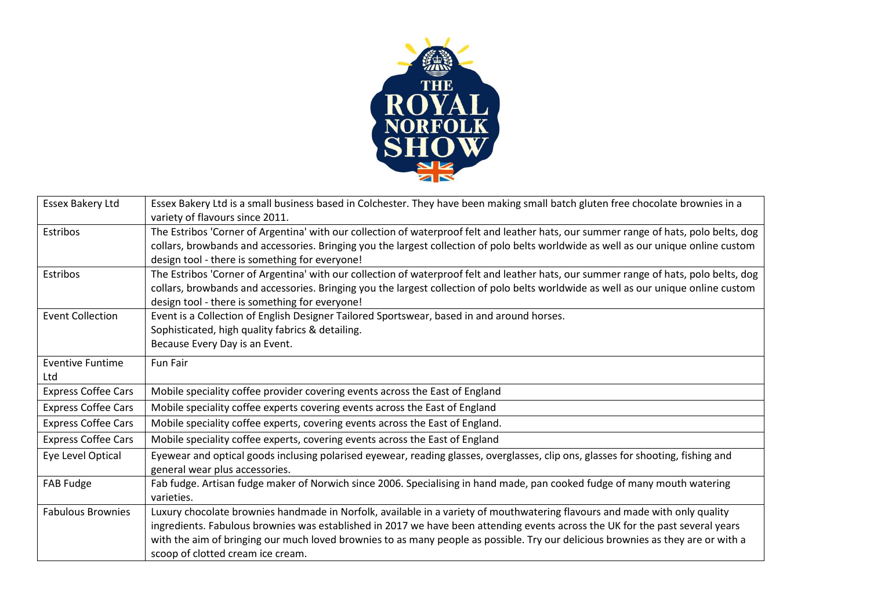

| Essex Bakery Ltd               | Essex Bakery Ltd is a small business based in Colchester. They have been making small batch gluten free chocolate brownies in a<br>variety of flavours since 2011.                                                                                                                                                                                                                                                                   |
|--------------------------------|--------------------------------------------------------------------------------------------------------------------------------------------------------------------------------------------------------------------------------------------------------------------------------------------------------------------------------------------------------------------------------------------------------------------------------------|
| Estribos                       | The Estribos 'Corner of Argentina' with our collection of waterproof felt and leather hats, our summer range of hats, polo belts, dog<br>collars, browbands and accessories. Bringing you the largest collection of polo belts worldwide as well as our unique online custom<br>design tool - there is something for everyone!                                                                                                       |
| Estribos                       | The Estribos 'Corner of Argentina' with our collection of waterproof felt and leather hats, our summer range of hats, polo belts, dog<br>collars, browbands and accessories. Bringing you the largest collection of polo belts worldwide as well as our unique online custom<br>design tool - there is something for everyone!                                                                                                       |
| <b>Event Collection</b>        | Event is a Collection of English Designer Tailored Sportswear, based in and around horses.<br>Sophisticated, high quality fabrics & detailing.<br>Because Every Day is an Event.                                                                                                                                                                                                                                                     |
| <b>Eventive Funtime</b><br>Ltd | <b>Fun Fair</b>                                                                                                                                                                                                                                                                                                                                                                                                                      |
| <b>Express Coffee Cars</b>     | Mobile speciality coffee provider covering events across the East of England                                                                                                                                                                                                                                                                                                                                                         |
| <b>Express Coffee Cars</b>     | Mobile speciality coffee experts covering events across the East of England                                                                                                                                                                                                                                                                                                                                                          |
| <b>Express Coffee Cars</b>     | Mobile speciality coffee experts, covering events across the East of England.                                                                                                                                                                                                                                                                                                                                                        |
| <b>Express Coffee Cars</b>     | Mobile speciality coffee experts, covering events across the East of England                                                                                                                                                                                                                                                                                                                                                         |
| Eye Level Optical              | Eyewear and optical goods inclusing polarised eyewear, reading glasses, overglasses, clip ons, glasses for shooting, fishing and<br>general wear plus accessories.                                                                                                                                                                                                                                                                   |
| FAB Fudge                      | Fab fudge. Artisan fudge maker of Norwich since 2006. Specialising in hand made, pan cooked fudge of many mouth watering<br>varieties.                                                                                                                                                                                                                                                                                               |
| <b>Fabulous Brownies</b>       | Luxury chocolate brownies handmade in Norfolk, available in a variety of mouthwatering flavours and made with only quality<br>ingredients. Fabulous brownies was established in 2017 we have been attending events across the UK for the past several years<br>with the aim of bringing our much loved brownies to as many people as possible. Try our delicious brownies as they are or with a<br>scoop of clotted cream ice cream. |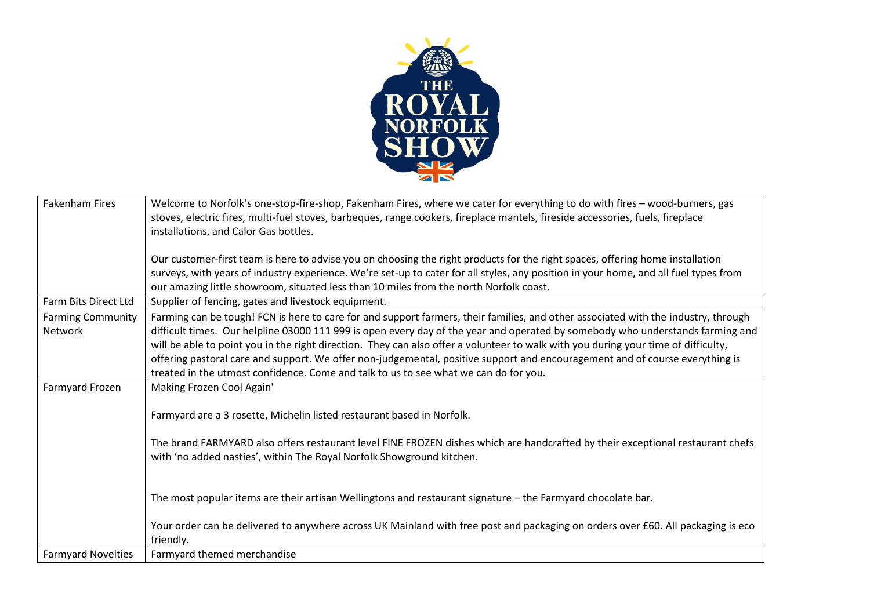

| <b>Fakenham Fires</b>     | Welcome to Norfolk's one-stop-fire-shop, Fakenham Fires, where we cater for everything to do with fires - wood-burners, gas          |
|---------------------------|--------------------------------------------------------------------------------------------------------------------------------------|
|                           | stoves, electric fires, multi-fuel stoves, barbeques, range cookers, fireplace mantels, fireside accessories, fuels, fireplace       |
|                           |                                                                                                                                      |
|                           | installations, and Calor Gas bottles.                                                                                                |
|                           |                                                                                                                                      |
|                           | Our customer-first team is here to advise you on choosing the right products for the right spaces, offering home installation        |
|                           | surveys, with years of industry experience. We're set-up to cater for all styles, any position in your home, and all fuel types from |
|                           | our amazing little showroom, situated less than 10 miles from the north Norfolk coast.                                               |
| Farm Bits Direct Ltd      | Supplier of fencing, gates and livestock equipment.                                                                                  |
| <b>Farming Community</b>  | Farming can be tough! FCN is here to care for and support farmers, their families, and other associated with the industry, through   |
| Network                   | difficult times. Our helpline 03000 111 999 is open every day of the year and operated by somebody who understands farming and       |
|                           | will be able to point you in the right direction. They can also offer a volunteer to walk with you during your time of difficulty,   |
|                           | offering pastoral care and support. We offer non-judgemental, positive support and encouragement and of course everything is         |
|                           | treated in the utmost confidence. Come and talk to us to see what we can do for you.                                                 |
| Farmyard Frozen           | Making Frozen Cool Again'                                                                                                            |
|                           |                                                                                                                                      |
|                           | Farmyard are a 3 rosette, Michelin listed restaurant based in Norfolk.                                                               |
|                           |                                                                                                                                      |
|                           | The brand FARMYARD also offers restaurant level FINE FROZEN dishes which are handcrafted by their exceptional restaurant chefs       |
|                           |                                                                                                                                      |
|                           | with 'no added nasties', within The Royal Norfolk Showground kitchen.                                                                |
|                           |                                                                                                                                      |
|                           |                                                                                                                                      |
|                           | The most popular items are their artisan Wellingtons and restaurant signature - the Farmyard chocolate bar.                          |
|                           |                                                                                                                                      |
|                           | Your order can be delivered to anywhere across UK Mainland with free post and packaging on orders over £60. All packaging is eco     |
|                           | friendly.                                                                                                                            |
| <b>Farmyard Novelties</b> | Farmyard themed merchandise                                                                                                          |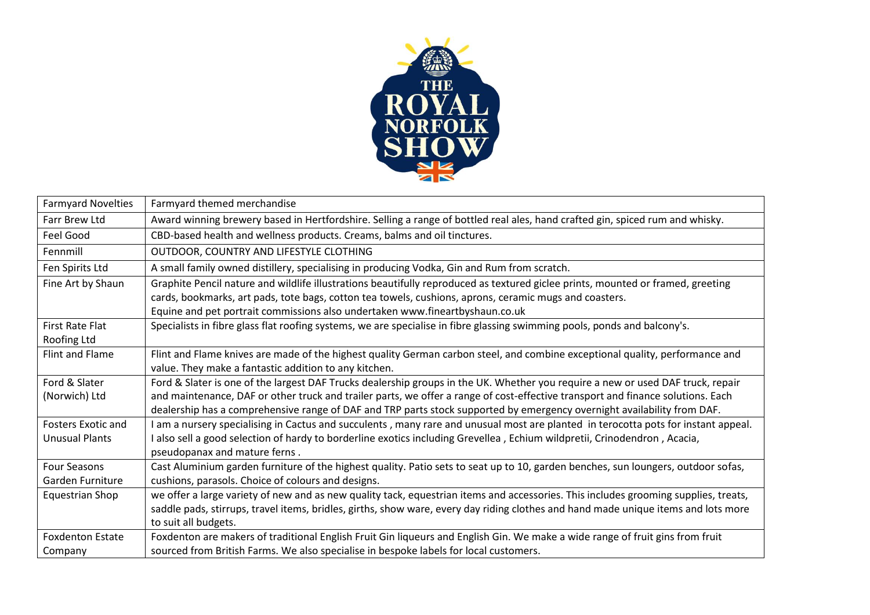

| <b>Farmyard Novelties</b> | Farmyard themed merchandise                                                                                                         |
|---------------------------|-------------------------------------------------------------------------------------------------------------------------------------|
| Farr Brew Ltd             | Award winning brewery based in Hertfordshire. Selling a range of bottled real ales, hand crafted gin, spiced rum and whisky.        |
| Feel Good                 | CBD-based health and wellness products. Creams, balms and oil tinctures.                                                            |
| Fennmill                  | OUTDOOR, COUNTRY AND LIFESTYLE CLOTHING                                                                                             |
| Fen Spirits Ltd           | A small family owned distillery, specialising in producing Vodka, Gin and Rum from scratch.                                         |
| Fine Art by Shaun         | Graphite Pencil nature and wildlife illustrations beautifully reproduced as textured giclee prints, mounted or framed, greeting     |
|                           | cards, bookmarks, art pads, tote bags, cotton tea towels, cushions, aprons, ceramic mugs and coasters.                              |
|                           | Equine and pet portrait commissions also undertaken www.fineartbyshaun.co.uk                                                        |
| <b>First Rate Flat</b>    | Specialists in fibre glass flat roofing systems, we are specialise in fibre glassing swimming pools, ponds and balcony's.           |
| Roofing Ltd               |                                                                                                                                     |
| Flint and Flame           | Flint and Flame knives are made of the highest quality German carbon steel, and combine exceptional quality, performance and        |
|                           | value. They make a fantastic addition to any kitchen.                                                                               |
| Ford & Slater             | Ford & Slater is one of the largest DAF Trucks dealership groups in the UK. Whether you require a new or used DAF truck, repair     |
| (Norwich) Ltd             | and maintenance, DAF or other truck and trailer parts, we offer a range of cost-effective transport and finance solutions. Each     |
|                           | dealership has a comprehensive range of DAF and TRP parts stock supported by emergency overnight availability from DAF.             |
| <b>Fosters Exotic and</b> | I am a nursery specialising in Cactus and succulents, many rare and unusual most are planted in terocotta pots for instant appeal.  |
| <b>Unusual Plants</b>     | I also sell a good selection of hardy to borderline exotics including Grevellea, Echium wildpretii, Crinodendron, Acacia,           |
|                           | pseudopanax and mature ferns.                                                                                                       |
| <b>Four Seasons</b>       | Cast Aluminium garden furniture of the highest quality. Patio sets to seat up to 10, garden benches, sun loungers, outdoor sofas,   |
| Garden Furniture          | cushions, parasols. Choice of colours and designs.                                                                                  |
| Equestrian Shop           | we offer a large variety of new and as new quality tack, equestrian items and accessories. This includes grooming supplies, treats, |
|                           | saddle pads, stirrups, travel items, bridles, girths, show ware, every day riding clothes and hand made unique items and lots more  |
|                           | to suit all budgets.                                                                                                                |
| <b>Foxdenton Estate</b>   | Foxdenton are makers of traditional English Fruit Gin liqueurs and English Gin. We make a wide range of fruit gins from fruit       |
| Company                   | sourced from British Farms. We also specialise in bespoke labels for local customers.                                               |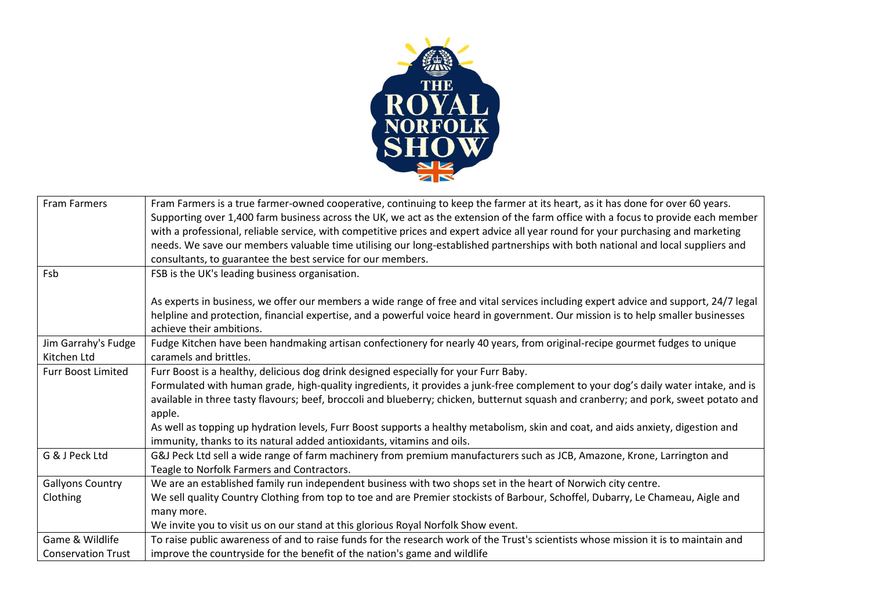

| <b>Fram Farmers</b>       | Fram Farmers is a true farmer-owned cooperative, continuing to keep the farmer at its heart, as it has done for over 60 years.       |
|---------------------------|--------------------------------------------------------------------------------------------------------------------------------------|
|                           | Supporting over 1,400 farm business across the UK, we act as the extension of the farm office with a focus to provide each member    |
|                           | with a professional, reliable service, with competitive prices and expert advice all year round for your purchasing and marketing    |
|                           | needs. We save our members valuable time utilising our long-established partnerships with both national and local suppliers and      |
|                           | consultants, to guarantee the best service for our members.                                                                          |
| Fsb                       | FSB is the UK's leading business organisation.                                                                                       |
|                           |                                                                                                                                      |
|                           | As experts in business, we offer our members a wide range of free and vital services including expert advice and support, 24/7 legal |
|                           | helpline and protection, financial expertise, and a powerful voice heard in government. Our mission is to help smaller businesses    |
|                           | achieve their ambitions.                                                                                                             |
| Jim Garrahy's Fudge       | Fudge Kitchen have been handmaking artisan confectionery for nearly 40 years, from original-recipe gourmet fudges to unique          |
| Kitchen Ltd               | caramels and brittles.                                                                                                               |
| <b>Furr Boost Limited</b> | Furr Boost is a healthy, delicious dog drink designed especially for your Furr Baby.                                                 |
|                           | Formulated with human grade, high-quality ingredients, it provides a junk-free complement to your dog's daily water intake, and is   |
|                           | available in three tasty flavours; beef, broccoli and blueberry; chicken, butternut squash and cranberry; and pork, sweet potato and |
|                           | apple.                                                                                                                               |
|                           | As well as topping up hydration levels, Furr Boost supports a healthy metabolism, skin and coat, and aids anxiety, digestion and     |
|                           | immunity, thanks to its natural added antioxidants, vitamins and oils.                                                               |
| G & J Peck Ltd            | G&J Peck Ltd sell a wide range of farm machinery from premium manufacturers such as JCB, Amazone, Krone, Larrington and              |
|                           | Teagle to Norfolk Farmers and Contractors.                                                                                           |
| <b>Gallyons Country</b>   | We are an established family run independent business with two shops set in the heart of Norwich city centre.                        |
| Clothing                  | We sell quality Country Clothing from top to toe and are Premier stockists of Barbour, Schoffel, Dubarry, Le Chameau, Aigle and      |
|                           | many more.                                                                                                                           |
|                           | We invite you to visit us on our stand at this glorious Royal Norfolk Show event.                                                    |
| Game & Wildlife           | To raise public awareness of and to raise funds for the research work of the Trust's scientists whose mission it is to maintain and  |
| <b>Conservation Trust</b> | improve the countryside for the benefit of the nation's game and wildlife                                                            |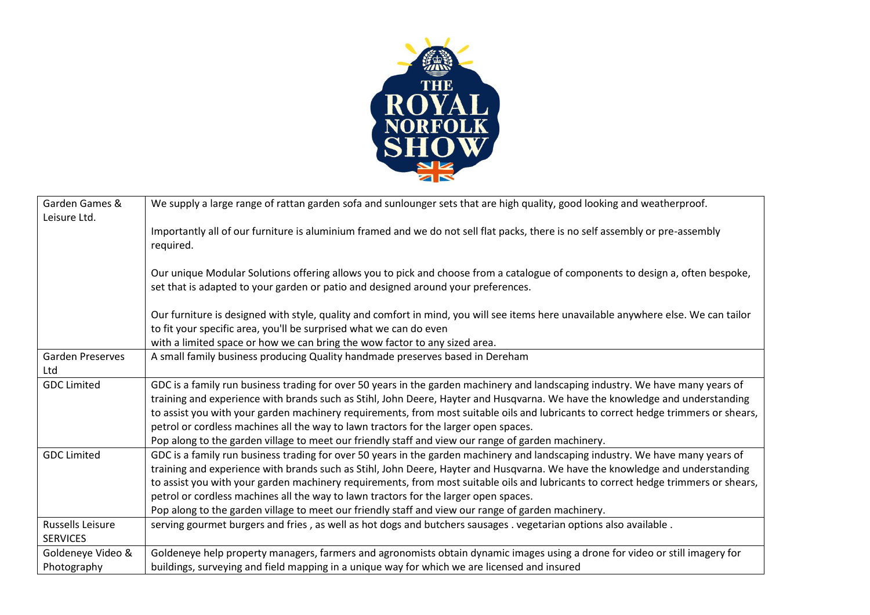

| Garden Games &          | We supply a large range of rattan garden sofa and sunlounger sets that are high quality, good looking and weatherproof.                                                                                             |
|-------------------------|---------------------------------------------------------------------------------------------------------------------------------------------------------------------------------------------------------------------|
| Leisure Ltd.            | Importantly all of our furniture is aluminium framed and we do not sell flat packs, there is no self assembly or pre-assembly                                                                                       |
|                         | required.                                                                                                                                                                                                           |
|                         |                                                                                                                                                                                                                     |
|                         | Our unique Modular Solutions offering allows you to pick and choose from a catalogue of components to design a, often bespoke,<br>set that is adapted to your garden or patio and designed around your preferences. |
|                         | Our furniture is designed with style, quality and comfort in mind, you will see items here unavailable anywhere else. We can tailor                                                                                 |
|                         | to fit your specific area, you'll be surprised what we can do even                                                                                                                                                  |
|                         | with a limited space or how we can bring the wow factor to any sized area.                                                                                                                                          |
| <b>Garden Preserves</b> | A small family business producing Quality handmade preserves based in Dereham                                                                                                                                       |
| Ltd                     |                                                                                                                                                                                                                     |
| <b>GDC Limited</b>      | GDC is a family run business trading for over 50 years in the garden machinery and landscaping industry. We have many years of                                                                                      |
|                         | training and experience with brands such as Stihl, John Deere, Hayter and Husqvarna. We have the knowledge and understanding                                                                                        |
|                         | to assist you with your garden machinery requirements, from most suitable oils and lubricants to correct hedge trimmers or shears,                                                                                  |
|                         | petrol or cordless machines all the way to lawn tractors for the larger open spaces.                                                                                                                                |
|                         | Pop along to the garden village to meet our friendly staff and view our range of garden machinery.                                                                                                                  |
| <b>GDC Limited</b>      | GDC is a family run business trading for over 50 years in the garden machinery and landscaping industry. We have many years of                                                                                      |
|                         | training and experience with brands such as Stihl, John Deere, Hayter and Husqvarna. We have the knowledge and understanding                                                                                        |
|                         | to assist you with your garden machinery requirements, from most suitable oils and lubricants to correct hedge trimmers or shears,                                                                                  |
|                         | petrol or cordless machines all the way to lawn tractors for the larger open spaces.                                                                                                                                |
|                         | Pop along to the garden village to meet our friendly staff and view our range of garden machinery.                                                                                                                  |
| <b>Russells Leisure</b> | serving gourmet burgers and fries, as well as hot dogs and butchers sausages. vegetarian options also available.                                                                                                    |
| <b>SERVICES</b>         |                                                                                                                                                                                                                     |
| Goldeneye Video &       | Goldeneye help property managers, farmers and agronomists obtain dynamic images using a drone for video or still imagery for                                                                                        |
| Photography             | buildings, surveying and field mapping in a unique way for which we are licensed and insured                                                                                                                        |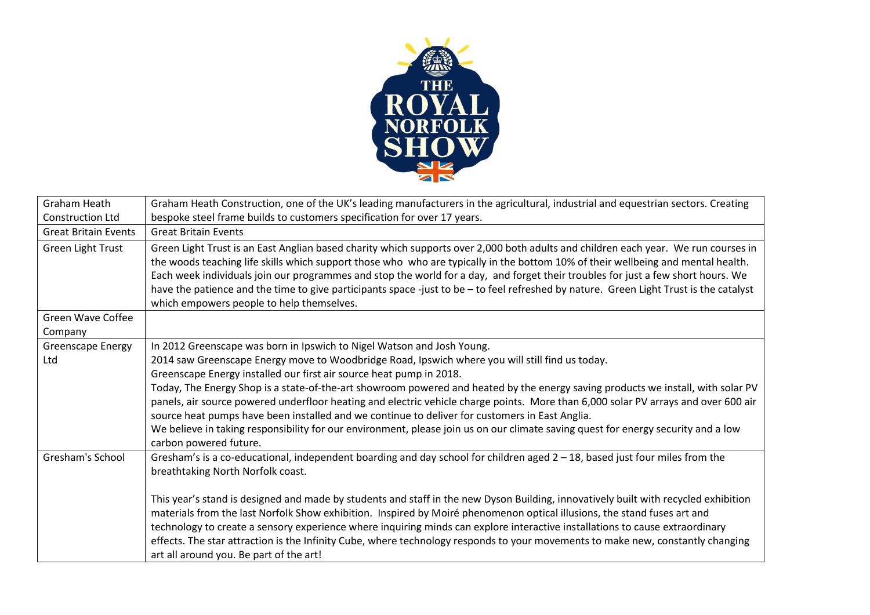

| Graham Heath                 | Graham Heath Construction, one of the UK's leading manufacturers in the agricultural, industrial and equestrian sectors. Creating                                                                                                                                                                                                                                                                                                                                                                                                                                                                 |
|------------------------------|---------------------------------------------------------------------------------------------------------------------------------------------------------------------------------------------------------------------------------------------------------------------------------------------------------------------------------------------------------------------------------------------------------------------------------------------------------------------------------------------------------------------------------------------------------------------------------------------------|
| <b>Construction Ltd</b>      | bespoke steel frame builds to customers specification for over 17 years.                                                                                                                                                                                                                                                                                                                                                                                                                                                                                                                          |
| <b>Great Britain Events</b>  | <b>Great Britain Events</b>                                                                                                                                                                                                                                                                                                                                                                                                                                                                                                                                                                       |
| Green Light Trust            | Green Light Trust is an East Anglian based charity which supports over 2,000 both adults and children each year. We run courses in<br>the woods teaching life skills which support those who who are typically in the bottom 10% of their wellbeing and mental health.<br>Each week individuals join our programmes and stop the world for a day, and forget their troubles for just a few short hours. We<br>have the patience and the time to give participants space -just to be - to feel refreshed by nature. Green Light Trust is the catalyst<br>which empowers people to help themselves. |
| Green Wave Coffee<br>Company |                                                                                                                                                                                                                                                                                                                                                                                                                                                                                                                                                                                                   |
| <b>Greenscape Energy</b>     | In 2012 Greenscape was born in Ipswich to Nigel Watson and Josh Young.                                                                                                                                                                                                                                                                                                                                                                                                                                                                                                                            |
| Ltd                          | 2014 saw Greenscape Energy move to Woodbridge Road, Ipswich where you will still find us today.                                                                                                                                                                                                                                                                                                                                                                                                                                                                                                   |
|                              | Greenscape Energy installed our first air source heat pump in 2018.                                                                                                                                                                                                                                                                                                                                                                                                                                                                                                                               |
|                              | Today, The Energy Shop is a state-of-the-art showroom powered and heated by the energy saving products we install, with solar PV<br>panels, air source powered underfloor heating and electric vehicle charge points. More than 6,000 solar PV arrays and over 600 air<br>source heat pumps have been installed and we continue to deliver for customers in East Anglia.                                                                                                                                                                                                                          |
|                              | We believe in taking responsibility for our environment, please join us on our climate saving quest for energy security and a low<br>carbon powered future.                                                                                                                                                                                                                                                                                                                                                                                                                                       |
| Gresham's School             | Gresham's is a co-educational, independent boarding and day school for children aged 2 - 18, based just four miles from the<br>breathtaking North Norfolk coast.                                                                                                                                                                                                                                                                                                                                                                                                                                  |
|                              | This year's stand is designed and made by students and staff in the new Dyson Building, innovatively built with recycled exhibition<br>materials from the last Norfolk Show exhibition. Inspired by Moiré phenomenon optical illusions, the stand fuses art and<br>technology to create a sensory experience where inquiring minds can explore interactive installations to cause extraordinary<br>effects. The star attraction is the Infinity Cube, where technology responds to your movements to make new, constantly changing<br>art all around you. Be part of the art!                     |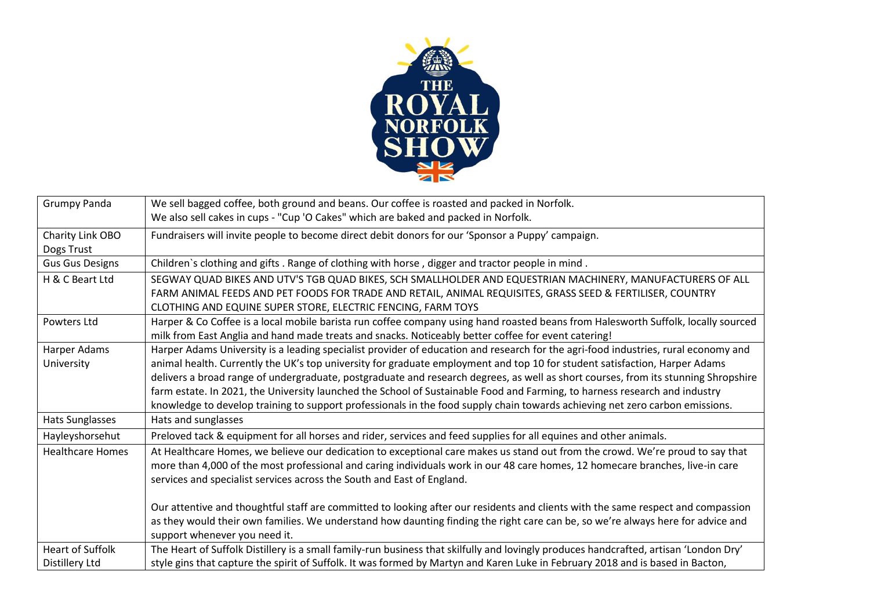

| <b>Grumpy Panda</b>     | We sell bagged coffee, both ground and beans. Our coffee is roasted and packed in Norfolk.                                            |
|-------------------------|---------------------------------------------------------------------------------------------------------------------------------------|
|                         | We also sell cakes in cups - "Cup 'O Cakes" which are baked and packed in Norfolk.                                                    |
| Charity Link OBO        | Fundraisers will invite people to become direct debit donors for our 'Sponsor a Puppy' campaign.                                      |
| Dogs Trust              |                                                                                                                                       |
| <b>Gus Gus Designs</b>  | Children's clothing and gifts . Range of clothing with horse, digger and tractor people in mind.                                      |
| H & C Beart Ltd         | SEGWAY QUAD BIKES AND UTV'S TGB QUAD BIKES, SCH SMALLHOLDER AND EQUESTRIAN MACHINERY, MANUFACTURERS OF ALL                            |
|                         | FARM ANIMAL FEEDS AND PET FOODS FOR TRADE AND RETAIL, ANIMAL REQUISITES, GRASS SEED & FERTILISER, COUNTRY                             |
|                         | CLOTHING AND EQUINE SUPER STORE, ELECTRIC FENCING, FARM TOYS                                                                          |
| Powters Ltd             | Harper & Co Coffee is a local mobile barista run coffee company using hand roasted beans from Halesworth Suffolk, locally sourced     |
|                         | milk from East Anglia and hand made treats and snacks. Noticeably better coffee for event catering!                                   |
| Harper Adams            | Harper Adams University is a leading specialist provider of education and research for the agri-food industries, rural economy and    |
| University              | animal health. Currently the UK's top university for graduate employment and top 10 for student satisfaction, Harper Adams            |
|                         | delivers a broad range of undergraduate, postgraduate and research degrees, as well as short courses, from its stunning Shropshire    |
|                         | farm estate. In 2021, the University launched the School of Sustainable Food and Farming, to harness research and industry            |
|                         | knowledge to develop training to support professionals in the food supply chain towards achieving net zero carbon emissions.          |
| Hats Sunglasses         | Hats and sunglasses                                                                                                                   |
| Hayleyshorsehut         | Preloved tack & equipment for all horses and rider, services and feed supplies for all equines and other animals.                     |
| <b>Healthcare Homes</b> | At Healthcare Homes, we believe our dedication to exceptional care makes us stand out from the crowd. We're proud to say that         |
|                         | more than 4,000 of the most professional and caring individuals work in our 48 care homes, 12 homecare branches, live-in care         |
|                         | services and specialist services across the South and East of England.                                                                |
|                         |                                                                                                                                       |
|                         | Our attentive and thoughtful staff are committed to looking after our residents and clients with the same respect and compassion      |
|                         | as they would their own families. We understand how daunting finding the right care can be, so we're always here for advice and       |
|                         | support whenever you need it.                                                                                                         |
| <b>Heart of Suffolk</b> | The Heart of Suffolk Distillery is a small family-run business that skilfully and lovingly produces handcrafted, artisan 'London Dry' |
| Distillery Ltd          | style gins that capture the spirit of Suffolk. It was formed by Martyn and Karen Luke in February 2018 and is based in Bacton,        |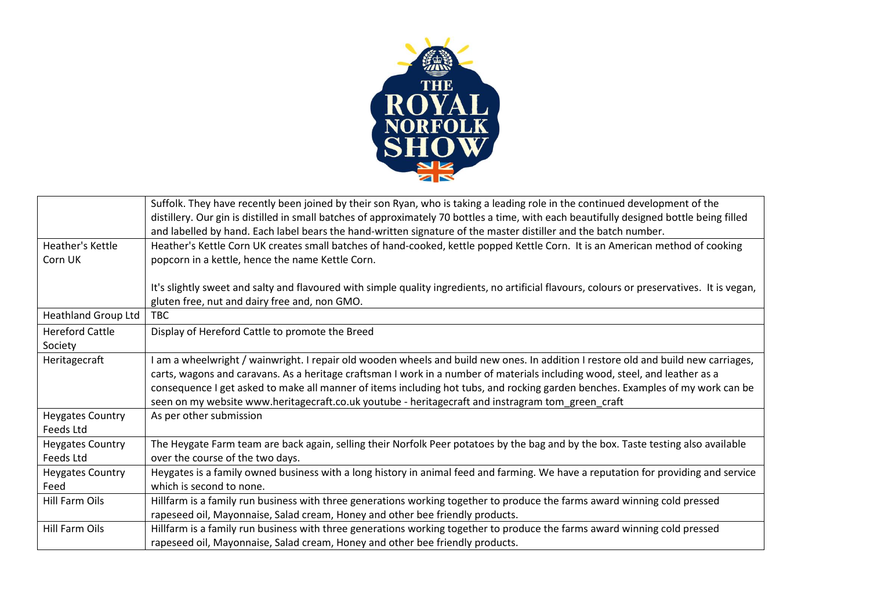

|                            | Suffolk. They have recently been joined by their son Ryan, who is taking a leading role in the continued development of the                 |
|----------------------------|---------------------------------------------------------------------------------------------------------------------------------------------|
|                            | distillery. Our gin is distilled in small batches of approximately 70 bottles a time, with each beautifully designed bottle being filled    |
|                            | and labelled by hand. Each label bears the hand-written signature of the master distiller and the batch number.                             |
| Heather's Kettle           | Heather's Kettle Corn UK creates small batches of hand-cooked, kettle popped Kettle Corn. It is an American method of cooking               |
| Corn UK                    | popcorn in a kettle, hence the name Kettle Corn.                                                                                            |
|                            |                                                                                                                                             |
|                            | It's slightly sweet and salty and flavoured with simple quality ingredients, no artificial flavours, colours or preservatives. It is vegan, |
|                            | gluten free, nut and dairy free and, non GMO.                                                                                               |
| <b>Heathland Group Ltd</b> | TBC.                                                                                                                                        |
| <b>Hereford Cattle</b>     | Display of Hereford Cattle to promote the Breed                                                                                             |
| Society                    |                                                                                                                                             |
| Heritagecraft              | I am a wheelwright / wainwright. I repair old wooden wheels and build new ones. In addition I restore old and build new carriages,          |
|                            | carts, wagons and caravans. As a heritage craftsman I work in a number of materials including wood, steel, and leather as a                 |
|                            | consequence I get asked to make all manner of items including hot tubs, and rocking garden benches. Examples of my work can be              |
|                            | seen on my website www.heritagecraft.co.uk youtube - heritagecraft and instragram tom_green_craft                                           |
| <b>Heygates Country</b>    | As per other submission                                                                                                                     |
| Feeds Ltd                  |                                                                                                                                             |
| <b>Heygates Country</b>    | The Heygate Farm team are back again, selling their Norfolk Peer potatoes by the bag and by the box. Taste testing also available           |
| Feeds Ltd                  | over the course of the two days.                                                                                                            |
| <b>Heygates Country</b>    | Heygates is a family owned business with a long history in animal feed and farming. We have a reputation for providing and service          |
| Feed                       | which is second to none.                                                                                                                    |
| Hill Farm Oils             | Hillfarm is a family run business with three generations working together to produce the farms award winning cold pressed                   |
|                            | rapeseed oil, Mayonnaise, Salad cream, Honey and other bee friendly products.                                                               |
| <b>Hill Farm Oils</b>      | Hillfarm is a family run business with three generations working together to produce the farms award winning cold pressed                   |
|                            | rapeseed oil, Mayonnaise, Salad cream, Honey and other bee friendly products.                                                               |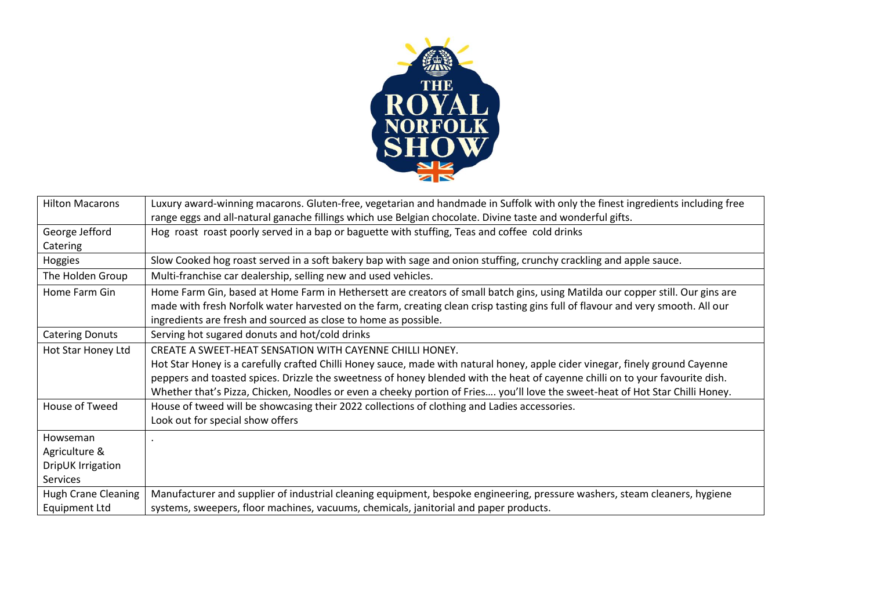

| <b>Hilton Macarons</b>     | Luxury award-winning macarons. Gluten-free, vegetarian and handmade in Suffolk with only the finest ingredients including free  |
|----------------------------|---------------------------------------------------------------------------------------------------------------------------------|
|                            | range eggs and all-natural ganache fillings which use Belgian chocolate. Divine taste and wonderful gifts.                      |
| George Jefford             | Hog roast roast poorly served in a bap or baguette with stuffing, Teas and coffee cold drinks                                   |
| Catering                   |                                                                                                                                 |
| Hoggies                    | Slow Cooked hog roast served in a soft bakery bap with sage and onion stuffing, crunchy crackling and apple sauce.              |
| The Holden Group           | Multi-franchise car dealership, selling new and used vehicles.                                                                  |
| Home Farm Gin              | Home Farm Gin, based at Home Farm in Hethersett are creators of small batch gins, using Matilda our copper still. Our gins are  |
|                            | made with fresh Norfolk water harvested on the farm, creating clean crisp tasting gins full of flavour and very smooth. All our |
|                            | ingredients are fresh and sourced as close to home as possible.                                                                 |
| <b>Catering Donuts</b>     | Serving hot sugared donuts and hot/cold drinks                                                                                  |
| Hot Star Honey Ltd         | CREATE A SWEET-HEAT SENSATION WITH CAYENNE CHILLI HONEY.                                                                        |
|                            | Hot Star Honey is a carefully crafted Chilli Honey sauce, made with natural honey, apple cider vinegar, finely ground Cayenne   |
|                            | peppers and toasted spices. Drizzle the sweetness of honey blended with the heat of cayenne chilli on to your favourite dish.   |
|                            | Whether that's Pizza, Chicken, Noodles or even a cheeky portion of Fries you'll love the sweet-heat of Hot Star Chilli Honey.   |
| House of Tweed             | House of tweed will be showcasing their 2022 collections of clothing and Ladies accessories.                                    |
|                            | Look out for special show offers                                                                                                |
| Howseman                   |                                                                                                                                 |
| Agriculture &              |                                                                                                                                 |
| DripUK Irrigation          |                                                                                                                                 |
| <b>Services</b>            |                                                                                                                                 |
| <b>Hugh Crane Cleaning</b> | Manufacturer and supplier of industrial cleaning equipment, bespoke engineering, pressure washers, steam cleaners, hygiene      |
| <b>Equipment Ltd</b>       | systems, sweepers, floor machines, vacuums, chemicals, janitorial and paper products.                                           |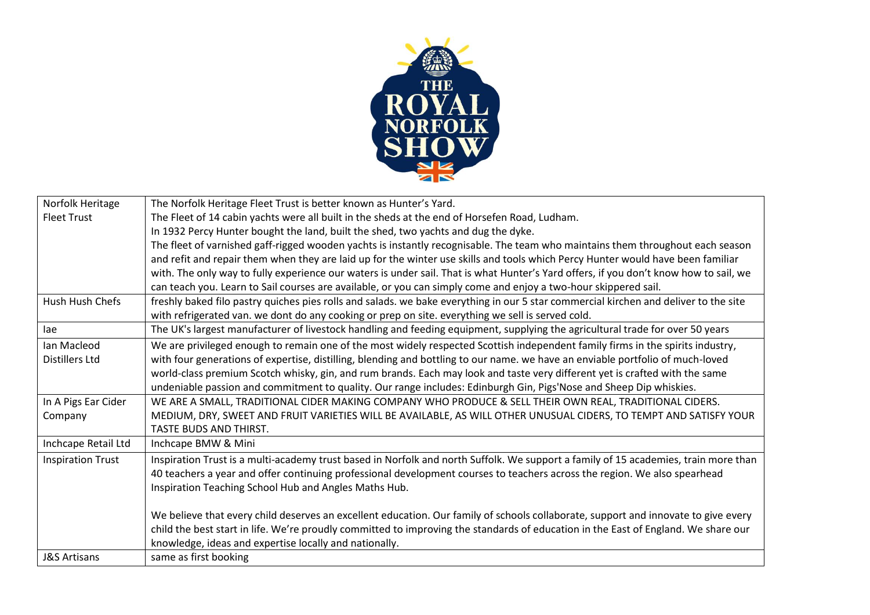

| The fleet of varnished gaff-rigged wooden yachts is instantly recognisable. The team who maintains them throughout each season                                                                                                                           |
|----------------------------------------------------------------------------------------------------------------------------------------------------------------------------------------------------------------------------------------------------------|
| and refit and repair them when they are laid up for the winter use skills and tools which Percy Hunter would have been familiar                                                                                                                          |
| with. The only way to fully experience our waters is under sail. That is what Hunter's Yard offers, if you don't know how to sail, we                                                                                                                    |
|                                                                                                                                                                                                                                                          |
| freshly baked filo pastry quiches pies rolls and salads. we bake everything in our 5 star commercial kirchen and deliver to the site                                                                                                                     |
|                                                                                                                                                                                                                                                          |
| The UK's largest manufacturer of livestock handling and feeding equipment, supplying the agricultural trade for over 50 years                                                                                                                            |
| We are privileged enough to remain one of the most widely respected Scottish independent family firms in the spirits industry,                                                                                                                           |
| with four generations of expertise, distilling, blending and bottling to our name. we have an enviable portfolio of much-loved                                                                                                                           |
|                                                                                                                                                                                                                                                          |
|                                                                                                                                                                                                                                                          |
|                                                                                                                                                                                                                                                          |
| MEDIUM, DRY, SWEET AND FRUIT VARIETIES WILL BE AVAILABLE, AS WILL OTHER UNUSUAL CIDERS, TO TEMPT AND SATISFY YOUR                                                                                                                                        |
|                                                                                                                                                                                                                                                          |
|                                                                                                                                                                                                                                                          |
| Inspiration Trust is a multi-academy trust based in Norfolk and north Suffolk. We support a family of 15 academies, train more than                                                                                                                      |
|                                                                                                                                                                                                                                                          |
|                                                                                                                                                                                                                                                          |
|                                                                                                                                                                                                                                                          |
| We believe that every child deserves an excellent education. Our family of schools collaborate, support and innovate to give every                                                                                                                       |
| child the best start in life. We're proudly committed to improving the standards of education in the East of England. We share our                                                                                                                       |
|                                                                                                                                                                                                                                                          |
|                                                                                                                                                                                                                                                          |
| world-class premium Scotch whisky, gin, and rum brands. Each may look and taste very different yet is crafted with the same<br>40 teachers a year and offer continuing professional development courses to teachers across the region. We also spearhead |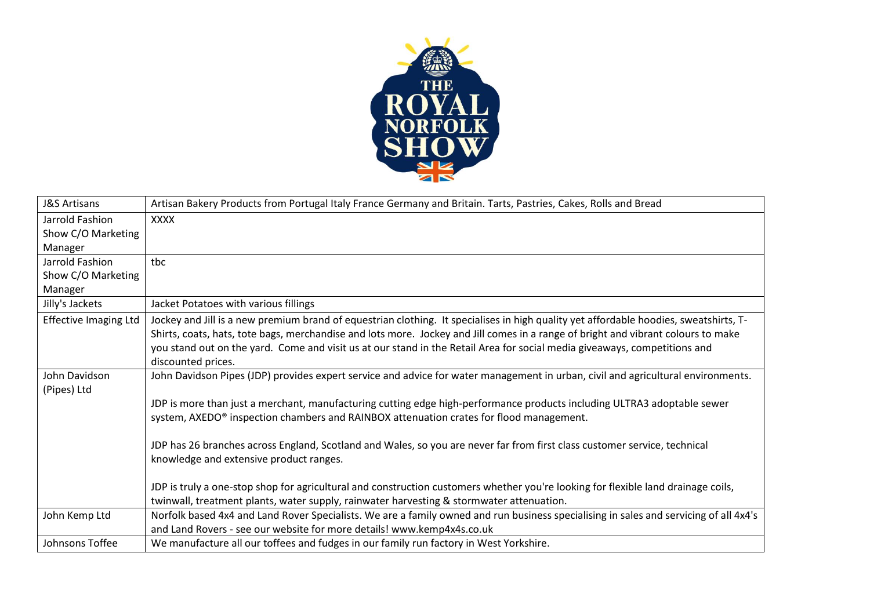

| <b>J&amp;S Artisans</b>      | Artisan Bakery Products from Portugal Italy France Germany and Britain. Tarts, Pastries, Cakes, Rolls and Bread                                                                                                                                                                                                                                                                                                               |
|------------------------------|-------------------------------------------------------------------------------------------------------------------------------------------------------------------------------------------------------------------------------------------------------------------------------------------------------------------------------------------------------------------------------------------------------------------------------|
| Jarrold Fashion              | <b>XXXX</b>                                                                                                                                                                                                                                                                                                                                                                                                                   |
| Show C/O Marketing           |                                                                                                                                                                                                                                                                                                                                                                                                                               |
| Manager                      |                                                                                                                                                                                                                                                                                                                                                                                                                               |
| Jarrold Fashion              | tbc                                                                                                                                                                                                                                                                                                                                                                                                                           |
| Show C/O Marketing           |                                                                                                                                                                                                                                                                                                                                                                                                                               |
| Manager                      |                                                                                                                                                                                                                                                                                                                                                                                                                               |
| Jilly's Jackets              | Jacket Potatoes with various fillings                                                                                                                                                                                                                                                                                                                                                                                         |
| <b>Effective Imaging Ltd</b> | Jockey and Jill is a new premium brand of equestrian clothing. It specialises in high quality yet affordable hoodies, sweatshirts, T-<br>Shirts, coats, hats, tote bags, merchandise and lots more. Jockey and Jill comes in a range of bright and vibrant colours to make<br>you stand out on the yard. Come and visit us at our stand in the Retail Area for social media giveaways, competitions and<br>discounted prices. |
| John Davidson<br>(Pipes) Ltd | John Davidson Pipes (JDP) provides expert service and advice for water management in urban, civil and agricultural environments.                                                                                                                                                                                                                                                                                              |
|                              | JDP is more than just a merchant, manufacturing cutting edge high-performance products including ULTRA3 adoptable sewer<br>system, AXEDO® inspection chambers and RAINBOX attenuation crates for flood management.                                                                                                                                                                                                            |
|                              | JDP has 26 branches across England, Scotland and Wales, so you are never far from first class customer service, technical<br>knowledge and extensive product ranges.                                                                                                                                                                                                                                                          |
|                              | JDP is truly a one-stop shop for agricultural and construction customers whether you're looking for flexible land drainage coils,                                                                                                                                                                                                                                                                                             |
|                              | twinwall, treatment plants, water supply, rainwater harvesting & stormwater attenuation.                                                                                                                                                                                                                                                                                                                                      |
| John Kemp Ltd                | Norfolk based 4x4 and Land Rover Specialists. We are a family owned and run business specialising in sales and servicing of all 4x4's                                                                                                                                                                                                                                                                                         |
|                              | and Land Rovers - see our website for more details! www.kemp4x4s.co.uk                                                                                                                                                                                                                                                                                                                                                        |
| Johnsons Toffee              | We manufacture all our toffees and fudges in our family run factory in West Yorkshire.                                                                                                                                                                                                                                                                                                                                        |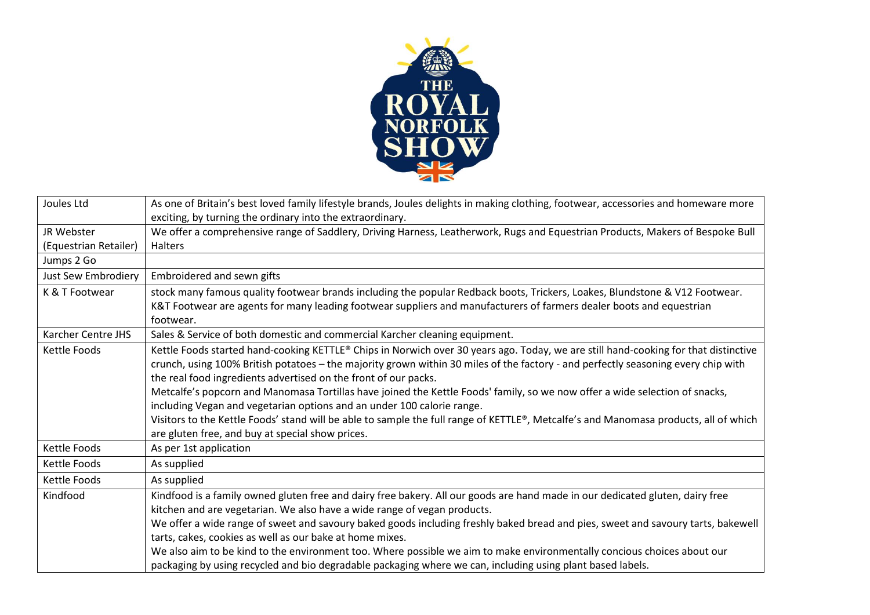

| Joules Ltd            | As one of Britain's best loved family lifestyle brands, Joules delights in making clothing, footwear, accessories and homeware more  |
|-----------------------|--------------------------------------------------------------------------------------------------------------------------------------|
|                       | exciting, by turning the ordinary into the extraordinary.                                                                            |
| JR Webster            | We offer a comprehensive range of Saddlery, Driving Harness, Leatherwork, Rugs and Equestrian Products, Makers of Bespoke Bull       |
| (Equestrian Retailer) | Halters                                                                                                                              |
| Jumps 2 Go            |                                                                                                                                      |
| Just Sew Embrodiery   | Embroidered and sewn gifts                                                                                                           |
| K & T Footwear        | stock many famous quality footwear brands including the popular Redback boots, Trickers, Loakes, Blundstone & V12 Footwear.          |
|                       | K&T Footwear are agents for many leading footwear suppliers and manufacturers of farmers dealer boots and equestrian                 |
|                       | footwear.                                                                                                                            |
| Karcher Centre JHS    | Sales & Service of both domestic and commercial Karcher cleaning equipment.                                                          |
| Kettle Foods          | Kettle Foods started hand-cooking KETTLE® Chips in Norwich over 30 years ago. Today, we are still hand-cooking for that distinctive  |
|                       | crunch, using 100% British potatoes - the majority grown within 30 miles of the factory - and perfectly seasoning every chip with    |
|                       | the real food ingredients advertised on the front of our packs.                                                                      |
|                       | Metcalfe's popcorn and Manomasa Tortillas have joined the Kettle Foods' family, so we now offer a wide selection of snacks,          |
|                       | including Vegan and vegetarian options and an under 100 calorie range.                                                               |
|                       | Visitors to the Kettle Foods' stand will be able to sample the full range of KETTLE®, Metcalfe's and Manomasa products, all of which |
|                       | are gluten free, and buy at special show prices.                                                                                     |
| Kettle Foods          | As per 1st application                                                                                                               |
| Kettle Foods          | As supplied                                                                                                                          |
| Kettle Foods          | As supplied                                                                                                                          |
| Kindfood              | Kindfood is a family owned gluten free and dairy free bakery. All our goods are hand made in our dedicated gluten, dairy free        |
|                       | kitchen and are vegetarian. We also have a wide range of vegan products.                                                             |
|                       | We offer a wide range of sweet and savoury baked goods including freshly baked bread and pies, sweet and savoury tarts, bakewell     |
|                       | tarts, cakes, cookies as well as our bake at home mixes.                                                                             |
|                       | We also aim to be kind to the environment too. Where possible we aim to make environmentally concious choices about our              |
|                       | packaging by using recycled and bio degradable packaging where we can, including using plant based labels.                           |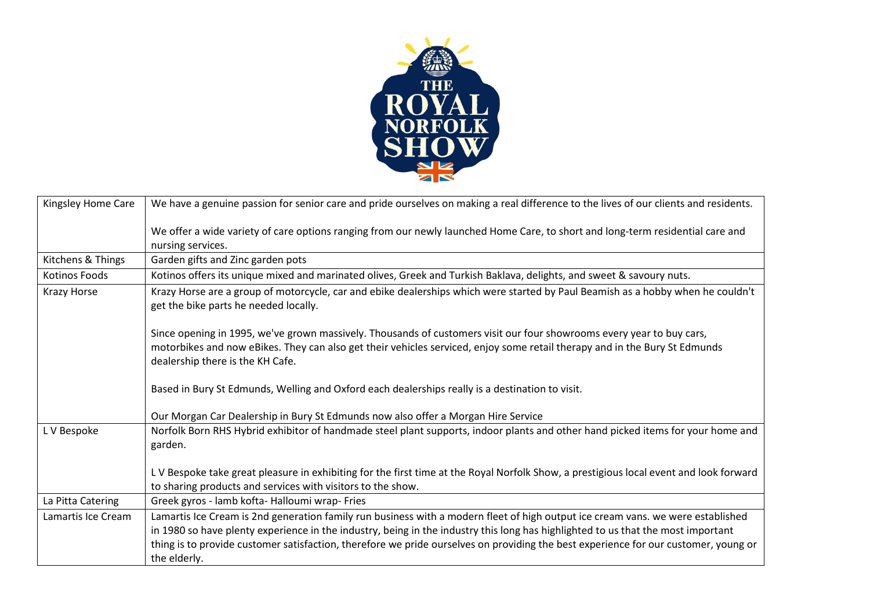

| Kingsley Home Care | We have a genuine passion for senior care and pride ourselves on making a real difference to the lives of our clients and residents.                                                                                                                                                                                                                                                                                       |
|--------------------|----------------------------------------------------------------------------------------------------------------------------------------------------------------------------------------------------------------------------------------------------------------------------------------------------------------------------------------------------------------------------------------------------------------------------|
|                    | We offer a wide variety of care options ranging from our newly launched Home Care, to short and long-term residential care and<br>nursing services.                                                                                                                                                                                                                                                                        |
| Kitchens & Things  | Garden gifts and Zinc garden pots                                                                                                                                                                                                                                                                                                                                                                                          |
| Kotinos Foods      | Kotinos offers its unique mixed and marinated olives, Greek and Turkish Baklava, delights, and sweet & savoury nuts.                                                                                                                                                                                                                                                                                                       |
| Krazy Horse        | Krazy Horse are a group of motorcycle, car and ebike dealerships which were started by Paul Beamish as a hobby when he couldn't<br>get the bike parts he needed locally.                                                                                                                                                                                                                                                   |
|                    | Since opening in 1995, we've grown massively. Thousands of customers visit our four showrooms every year to buy cars,<br>motorbikes and now eBikes. They can also get their vehicles serviced, enjoy some retail therapy and in the Bury St Edmunds<br>dealership there is the KH Cafe.                                                                                                                                    |
|                    | Based in Bury St Edmunds, Welling and Oxford each dealerships really is a destination to visit.                                                                                                                                                                                                                                                                                                                            |
|                    | Our Morgan Car Dealership in Bury St Edmunds now also offer a Morgan Hire Service                                                                                                                                                                                                                                                                                                                                          |
| L V Bespoke        | Norfolk Born RHS Hybrid exhibitor of handmade steel plant supports, indoor plants and other hand picked items for your home and<br>garden.                                                                                                                                                                                                                                                                                 |
|                    | LV Bespoke take great pleasure in exhibiting for the first time at the Royal Norfolk Show, a prestigious local event and look forward<br>to sharing products and services with visitors to the show.                                                                                                                                                                                                                       |
| La Pitta Catering  | Greek gyros - lamb kofta- Halloumi wrap- Fries                                                                                                                                                                                                                                                                                                                                                                             |
| Lamartis Ice Cream | Lamartis Ice Cream is 2nd generation family run business with a modern fleet of high output ice cream vans. we were established<br>in 1980 so have plenty experience in the industry, being in the industry this long has highlighted to us that the most important<br>thing is to provide customer satisfaction, therefore we pride ourselves on providing the best experience for our customer, young or<br>the elderly. |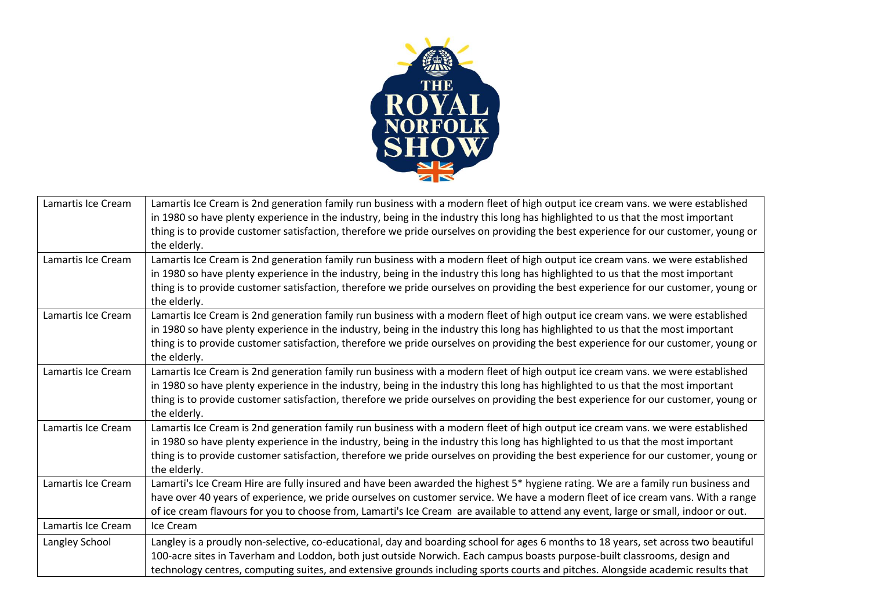

| Lamartis Ice Cream | Lamartis Ice Cream is 2nd generation family run business with a modern fleet of high output ice cream vans. we were established<br>in 1980 so have plenty experience in the industry, being in the industry this long has highlighted to us that the most important<br>thing is to provide customer satisfaction, therefore we pride ourselves on providing the best experience for our customer, young or<br>the elderly. |
|--------------------|----------------------------------------------------------------------------------------------------------------------------------------------------------------------------------------------------------------------------------------------------------------------------------------------------------------------------------------------------------------------------------------------------------------------------|
| Lamartis Ice Cream | Lamartis Ice Cream is 2nd generation family run business with a modern fleet of high output ice cream vans. we were established<br>in 1980 so have plenty experience in the industry, being in the industry this long has highlighted to us that the most important<br>thing is to provide customer satisfaction, therefore we pride ourselves on providing the best experience for our customer, young or<br>the elderly. |
| Lamartis Ice Cream | Lamartis Ice Cream is 2nd generation family run business with a modern fleet of high output ice cream vans. we were established<br>in 1980 so have plenty experience in the industry, being in the industry this long has highlighted to us that the most important<br>thing is to provide customer satisfaction, therefore we pride ourselves on providing the best experience for our customer, young or<br>the elderly. |
| Lamartis Ice Cream | Lamartis Ice Cream is 2nd generation family run business with a modern fleet of high output ice cream vans. we were established<br>in 1980 so have plenty experience in the industry, being in the industry this long has highlighted to us that the most important<br>thing is to provide customer satisfaction, therefore we pride ourselves on providing the best experience for our customer, young or<br>the elderly. |
| Lamartis Ice Cream | Lamartis Ice Cream is 2nd generation family run business with a modern fleet of high output ice cream vans. we were established<br>in 1980 so have plenty experience in the industry, being in the industry this long has highlighted to us that the most important<br>thing is to provide customer satisfaction, therefore we pride ourselves on providing the best experience for our customer, young or<br>the elderly. |
| Lamartis Ice Cream | Lamarti's Ice Cream Hire are fully insured and have been awarded the highest 5* hygiene rating. We are a family run business and<br>have over 40 years of experience, we pride ourselves on customer service. We have a modern fleet of ice cream vans. With a range<br>of ice cream flavours for you to choose from, Lamarti's Ice Cream are available to attend any event, large or small, indoor or out.                |
| Lamartis Ice Cream | Ice Cream                                                                                                                                                                                                                                                                                                                                                                                                                  |
| Langley School     | Langley is a proudly non-selective, co-educational, day and boarding school for ages 6 months to 18 years, set across two beautiful<br>100-acre sites in Taverham and Loddon, both just outside Norwich. Each campus boasts purpose-built classrooms, design and<br>technology centres, computing suites, and extensive grounds including sports courts and pitches. Alongside academic results that                       |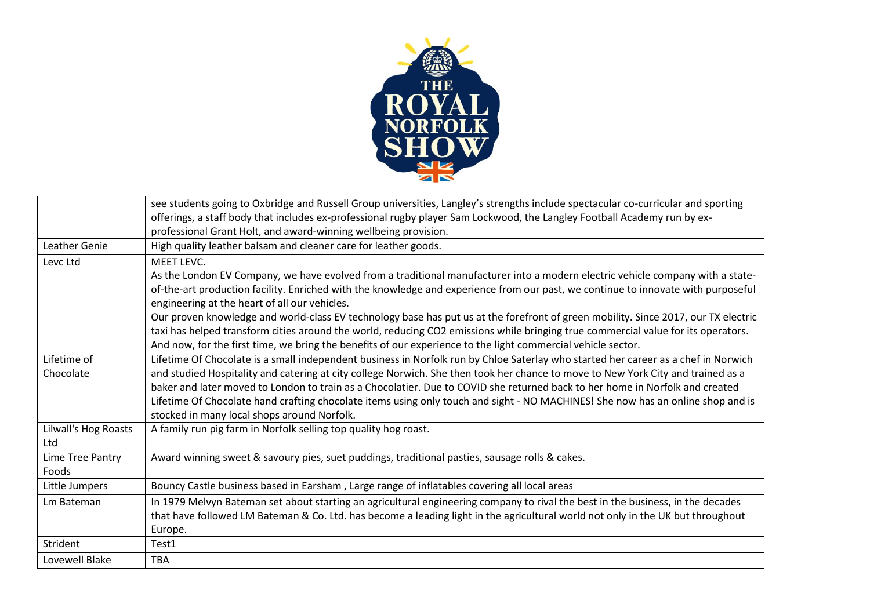

|                             | see students going to Oxbridge and Russell Group universities, Langley's strengths include spectacular co-curricular and sporting<br>offerings, a staff body that includes ex-professional rugby player Sam Lockwood, the Langley Football Academy run by ex-<br>professional Grant Holt, and award-winning wellbeing provision.                                                                    |
|-----------------------------|-----------------------------------------------------------------------------------------------------------------------------------------------------------------------------------------------------------------------------------------------------------------------------------------------------------------------------------------------------------------------------------------------------|
| <b>Leather Genie</b>        | High quality leather balsam and cleaner care for leather goods.                                                                                                                                                                                                                                                                                                                                     |
| Levc Ltd                    | MEET LEVC.<br>As the London EV Company, we have evolved from a traditional manufacturer into a modern electric vehicle company with a state-                                                                                                                                                                                                                                                        |
|                             | of-the-art production facility. Enriched with the knowledge and experience from our past, we continue to innovate with purposeful<br>engineering at the heart of all our vehicles.                                                                                                                                                                                                                  |
|                             | Our proven knowledge and world-class EV technology base has put us at the forefront of green mobility. Since 2017, our TX electric<br>taxi has helped transform cities around the world, reducing CO2 emissions while bringing true commercial value for its operators.<br>And now, for the first time, we bring the benefits of our experience to the light commercial vehicle sector.             |
| Lifetime of                 | Lifetime Of Chocolate is a small independent business in Norfolk run by Chloe Saterlay who started her career as a chef in Norwich                                                                                                                                                                                                                                                                  |
| Chocolate                   | and studied Hospitality and catering at city college Norwich. She then took her chance to move to New York City and trained as a<br>baker and later moved to London to train as a Chocolatier. Due to COVID she returned back to her home in Norfolk and created<br>Lifetime Of Chocolate hand crafting chocolate items using only touch and sight - NO MACHINES! She now has an online shop and is |
|                             | stocked in many local shops around Norfolk.                                                                                                                                                                                                                                                                                                                                                         |
| Lilwall's Hog Roasts<br>Ltd | A family run pig farm in Norfolk selling top quality hog roast.                                                                                                                                                                                                                                                                                                                                     |
| Lime Tree Pantry<br>Foods   | Award winning sweet & savoury pies, suet puddings, traditional pasties, sausage rolls & cakes.                                                                                                                                                                                                                                                                                                      |
| Little Jumpers              | Bouncy Castle business based in Earsham, Large range of inflatables covering all local areas                                                                                                                                                                                                                                                                                                        |
| Lm Bateman                  | In 1979 Melvyn Bateman set about starting an agricultural engineering company to rival the best in the business, in the decades                                                                                                                                                                                                                                                                     |
|                             | that have followed LM Bateman & Co. Ltd. has become a leading light in the agricultural world not only in the UK but throughout                                                                                                                                                                                                                                                                     |
|                             | Europe.                                                                                                                                                                                                                                                                                                                                                                                             |
| Strident                    | Test1                                                                                                                                                                                                                                                                                                                                                                                               |
| Lovewell Blake              | <b>TBA</b>                                                                                                                                                                                                                                                                                                                                                                                          |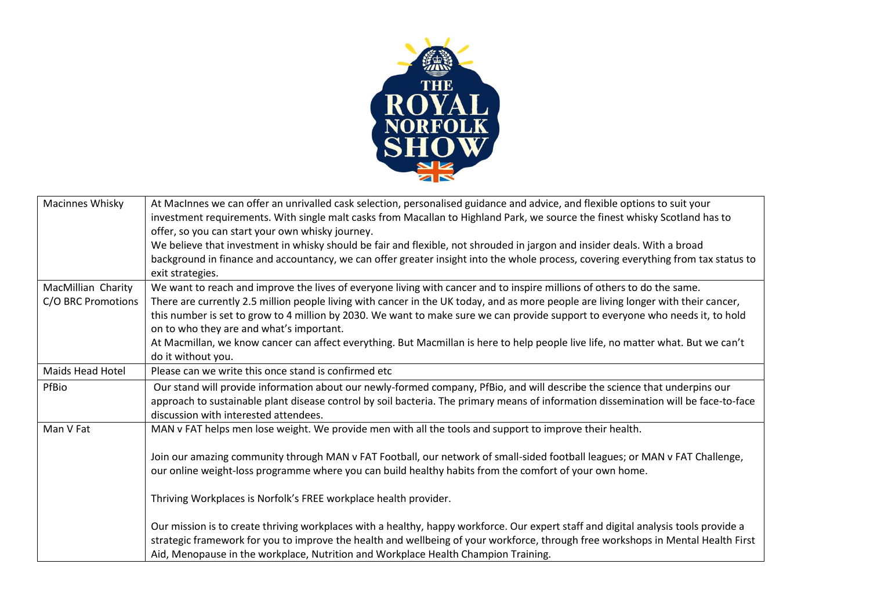

| <b>Macinnes Whisky</b>  | At MacInnes we can offer an unrivalled cask selection, personalised guidance and advice, and flexible options to suit your          |
|-------------------------|-------------------------------------------------------------------------------------------------------------------------------------|
|                         | investment requirements. With single malt casks from Macallan to Highland Park, we source the finest whisky Scotland has to         |
|                         | offer, so you can start your own whisky journey.                                                                                    |
|                         | We believe that investment in whisky should be fair and flexible, not shrouded in jargon and insider deals. With a broad            |
|                         | background in finance and accountancy, we can offer greater insight into the whole process, covering everything from tax status to  |
|                         | exit strategies.                                                                                                                    |
| MacMillian Charity      | We want to reach and improve the lives of everyone living with cancer and to inspire millions of others to do the same.             |
| C/O BRC Promotions      | There are currently 2.5 million people living with cancer in the UK today, and as more people are living longer with their cancer,  |
|                         | this number is set to grow to 4 million by 2030. We want to make sure we can provide support to everyone who needs it, to hold      |
|                         | on to who they are and what's important.                                                                                            |
|                         | At Macmillan, we know cancer can affect everything. But Macmillan is here to help people live life, no matter what. But we can't    |
|                         | do it without you.                                                                                                                  |
| <b>Maids Head Hotel</b> | Please can we write this once stand is confirmed etc                                                                                |
| PfBio                   | Our stand will provide information about our newly-formed company, PfBio, and will describe the science that underpins our          |
|                         | approach to sustainable plant disease control by soil bacteria. The primary means of information dissemination will be face-to-face |
|                         | discussion with interested attendees.                                                                                               |
| Man V Fat               | MAN v FAT helps men lose weight. We provide men with all the tools and support to improve their health.                             |
|                         |                                                                                                                                     |
|                         | Join our amazing community through MAN v FAT Football, our network of small-sided football leagues; or MAN v FAT Challenge,         |
|                         | our online weight-loss programme where you can build healthy habits from the comfort of your own home.                              |
|                         |                                                                                                                                     |
|                         | Thriving Workplaces is Norfolk's FREE workplace health provider.                                                                    |
|                         |                                                                                                                                     |
|                         | Our mission is to create thriving workplaces with a healthy, happy workforce. Our expert staff and digital analysis tools provide a |
|                         | strategic framework for you to improve the health and wellbeing of your workforce, through free workshops in Mental Health First    |
|                         | Aid, Menopause in the workplace, Nutrition and Workplace Health Champion Training.                                                  |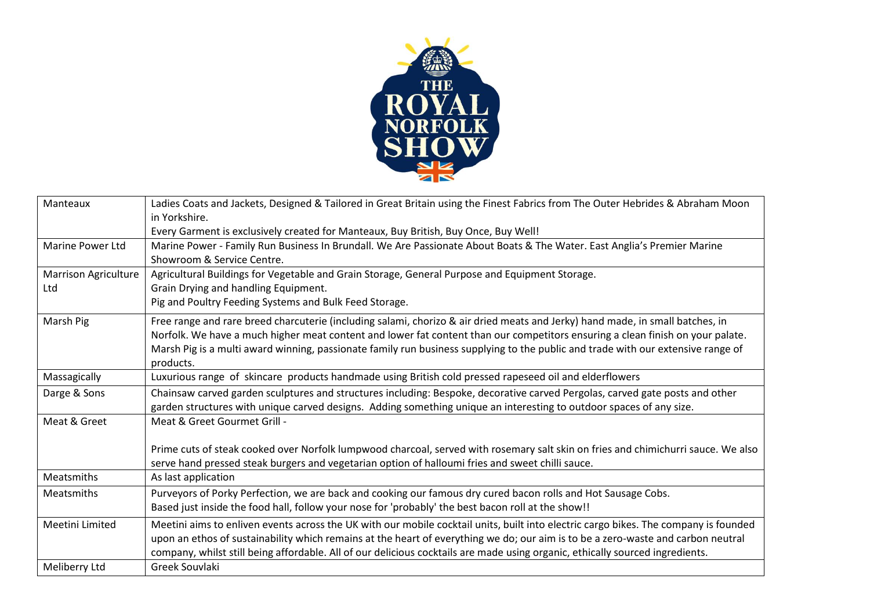

| Manteaux             | Ladies Coats and Jackets, Designed & Tailored in Great Britain using the Finest Fabrics from The Outer Hebrides & Abraham Moon       |
|----------------------|--------------------------------------------------------------------------------------------------------------------------------------|
|                      | in Yorkshire.                                                                                                                        |
|                      | Every Garment is exclusively created for Manteaux, Buy British, Buy Once, Buy Well!                                                  |
| Marine Power Ltd     | Marine Power - Family Run Business In Brundall. We Are Passionate About Boats & The Water. East Anglia's Premier Marine              |
|                      | Showroom & Service Centre.                                                                                                           |
| Marrison Agriculture | Agricultural Buildings for Vegetable and Grain Storage, General Purpose and Equipment Storage.                                       |
| Ltd                  | Grain Drying and handling Equipment.                                                                                                 |
|                      | Pig and Poultry Feeding Systems and Bulk Feed Storage.                                                                               |
| Marsh Pig            | Free range and rare breed charcuterie (including salami, chorizo & air dried meats and Jerky) hand made, in small batches, in        |
|                      | Norfolk. We have a much higher meat content and lower fat content than our competitors ensuring a clean finish on your palate.       |
|                      | Marsh Pig is a multi award winning, passionate family run business supplying to the public and trade with our extensive range of     |
|                      | products.                                                                                                                            |
| Massagically         | Luxurious range of skincare products handmade using British cold pressed rapeseed oil and elderflowers                               |
| Darge & Sons         | Chainsaw carved garden sculptures and structures including: Bespoke, decorative carved Pergolas, carved gate posts and other         |
|                      | garden structures with unique carved designs. Adding something unique an interesting to outdoor spaces of any size.                  |
| Meat & Greet         | Meat & Greet Gourmet Grill -                                                                                                         |
|                      |                                                                                                                                      |
|                      | Prime cuts of steak cooked over Norfolk lumpwood charcoal, served with rosemary salt skin on fries and chimichurri sauce. We also    |
|                      | serve hand pressed steak burgers and vegetarian option of halloumi fries and sweet chilli sauce.                                     |
| Meatsmiths           | As last application                                                                                                                  |
| Meatsmiths           | Purveyors of Porky Perfection, we are back and cooking our famous dry cured bacon rolls and Hot Sausage Cobs.                        |
|                      | Based just inside the food hall, follow your nose for 'probably' the best bacon roll at the show!!                                   |
| Meetini Limited      | Meetini aims to enliven events across the UK with our mobile cocktail units, built into electric cargo bikes. The company is founded |
|                      | upon an ethos of sustainability which remains at the heart of everything we do; our aim is to be a zero-waste and carbon neutral     |
|                      | company, whilst still being affordable. All of our delicious cocktails are made using organic, ethically sourced ingredients.        |
| Meliberry Ltd        | Greek Souvlaki                                                                                                                       |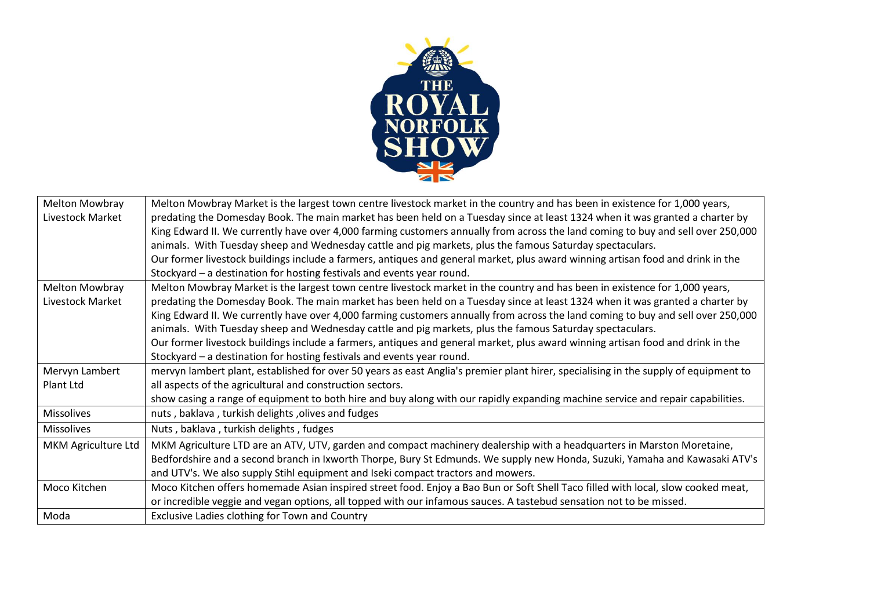

| <b>Melton Mowbray</b> | Melton Mowbray Market is the largest town centre livestock market in the country and has been in existence for 1,000 years,          |
|-----------------------|--------------------------------------------------------------------------------------------------------------------------------------|
| Livestock Market      | predating the Domesday Book. The main market has been held on a Tuesday since at least 1324 when it was granted a charter by         |
|                       | King Edward II. We currently have over 4,000 farming customers annually from across the land coming to buy and sell over 250,000     |
|                       | animals. With Tuesday sheep and Wednesday cattle and pig markets, plus the famous Saturday spectaculars.                             |
|                       | Our former livestock buildings include a farmers, antiques and general market, plus award winning artisan food and drink in the      |
|                       | Stockyard - a destination for hosting festivals and events year round.                                                               |
| <b>Melton Mowbray</b> | Melton Mowbray Market is the largest town centre livestock market in the country and has been in existence for 1,000 years,          |
| Livestock Market      | predating the Domesday Book. The main market has been held on a Tuesday since at least 1324 when it was granted a charter by         |
|                       | King Edward II. We currently have over 4,000 farming customers annually from across the land coming to buy and sell over 250,000     |
|                       | animals. With Tuesday sheep and Wednesday cattle and pig markets, plus the famous Saturday spectaculars.                             |
|                       | Our former livestock buildings include a farmers, antiques and general market, plus award winning artisan food and drink in the      |
|                       | Stockyard - a destination for hosting festivals and events year round.                                                               |
| Mervyn Lambert        | mervyn lambert plant, established for over 50 years as east Anglia's premier plant hirer, specialising in the supply of equipment to |
| Plant Ltd             | all aspects of the agricultural and construction sectors.                                                                            |
|                       | show casing a range of equipment to both hire and buy along with our rapidly expanding machine service and repair capabilities.      |
| <b>Missolives</b>     | nuts, baklava, turkish delights, olives and fudges                                                                                   |
| <b>Missolives</b>     | Nuts, baklava, turkish delights, fudges                                                                                              |
| MKM Agriculture Ltd   | MKM Agriculture LTD are an ATV, UTV, garden and compact machinery dealership with a headquarters in Marston Moretaine,               |
|                       | Bedfordshire and a second branch in Ixworth Thorpe, Bury St Edmunds. We supply new Honda, Suzuki, Yamaha and Kawasaki ATV's          |
|                       | and UTV's. We also supply Stihl equipment and Iseki compact tractors and mowers.                                                     |
| Moco Kitchen          | Moco Kitchen offers homemade Asian inspired street food. Enjoy a Bao Bun or Soft Shell Taco filled with local, slow cooked meat,     |
|                       | or incredible veggie and vegan options, all topped with our infamous sauces. A tastebud sensation not to be missed.                  |
| Moda                  | Exclusive Ladies clothing for Town and Country                                                                                       |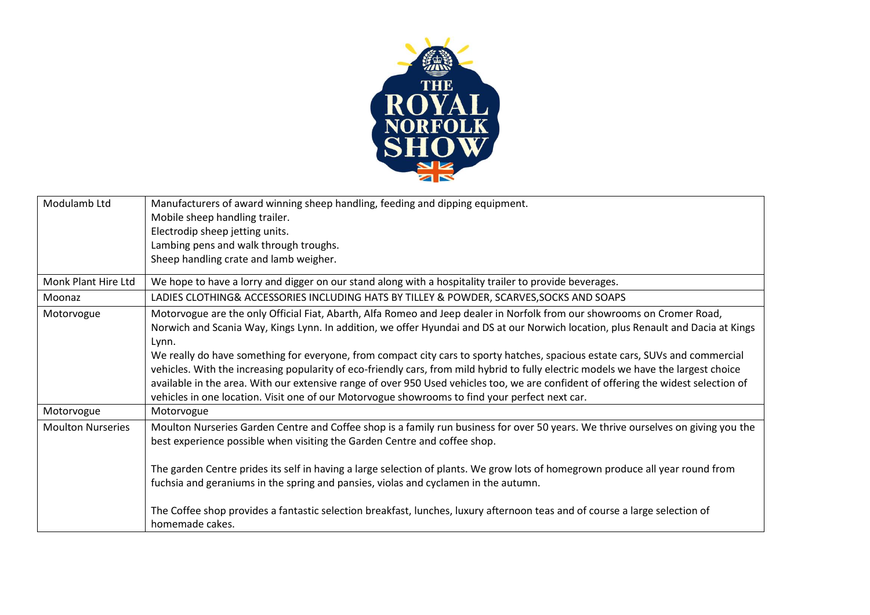

| Modulamb Ltd             | Manufacturers of award winning sheep handling, feeding and dipping equipment.                                                                  |
|--------------------------|------------------------------------------------------------------------------------------------------------------------------------------------|
|                          | Mobile sheep handling trailer.                                                                                                                 |
|                          | Electrodip sheep jetting units.                                                                                                                |
|                          | Lambing pens and walk through troughs.                                                                                                         |
|                          | Sheep handling crate and lamb weigher.                                                                                                         |
| Monk Plant Hire Ltd      | We hope to have a lorry and digger on our stand along with a hospitality trailer to provide beverages.                                         |
| Moonaz                   | LADIES CLOTHING& ACCESSORIES INCLUDING HATS BY TILLEY & POWDER, SCARVES, SOCKS AND SOAPS                                                       |
| Motorvogue               | Motorvogue are the only Official Fiat, Abarth, Alfa Romeo and Jeep dealer in Norfolk from our showrooms on Cromer Road,                        |
|                          | Norwich and Scania Way, Kings Lynn. In addition, we offer Hyundai and DS at our Norwich location, plus Renault and Dacia at Kings              |
|                          | Lynn.                                                                                                                                          |
|                          | We really do have something for everyone, from compact city cars to sporty hatches, spacious estate cars, SUVs and commercial                  |
|                          | vehicles. With the increasing popularity of eco-friendly cars, from mild hybrid to fully electric models we have the largest choice            |
|                          | available in the area. With our extensive range of over 950 Used vehicles too, we are confident of offering the widest selection of            |
|                          | vehicles in one location. Visit one of our Motorvogue showrooms to find your perfect next car.                                                 |
| Motorvogue               | Motorvogue                                                                                                                                     |
| <b>Moulton Nurseries</b> | Moulton Nurseries Garden Centre and Coffee shop is a family run business for over 50 years. We thrive ourselves on giving you the              |
|                          | best experience possible when visiting the Garden Centre and coffee shop.                                                                      |
|                          |                                                                                                                                                |
|                          | The garden Centre prides its self in having a large selection of plants. We grow lots of homegrown produce all year round from                 |
|                          | fuchsia and geraniums in the spring and pansies, violas and cyclamen in the autumn.                                                            |
|                          |                                                                                                                                                |
|                          | The Coffee shop provides a fantastic selection breakfast, lunches, luxury afternoon teas and of course a large selection of<br>homemade cakes. |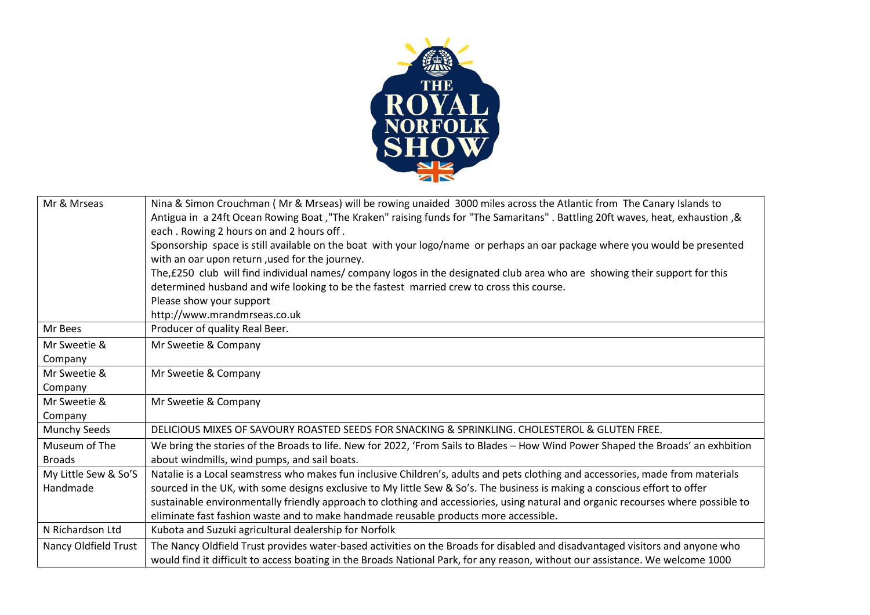

| Mr & Mrseas          | Nina & Simon Crouchman (Mr & Mrseas) will be rowing unaided 3000 miles across the Atlantic from The Canary Islands to             |
|----------------------|-----------------------------------------------------------------------------------------------------------------------------------|
|                      | Antigua in a 24ft Ocean Rowing Boat, "The Kraken" raising funds for "The Samaritans". Battling 20ft waves, heat, exhaustion, &    |
|                      | each. Rowing 2 hours on and 2 hours off.                                                                                          |
|                      | Sponsorship space is still available on the boat with your logo/name or perhaps an oar package where you would be presented       |
|                      | with an oar upon return, used for the journey.                                                                                    |
|                      | The,£250 club will find individual names/ company logos in the designated club area who are showing their support for this        |
|                      | determined husband and wife looking to be the fastest married crew to cross this course.                                          |
|                      | Please show your support                                                                                                          |
|                      | http://www.mrandmrseas.co.uk                                                                                                      |
| Mr Bees              | Producer of quality Real Beer.                                                                                                    |
| Mr Sweetie &         | Mr Sweetie & Company                                                                                                              |
| Company              |                                                                                                                                   |
| Mr Sweetie &         | Mr Sweetie & Company                                                                                                              |
| Company              |                                                                                                                                   |
| Mr Sweetie &         | Mr Sweetie & Company                                                                                                              |
| Company              |                                                                                                                                   |
| Munchy Seeds         | DELICIOUS MIXES OF SAVOURY ROASTED SEEDS FOR SNACKING & SPRINKLING. CHOLESTEROL & GLUTEN FREE.                                    |
| Museum of The        | We bring the stories of the Broads to life. New for 2022, 'From Sails to Blades - How Wind Power Shaped the Broads' an exhbition  |
| <b>Broads</b>        | about windmills, wind pumps, and sail boats.                                                                                      |
| My Little Sew & So'S | Natalie is a Local seamstress who makes fun inclusive Children's, adults and pets clothing and accessories, made from materials   |
| Handmade             | sourced in the UK, with some designs exclusive to My little Sew & So's. The business is making a conscious effort to offer        |
|                      | sustainable environmentally friendly approach to clothing and accessiories, using natural and organic recourses where possible to |
|                      | eliminate fast fashion waste and to make handmade reusable products more accessible.                                              |
| N Richardson Ltd     | Kubota and Suzuki agricultural dealership for Norfolk                                                                             |
| Nancy Oldfield Trust | The Nancy Oldfield Trust provides water-based activities on the Broads for disabled and disadvantaged visitors and anyone who     |
|                      | would find it difficult to access boating in the Broads National Park, for any reason, without our assistance. We welcome 1000    |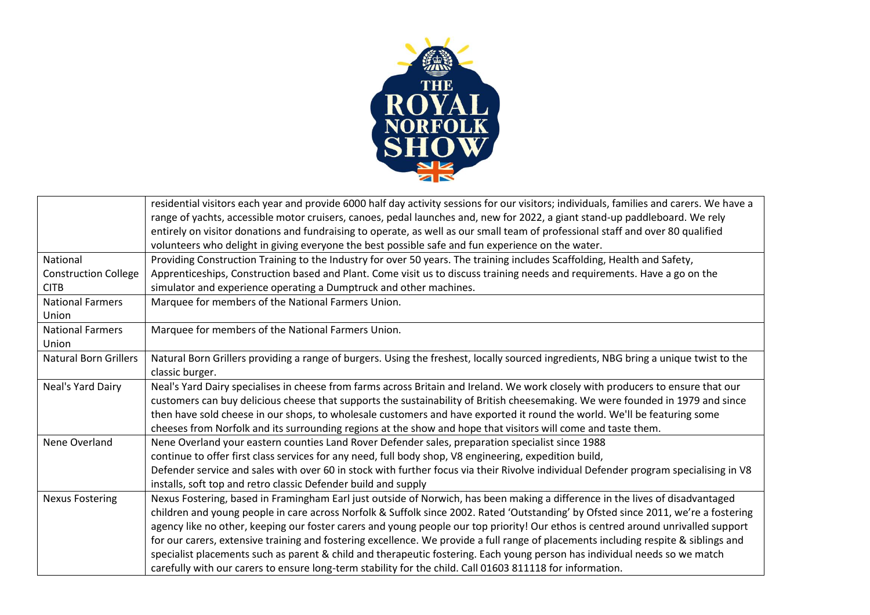

|                              | residential visitors each year and provide 6000 half day activity sessions for our visitors; individuals, families and carers. We have a<br>range of yachts, accessible motor cruisers, canoes, pedal launches and, new for 2022, a giant stand-up paddleboard. We rely<br>entirely on visitor donations and fundraising to operate, as well as our small team of professional staff and over 80 qualified<br>volunteers who delight in giving everyone the best possible safe and fun experience on the water. |
|------------------------------|-----------------------------------------------------------------------------------------------------------------------------------------------------------------------------------------------------------------------------------------------------------------------------------------------------------------------------------------------------------------------------------------------------------------------------------------------------------------------------------------------------------------|
| National                     | Providing Construction Training to the Industry for over 50 years. The training includes Scaffolding, Health and Safety,                                                                                                                                                                                                                                                                                                                                                                                        |
| <b>Construction College</b>  | Apprenticeships, Construction based and Plant. Come visit us to discuss training needs and requirements. Have a go on the                                                                                                                                                                                                                                                                                                                                                                                       |
| <b>CITB</b>                  | simulator and experience operating a Dumptruck and other machines.                                                                                                                                                                                                                                                                                                                                                                                                                                              |
| <b>National Farmers</b>      | Marquee for members of the National Farmers Union.                                                                                                                                                                                                                                                                                                                                                                                                                                                              |
| Union                        |                                                                                                                                                                                                                                                                                                                                                                                                                                                                                                                 |
| <b>National Farmers</b>      | Marquee for members of the National Farmers Union.                                                                                                                                                                                                                                                                                                                                                                                                                                                              |
| Union                        |                                                                                                                                                                                                                                                                                                                                                                                                                                                                                                                 |
| <b>Natural Born Grillers</b> | Natural Born Grillers providing a range of burgers. Using the freshest, locally sourced ingredients, NBG bring a unique twist to the                                                                                                                                                                                                                                                                                                                                                                            |
|                              | classic burger.                                                                                                                                                                                                                                                                                                                                                                                                                                                                                                 |
| Neal's Yard Dairy            | Neal's Yard Dairy specialises in cheese from farms across Britain and Ireland. We work closely with producers to ensure that our                                                                                                                                                                                                                                                                                                                                                                                |
|                              | customers can buy delicious cheese that supports the sustainability of British cheesemaking. We were founded in 1979 and since                                                                                                                                                                                                                                                                                                                                                                                  |
|                              | then have sold cheese in our shops, to wholesale customers and have exported it round the world. We'll be featuring some                                                                                                                                                                                                                                                                                                                                                                                        |
|                              | cheeses from Norfolk and its surrounding regions at the show and hope that visitors will come and taste them.                                                                                                                                                                                                                                                                                                                                                                                                   |
| Nene Overland                | Nene Overland your eastern counties Land Rover Defender sales, preparation specialist since 1988                                                                                                                                                                                                                                                                                                                                                                                                                |
|                              | continue to offer first class services for any need, full body shop, V8 engineering, expedition build,                                                                                                                                                                                                                                                                                                                                                                                                          |
|                              | Defender service and sales with over 60 in stock with further focus via their Rivolve individual Defender program specialising in V8                                                                                                                                                                                                                                                                                                                                                                            |
|                              | installs, soft top and retro classic Defender build and supply                                                                                                                                                                                                                                                                                                                                                                                                                                                  |
| <b>Nexus Fostering</b>       | Nexus Fostering, based in Framingham Earl just outside of Norwich, has been making a difference in the lives of disadvantaged                                                                                                                                                                                                                                                                                                                                                                                   |
|                              | children and young people in care across Norfolk & Suffolk since 2002. Rated 'Outstanding' by Ofsted since 2011, we're a fostering                                                                                                                                                                                                                                                                                                                                                                              |
|                              | agency like no other, keeping our foster carers and young people our top priority! Our ethos is centred around unrivalled support                                                                                                                                                                                                                                                                                                                                                                               |
|                              | for our carers, extensive training and fostering excellence. We provide a full range of placements including respite & siblings and                                                                                                                                                                                                                                                                                                                                                                             |
|                              | specialist placements such as parent & child and therapeutic fostering. Each young person has individual needs so we match                                                                                                                                                                                                                                                                                                                                                                                      |
|                              | carefully with our carers to ensure long-term stability for the child. Call 01603 811118 for information.                                                                                                                                                                                                                                                                                                                                                                                                       |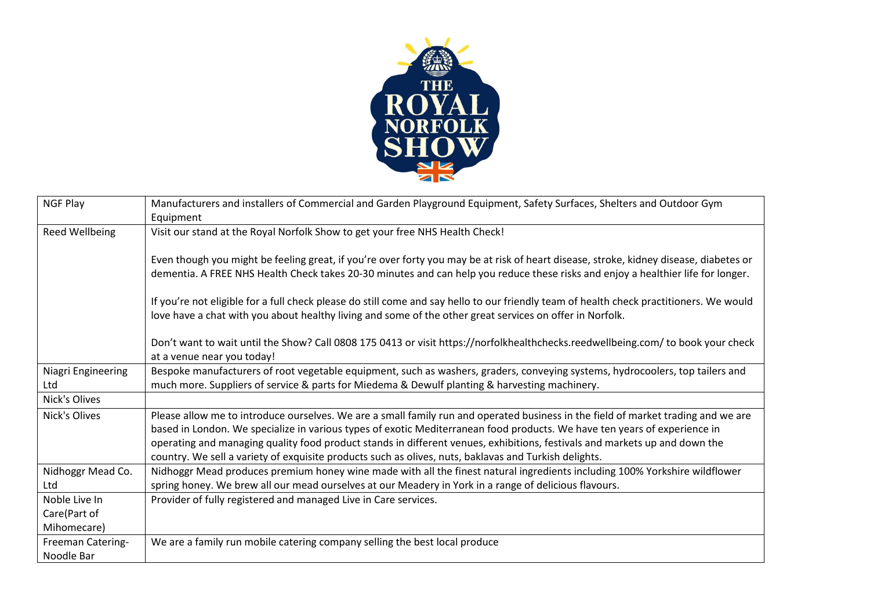

| NGF Play           | Manufacturers and installers of Commercial and Garden Playground Equipment, Safety Surfaces, Shelters and Outdoor Gym                   |
|--------------------|-----------------------------------------------------------------------------------------------------------------------------------------|
|                    | Equipment                                                                                                                               |
| Reed Wellbeing     | Visit our stand at the Royal Norfolk Show to get your free NHS Health Check!                                                            |
|                    |                                                                                                                                         |
|                    | Even though you might be feeling great, if you're over forty you may be at risk of heart disease, stroke, kidney disease, diabetes or   |
|                    | dementia. A FREE NHS Health Check takes 20-30 minutes and can help you reduce these risks and enjoy a healthier life for longer.        |
|                    | If you're not eligible for a full check please do still come and say hello to our friendly team of health check practitioners. We would |
|                    | love have a chat with you about healthy living and some of the other great services on offer in Norfolk.                                |
|                    |                                                                                                                                         |
|                    | Don't want to wait until the Show? Call 0808 175 0413 or visit https://norfolkhealthchecks.reedwellbeing.com/to book your check         |
|                    | at a venue near you today!                                                                                                              |
| Niagri Engineering | Bespoke manufacturers of root vegetable equipment, such as washers, graders, conveying systems, hydrocoolers, top tailers and           |
| Ltd                | much more. Suppliers of service & parts for Miedema & Dewulf planting & harvesting machinery.                                           |
| Nick's Olives      |                                                                                                                                         |
| Nick's Olives      | Please allow me to introduce ourselves. We are a small family run and operated business in the field of market trading and we are       |
|                    | based in London. We specialize in various types of exotic Mediterranean food products. We have ten years of experience in               |
|                    | operating and managing quality food product stands in different venues, exhibitions, festivals and markets up and down the              |
|                    | country. We sell a variety of exquisite products such as olives, nuts, baklavas and Turkish delights.                                   |
| Nidhoggr Mead Co.  | Nidhoggr Mead produces premium honey wine made with all the finest natural ingredients including 100% Yorkshire wildflower              |
| Ltd                | spring honey. We brew all our mead ourselves at our Meadery in York in a range of delicious flavours.                                   |
| Noble Live In      | Provider of fully registered and managed Live in Care services.                                                                         |
| Care(Part of       |                                                                                                                                         |
| Mihomecare)        |                                                                                                                                         |
| Freeman Catering-  | We are a family run mobile catering company selling the best local produce                                                              |
| Noodle Bar         |                                                                                                                                         |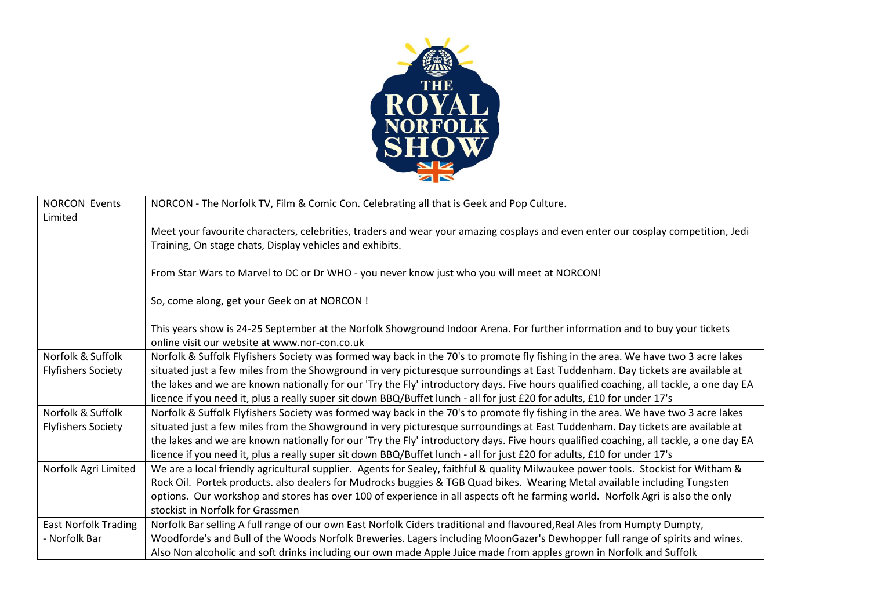

| <b>NORCON Events</b>        | NORCON - The Norfolk TV, Film & Comic Con. Celebrating all that is Geek and Pop Culture.                                               |
|-----------------------------|----------------------------------------------------------------------------------------------------------------------------------------|
| Limited                     |                                                                                                                                        |
|                             | Meet your favourite characters, celebrities, traders and wear your amazing cosplays and even enter our cosplay competition, Jedi       |
|                             | Training, On stage chats, Display vehicles and exhibits.                                                                               |
|                             |                                                                                                                                        |
|                             | From Star Wars to Marvel to DC or Dr WHO - you never know just who you will meet at NORCON!                                            |
|                             |                                                                                                                                        |
|                             | So, come along, get your Geek on at NORCON !                                                                                           |
|                             |                                                                                                                                        |
|                             | This years show is 24-25 September at the Norfolk Showground Indoor Arena. For further information and to buy your tickets             |
|                             | online visit our website at www.nor-con.co.uk                                                                                          |
| Norfolk & Suffolk           | Norfolk & Suffolk Flyfishers Society was formed way back in the 70's to promote fly fishing in the area. We have two 3 acre lakes      |
| <b>Flyfishers Society</b>   | situated just a few miles from the Showground in very picturesque surroundings at East Tuddenham. Day tickets are available at         |
|                             | the lakes and we are known nationally for our 'Try the Fly' introductory days. Five hours qualified coaching, all tackle, a one day EA |
|                             | licence if you need it, plus a really super sit down BBQ/Buffet lunch - all for just £20 for adults, £10 for under 17's                |
| Norfolk & Suffolk           | Norfolk & Suffolk Flyfishers Society was formed way back in the 70's to promote fly fishing in the area. We have two 3 acre lakes      |
| <b>Flyfishers Society</b>   | situated just a few miles from the Showground in very picturesque surroundings at East Tuddenham. Day tickets are available at         |
|                             | the lakes and we are known nationally for our 'Try the Fly' introductory days. Five hours qualified coaching, all tackle, a one day EA |
|                             | licence if you need it, plus a really super sit down BBQ/Buffet lunch - all for just £20 for adults, £10 for under 17's                |
| Norfolk Agri Limited        | We are a local friendly agricultural supplier. Agents for Sealey, faithful & quality Milwaukee power tools. Stockist for Witham &      |
|                             | Rock Oil. Portek products. also dealers for Mudrocks buggies & TGB Quad bikes. Wearing Metal available including Tungsten              |
|                             | options. Our workshop and stores has over 100 of experience in all aspects oft he farming world. Norfolk Agri is also the only         |
|                             | stockist in Norfolk for Grassmen                                                                                                       |
| <b>East Norfolk Trading</b> | Norfolk Bar selling A full range of our own East Norfolk Ciders traditional and flavoured, Real Ales from Humpty Dumpty,               |
| - Norfolk Bar               | Woodforde's and Bull of the Woods Norfolk Breweries. Lagers including MoonGazer's Dewhopper full range of spirits and wines.           |
|                             | Also Non alcoholic and soft drinks including our own made Apple Juice made from apples grown in Norfolk and Suffolk                    |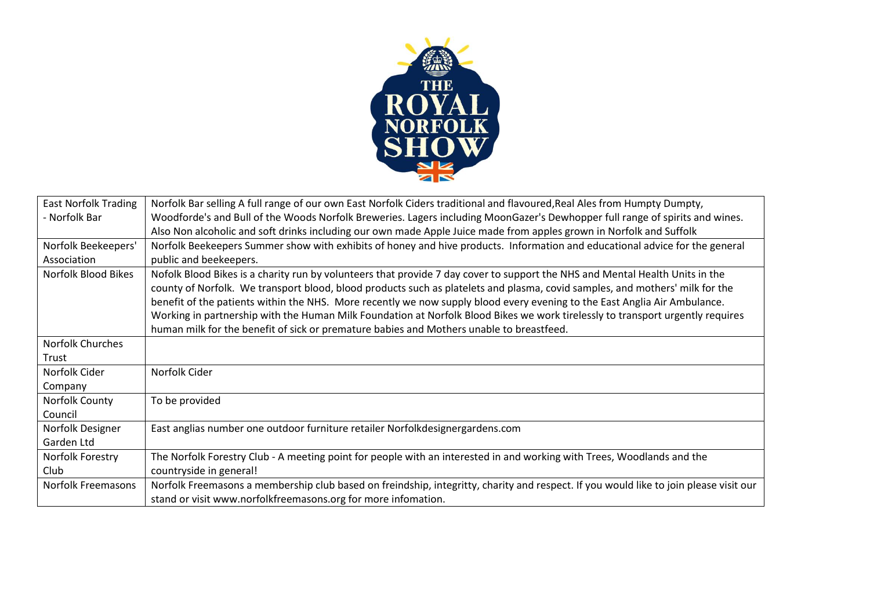

| <b>East Norfolk Trading</b> | Norfolk Bar selling A full range of our own East Norfolk Ciders traditional and flavoured, Real Ales from Humpty Dumpty,              |
|-----------------------------|---------------------------------------------------------------------------------------------------------------------------------------|
| - Norfolk Bar               | Woodforde's and Bull of the Woods Norfolk Breweries. Lagers including MoonGazer's Dewhopper full range of spirits and wines.          |
|                             | Also Non alcoholic and soft drinks including our own made Apple Juice made from apples grown in Norfolk and Suffolk                   |
| Norfolk Beekeepers'         | Norfolk Beekeepers Summer show with exhibits of honey and hive products. Information and educational advice for the general           |
| Association                 | public and beekeepers.                                                                                                                |
| Norfolk Blood Bikes         | Nofolk Blood Bikes is a charity run by volunteers that provide 7 day cover to support the NHS and Mental Health Units in the          |
|                             | county of Norfolk. We transport blood, blood products such as platelets and plasma, covid samples, and mothers' milk for the          |
|                             | benefit of the patients within the NHS. More recently we now supply blood every evening to the East Anglia Air Ambulance.             |
|                             | Working in partnership with the Human Milk Foundation at Norfolk Blood Bikes we work tirelessly to transport urgently requires        |
|                             | human milk for the benefit of sick or premature babies and Mothers unable to breastfeed.                                              |
| Norfolk Churches            |                                                                                                                                       |
| Trust                       |                                                                                                                                       |
| Norfolk Cider               | Norfolk Cider                                                                                                                         |
| Company                     |                                                                                                                                       |
| Norfolk County              | To be provided                                                                                                                        |
| Council                     |                                                                                                                                       |
| Norfolk Designer            | East anglias number one outdoor furniture retailer Norfolkdesignergardens.com                                                         |
| Garden Ltd                  |                                                                                                                                       |
| Norfolk Forestry            | The Norfolk Forestry Club - A meeting point for people with an interested in and working with Trees, Woodlands and the                |
| Club                        | countryside in general!                                                                                                               |
| Norfolk Freemasons          | Norfolk Freemasons a membership club based on freindship, integritty, charity and respect. If you would like to join please visit our |
|                             | stand or visit www.norfolkfreemasons.org for more infomation.                                                                         |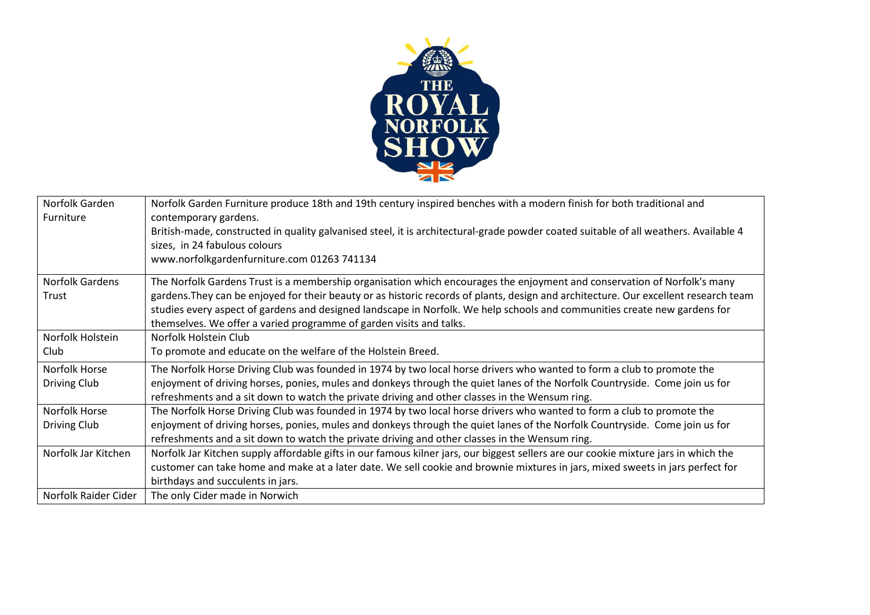

| Norfolk Garden<br>Furniture   | Norfolk Garden Furniture produce 18th and 19th century inspired benches with a modern finish for both traditional and<br>contemporary gardens.                                                                                                                                                                                                                                                                                                                       |
|-------------------------------|----------------------------------------------------------------------------------------------------------------------------------------------------------------------------------------------------------------------------------------------------------------------------------------------------------------------------------------------------------------------------------------------------------------------------------------------------------------------|
|                               | British-made, constructed in quality galvanised steel, it is architectural-grade powder coated suitable of all weathers. Available 4<br>sizes, in 24 fabulous colours                                                                                                                                                                                                                                                                                                |
|                               | www.norfolkgardenfurniture.com 01263 741134                                                                                                                                                                                                                                                                                                                                                                                                                          |
| Norfolk Gardens<br>Trust      | The Norfolk Gardens Trust is a membership organisation which encourages the enjoyment and conservation of Norfolk's many<br>gardens. They can be enjoyed for their beauty or as historic records of plants, design and architecture. Our excellent research team<br>studies every aspect of gardens and designed landscape in Norfolk. We help schools and communities create new gardens for<br>themselves. We offer a varied programme of garden visits and talks. |
| Norfolk Holstein<br>Club      | Norfolk Holstein Club<br>To promote and educate on the welfare of the Holstein Breed.                                                                                                                                                                                                                                                                                                                                                                                |
| Norfolk Horse<br>Driving Club | The Norfolk Horse Driving Club was founded in 1974 by two local horse drivers who wanted to form a club to promote the<br>enjoyment of driving horses, ponies, mules and donkeys through the quiet lanes of the Norfolk Countryside. Come join us for<br>refreshments and a sit down to watch the private driving and other classes in the Wensum ring.                                                                                                              |
| Norfolk Horse<br>Driving Club | The Norfolk Horse Driving Club was founded in 1974 by two local horse drivers who wanted to form a club to promote the<br>enjoyment of driving horses, ponies, mules and donkeys through the quiet lanes of the Norfolk Countryside. Come join us for<br>refreshments and a sit down to watch the private driving and other classes in the Wensum ring.                                                                                                              |
| Norfolk Jar Kitchen           | Norfolk Jar Kitchen supply affordable gifts in our famous kilner jars, our biggest sellers are our cookie mixture jars in which the<br>customer can take home and make at a later date. We sell cookie and brownie mixtures in jars, mixed sweets in jars perfect for<br>birthdays and succulents in jars.                                                                                                                                                           |
| Norfolk Raider Cider          | The only Cider made in Norwich                                                                                                                                                                                                                                                                                                                                                                                                                                       |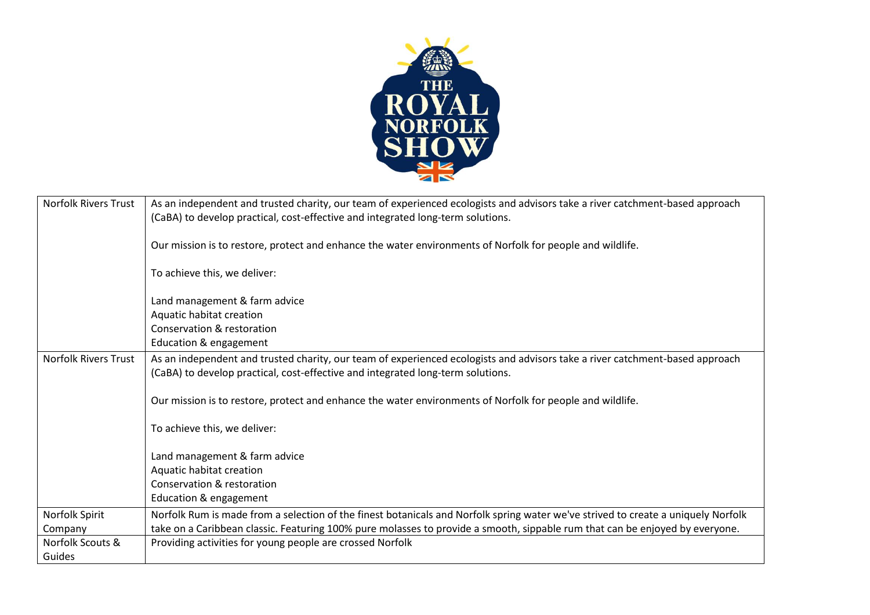

| <b>Norfolk Rivers Trust</b> | As an independent and trusted charity, our team of experienced ecologists and advisors take a river catchment-based approach<br>(CaBA) to develop practical, cost-effective and integrated long-term solutions. |
|-----------------------------|-----------------------------------------------------------------------------------------------------------------------------------------------------------------------------------------------------------------|
|                             | Our mission is to restore, protect and enhance the water environments of Norfolk for people and wildlife.                                                                                                       |
|                             | To achieve this, we deliver:                                                                                                                                                                                    |
|                             | Land management & farm advice                                                                                                                                                                                   |
|                             | Aquatic habitat creation                                                                                                                                                                                        |
|                             | Conservation & restoration                                                                                                                                                                                      |
|                             | Education & engagement                                                                                                                                                                                          |
| <b>Norfolk Rivers Trust</b> | As an independent and trusted charity, our team of experienced ecologists and advisors take a river catchment-based approach                                                                                    |
|                             | (CaBA) to develop practical, cost-effective and integrated long-term solutions.                                                                                                                                 |
|                             | Our mission is to restore, protect and enhance the water environments of Norfolk for people and wildlife.                                                                                                       |
|                             | To achieve this, we deliver:                                                                                                                                                                                    |
|                             | Land management & farm advice                                                                                                                                                                                   |
|                             | Aquatic habitat creation                                                                                                                                                                                        |
|                             | Conservation & restoration                                                                                                                                                                                      |
|                             | Education & engagement                                                                                                                                                                                          |
| Norfolk Spirit              | Norfolk Rum is made from a selection of the finest botanicals and Norfolk spring water we've strived to create a uniquely Norfolk                                                                               |
| Company                     | take on a Caribbean classic. Featuring 100% pure molasses to provide a smooth, sippable rum that can be enjoyed by everyone.                                                                                    |
| Norfolk Scouts &            | Providing activities for young people are crossed Norfolk                                                                                                                                                       |
| Guides                      |                                                                                                                                                                                                                 |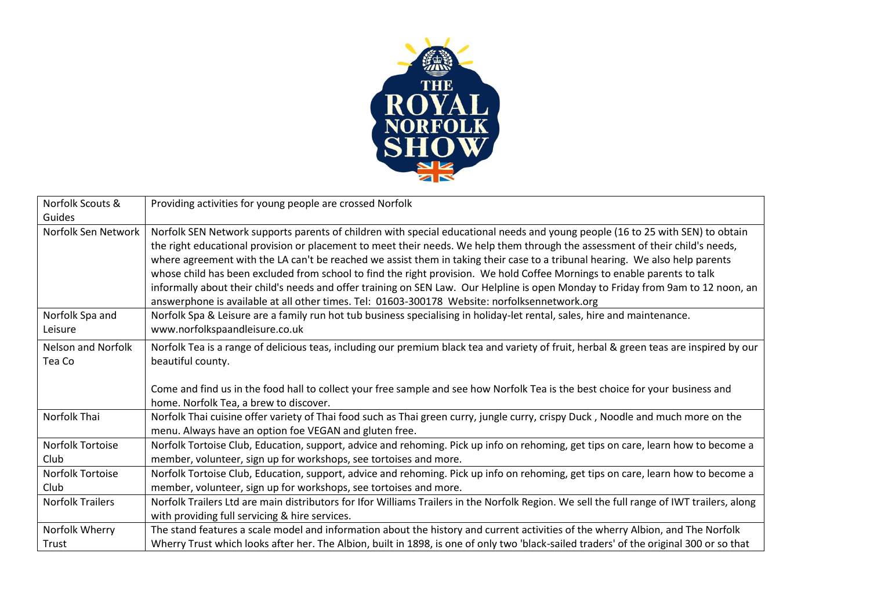

| Norfolk Scouts &                    | Providing activities for young people are crossed Norfolk                                                                                                                                                                                                                                                                                                                                                                                                                                                                                                                                                                                                                                                                                                         |
|-------------------------------------|-------------------------------------------------------------------------------------------------------------------------------------------------------------------------------------------------------------------------------------------------------------------------------------------------------------------------------------------------------------------------------------------------------------------------------------------------------------------------------------------------------------------------------------------------------------------------------------------------------------------------------------------------------------------------------------------------------------------------------------------------------------------|
| Guides                              |                                                                                                                                                                                                                                                                                                                                                                                                                                                                                                                                                                                                                                                                                                                                                                   |
| Norfolk Sen Network                 | Norfolk SEN Network supports parents of children with special educational needs and young people (16 to 25 with SEN) to obtain<br>the right educational provision or placement to meet their needs. We help them through the assessment of their child's needs,<br>where agreement with the LA can't be reached we assist them in taking their case to a tribunal hearing. We also help parents<br>whose child has been excluded from school to find the right provision. We hold Coffee Mornings to enable parents to talk<br>informally about their child's needs and offer training on SEN Law. Our Helpline is open Monday to Friday from 9am to 12 noon, an<br>answerphone is available at all other times. Tel: 01603-300178 Website: norfolksennetwork.org |
| Norfolk Spa and<br>Leisure          | Norfolk Spa & Leisure are a family run hot tub business specialising in holiday-let rental, sales, hire and maintenance.<br>www.norfolkspaandleisure.co.uk                                                                                                                                                                                                                                                                                                                                                                                                                                                                                                                                                                                                        |
| <b>Nelson and Norfolk</b><br>Tea Co | Norfolk Tea is a range of delicious teas, including our premium black tea and variety of fruit, herbal & green teas are inspired by our<br>beautiful county.<br>Come and find us in the food hall to collect your free sample and see how Norfolk Tea is the best choice for your business and<br>home. Norfolk Tea, a brew to discover.                                                                                                                                                                                                                                                                                                                                                                                                                          |
| Norfolk Thai                        | Norfolk Thai cuisine offer variety of Thai food such as Thai green curry, jungle curry, crispy Duck, Noodle and much more on the<br>menu. Always have an option foe VEGAN and gluten free.                                                                                                                                                                                                                                                                                                                                                                                                                                                                                                                                                                        |
| Norfolk Tortoise<br>Club            | Norfolk Tortoise Club, Education, support, advice and rehoming. Pick up info on rehoming, get tips on care, learn how to become a<br>member, volunteer, sign up for workshops, see tortoises and more.                                                                                                                                                                                                                                                                                                                                                                                                                                                                                                                                                            |
| <b>Norfolk Tortoise</b>             | Norfolk Tortoise Club, Education, support, advice and rehoming. Pick up info on rehoming, get tips on care, learn how to become a                                                                                                                                                                                                                                                                                                                                                                                                                                                                                                                                                                                                                                 |
| Club                                | member, volunteer, sign up for workshops, see tortoises and more.                                                                                                                                                                                                                                                                                                                                                                                                                                                                                                                                                                                                                                                                                                 |
| <b>Norfolk Trailers</b>             | Norfolk Trailers Ltd are main distributors for Ifor Williams Trailers in the Norfolk Region. We sell the full range of IWT trailers, along                                                                                                                                                                                                                                                                                                                                                                                                                                                                                                                                                                                                                        |
|                                     | with providing full servicing & hire services.                                                                                                                                                                                                                                                                                                                                                                                                                                                                                                                                                                                                                                                                                                                    |
| Norfolk Wherry                      | The stand features a scale model and information about the history and current activities of the wherry Albion, and The Norfolk                                                                                                                                                                                                                                                                                                                                                                                                                                                                                                                                                                                                                                   |
| Trust                               | Wherry Trust which looks after her. The Albion, built in 1898, is one of only two 'black-sailed traders' of the original 300 or so that                                                                                                                                                                                                                                                                                                                                                                                                                                                                                                                                                                                                                           |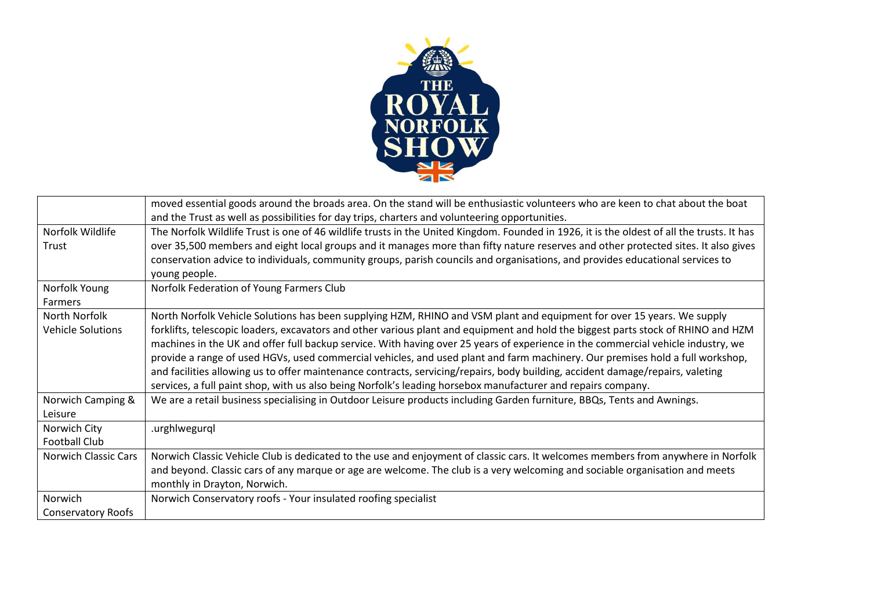

|                           | moved essential goods around the broads area. On the stand will be enthusiastic volunteers who are keen to chat about the boat             |
|---------------------------|--------------------------------------------------------------------------------------------------------------------------------------------|
|                           | and the Trust as well as possibilities for day trips, charters and volunteering opportunities.                                             |
| Norfolk Wildlife          | The Norfolk Wildlife Trust is one of 46 wildlife trusts in the United Kingdom. Founded in 1926, it is the oldest of all the trusts. It has |
| Trust                     | over 35,500 members and eight local groups and it manages more than fifty nature reserves and other protected sites. It also gives         |
|                           | conservation advice to individuals, community groups, parish councils and organisations, and provides educational services to              |
|                           | young people.                                                                                                                              |
| Norfolk Young             | Norfolk Federation of Young Farmers Club                                                                                                   |
| Farmers                   |                                                                                                                                            |
| North Norfolk             | North Norfolk Vehicle Solutions has been supplying HZM, RHINO and VSM plant and equipment for over 15 years. We supply                     |
| Vehicle Solutions         | forklifts, telescopic loaders, excavators and other various plant and equipment and hold the biggest parts stock of RHINO and HZM          |
|                           | machines in the UK and offer full backup service. With having over 25 years of experience in the commercial vehicle industry, we           |
|                           | provide a range of used HGVs, used commercial vehicles, and used plant and farm machinery. Our premises hold a full workshop,              |
|                           | and facilities allowing us to offer maintenance contracts, servicing/repairs, body building, accident damage/repairs, valeting             |
|                           | services, a full paint shop, with us also being Norfolk's leading horsebox manufacturer and repairs company.                               |
| Norwich Camping &         | We are a retail business specialising in Outdoor Leisure products including Garden furniture, BBQs, Tents and Awnings.                     |
| Leisure                   |                                                                                                                                            |
| Norwich City              | .urghlwegurql                                                                                                                              |
| <b>Football Club</b>      |                                                                                                                                            |
| Norwich Classic Cars      | Norwich Classic Vehicle Club is dedicated to the use and enjoyment of classic cars. It welcomes members from anywhere in Norfolk           |
|                           | and beyond. Classic cars of any marque or age are welcome. The club is a very welcoming and sociable organisation and meets                |
|                           | monthly in Drayton, Norwich.                                                                                                               |
| Norwich                   | Norwich Conservatory roofs - Your insulated roofing specialist                                                                             |
| <b>Conservatory Roofs</b> |                                                                                                                                            |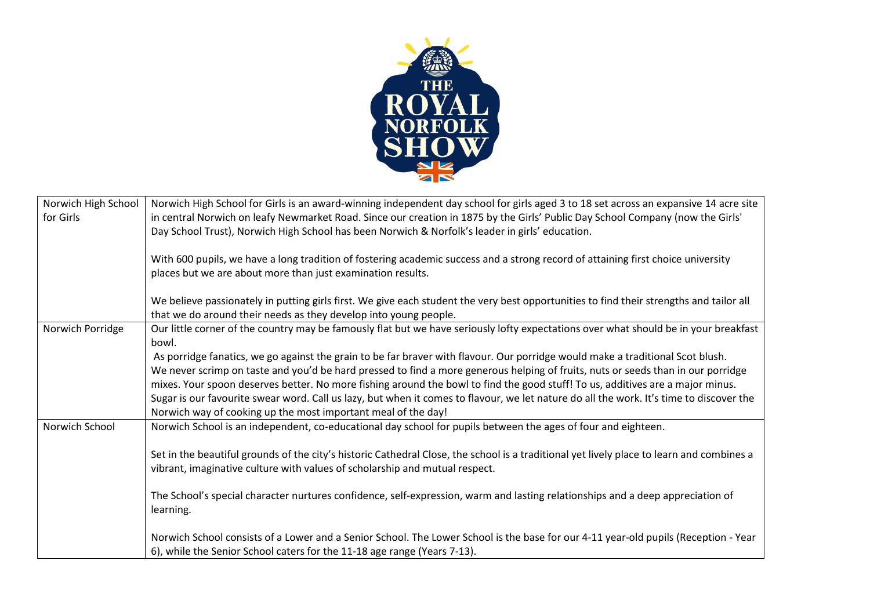

| Norwich High School | Norwich High School for Girls is an award-winning independent day school for girls aged 3 to 18 set across an expansive 14 acre site      |
|---------------------|-------------------------------------------------------------------------------------------------------------------------------------------|
| for Girls           | in central Norwich on leafy Newmarket Road. Since our creation in 1875 by the Girls' Public Day School Company (now the Girls'            |
|                     | Day School Trust), Norwich High School has been Norwich & Norfolk's leader in girls' education.                                           |
|                     |                                                                                                                                           |
|                     | With 600 pupils, we have a long tradition of fostering academic success and a strong record of attaining first choice university          |
|                     | places but we are about more than just examination results.                                                                               |
|                     |                                                                                                                                           |
|                     | We believe passionately in putting girls first. We give each student the very best opportunities to find their strengths and tailor all   |
|                     | that we do around their needs as they develop into young people.                                                                          |
| Norwich Porridge    | Our little corner of the country may be famously flat but we have seriously lofty expectations over what should be in your breakfast      |
|                     | bowl.                                                                                                                                     |
|                     | As porridge fanatics, we go against the grain to be far braver with flavour. Our porridge would make a traditional Scot blush.            |
|                     | We never scrimp on taste and you'd be hard pressed to find a more generous helping of fruits, nuts or seeds than in our porridge          |
|                     | mixes. Your spoon deserves better. No more fishing around the bowl to find the good stuff! To us, additives are a major minus.            |
|                     | Sugar is our favourite swear word. Call us lazy, but when it comes to flavour, we let nature do all the work. It's time to discover the   |
|                     | Norwich way of cooking up the most important meal of the day!                                                                             |
| Norwich School      | Norwich School is an independent, co-educational day school for pupils between the ages of four and eighteen.                             |
|                     |                                                                                                                                           |
|                     | Set in the beautiful grounds of the city's historic Cathedral Close, the school is a traditional yet lively place to learn and combines a |
|                     | vibrant, imaginative culture with values of scholarship and mutual respect.                                                               |
|                     |                                                                                                                                           |
|                     | The School's special character nurtures confidence, self-expression, warm and lasting relationships and a deep appreciation of            |
|                     | learning.                                                                                                                                 |
|                     |                                                                                                                                           |
|                     | Norwich School consists of a Lower and a Senior School. The Lower School is the base for our 4-11 year-old pupils (Reception - Year       |
|                     | 6), while the Senior School caters for the 11-18 age range (Years 7-13).                                                                  |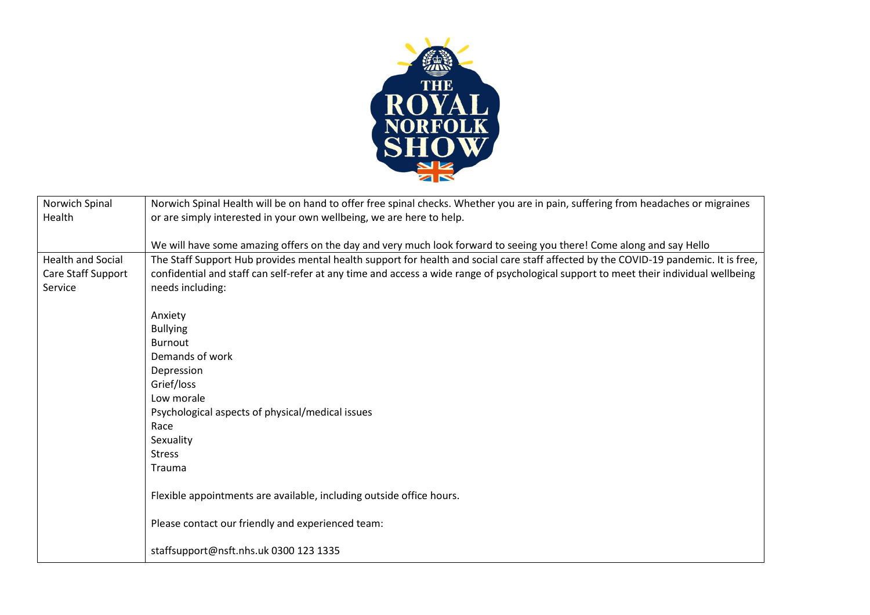

| Norwich Spinal                | Norwich Spinal Health will be on hand to offer free spinal checks. Whether you are in pain, suffering from headaches or migraines                         |
|-------------------------------|-----------------------------------------------------------------------------------------------------------------------------------------------------------|
| Health                        | or are simply interested in your own wellbeing, we are here to help.                                                                                      |
|                               | We will have some amazing offers on the day and very much look forward to seeing you there! Come along and say Hello                                      |
| Health and Social             | The Staff Support Hub provides mental health support for health and social care staff affected by the COVID-19 pandemic. It is free,                      |
| Care Staff Support<br>Service | confidential and staff can self-refer at any time and access a wide range of psychological support to meet their individual wellbeing<br>needs including: |
|                               |                                                                                                                                                           |
|                               | Anxiety                                                                                                                                                   |
|                               | <b>Bullying</b>                                                                                                                                           |
|                               | <b>Burnout</b>                                                                                                                                            |
|                               | Demands of work                                                                                                                                           |
|                               | Depression                                                                                                                                                |
|                               | Grief/loss<br>Low morale                                                                                                                                  |
|                               | Psychological aspects of physical/medical issues                                                                                                          |
|                               | Race                                                                                                                                                      |
|                               | Sexuality                                                                                                                                                 |
|                               | <b>Stress</b>                                                                                                                                             |
|                               | Trauma                                                                                                                                                    |
|                               | Flexible appointments are available, including outside office hours.                                                                                      |
|                               | Please contact our friendly and experienced team:                                                                                                         |
|                               | staffsupport@nsft.nhs.uk 0300 123 1335                                                                                                                    |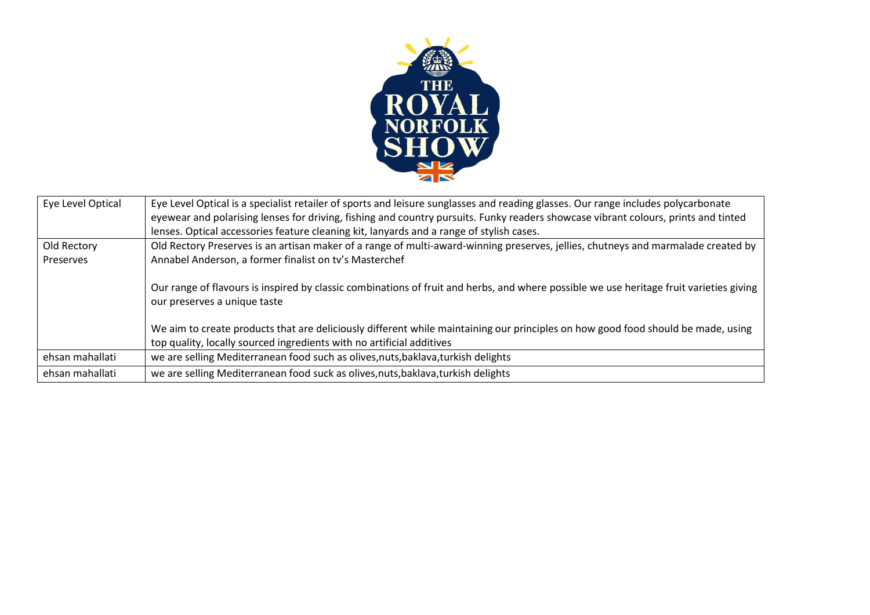

| Eye Level Optical | Eye Level Optical is a specialist retailer of sports and leisure sunglasses and reading glasses. Our range includes polycarbonate       |
|-------------------|-----------------------------------------------------------------------------------------------------------------------------------------|
|                   | eyewear and polarising lenses for driving, fishing and country pursuits. Funky readers showcase vibrant colours, prints and tinted      |
|                   | lenses. Optical accessories feature cleaning kit, lanyards and a range of stylish cases.                                                |
| Old Rectory       | Old Rectory Preserves is an artisan maker of a range of multi-award-winning preserves, jellies, chutneys and marmalade created by       |
| Preserves         | Annabel Anderson, a former finalist on tv's Masterchef                                                                                  |
|                   |                                                                                                                                         |
|                   | Our range of flavours is inspired by classic combinations of fruit and herbs, and where possible we use heritage fruit varieties giving |
|                   | our preserves a unique taste                                                                                                            |
|                   |                                                                                                                                         |
|                   | We aim to create products that are deliciously different while maintaining our principles on how good food should be made, using        |
|                   | top quality, locally sourced ingredients with no artificial additives                                                                   |
| ehsan mahallati   | we are selling Mediterranean food such as olives, nuts, baklava, turkish delights                                                       |
| ehsan mahallati   | we are selling Mediterranean food suck as olives, nuts, baklava, turkish delights                                                       |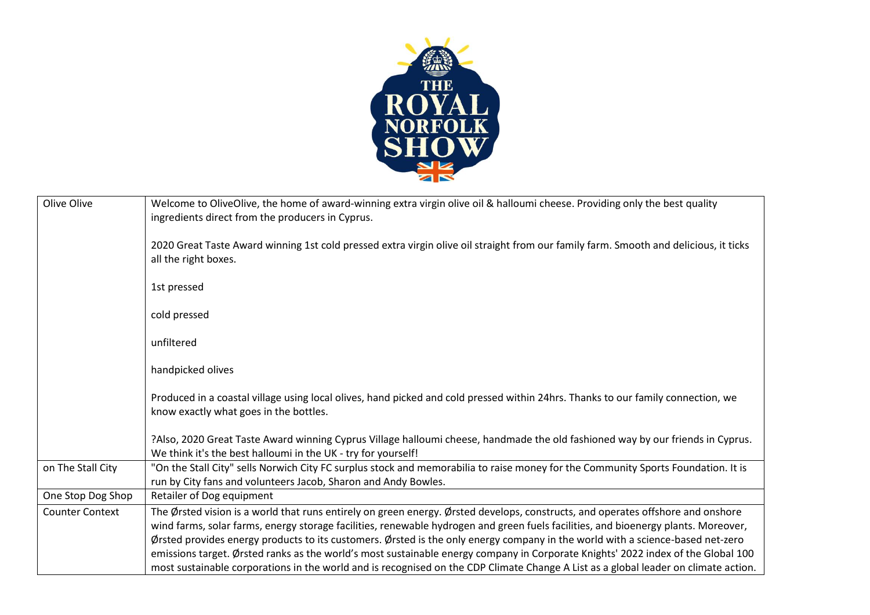

| Welcome to OliveOlive, the home of award-winning extra virgin olive oil & halloumi cheese. Providing only the best quality<br>ingredients direct from the producers in Cyprus.                                                                                          |
|-------------------------------------------------------------------------------------------------------------------------------------------------------------------------------------------------------------------------------------------------------------------------|
| 2020 Great Taste Award winning 1st cold pressed extra virgin olive oil straight from our family farm. Smooth and delicious, it ticks<br>all the right boxes.                                                                                                            |
| 1st pressed                                                                                                                                                                                                                                                             |
| cold pressed                                                                                                                                                                                                                                                            |
| unfiltered                                                                                                                                                                                                                                                              |
| handpicked olives                                                                                                                                                                                                                                                       |
| Produced in a coastal village using local olives, hand picked and cold pressed within 24hrs. Thanks to our family connection, we<br>know exactly what goes in the bottles.                                                                                              |
| ?Also, 2020 Great Taste Award winning Cyprus Village halloumi cheese, handmade the old fashioned way by our friends in Cyprus.<br>We think it's the best halloumi in the UK - try for yourself!                                                                         |
| "On the Stall City" sells Norwich City FC surplus stock and memorabilia to raise money for the Community Sports Foundation. It is<br>run by City fans and volunteers Jacob, Sharon and Andy Bowles.                                                                     |
| Retailer of Dog equipment                                                                                                                                                                                                                                               |
| The Ørsted vision is a world that runs entirely on green energy. Ørsted develops, constructs, and operates offshore and onshore                                                                                                                                         |
| wind farms, solar farms, energy storage facilities, renewable hydrogen and green fuels facilities, and bioenergy plants. Moreover,                                                                                                                                      |
| Ørsted provides energy products to its customers. Ørsted is the only energy company in the world with a science-based net-zero                                                                                                                                          |
| emissions target. Ørsted ranks as the world's most sustainable energy company in Corporate Knights' 2022 index of the Global 100<br>most sustainable corporations in the world and is recognised on the CDP Climate Change A List as a global leader on climate action. |
|                                                                                                                                                                                                                                                                         |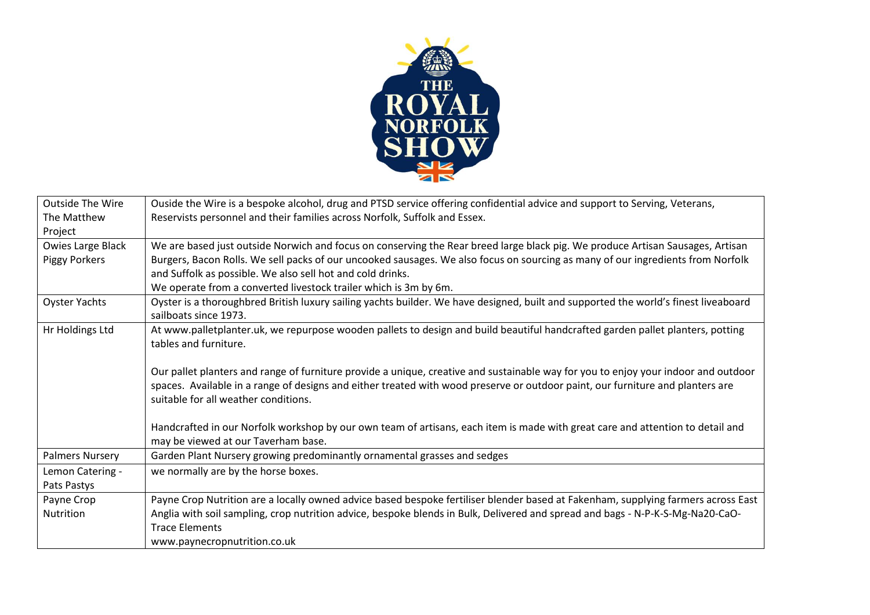

| <b>Outside The Wire</b> | Ouside the Wire is a bespoke alcohol, drug and PTSD service offering confidential advice and support to Serving, Veterans,          |
|-------------------------|-------------------------------------------------------------------------------------------------------------------------------------|
| The Matthew             | Reservists personnel and their families across Norfolk, Suffolk and Essex.                                                          |
| Project                 |                                                                                                                                     |
| Owies Large Black       | We are based just outside Norwich and focus on conserving the Rear breed large black pig. We produce Artisan Sausages, Artisan      |
| <b>Piggy Porkers</b>    | Burgers, Bacon Rolls. We sell packs of our uncooked sausages. We also focus on sourcing as many of our ingredients from Norfolk     |
|                         | and Suffolk as possible. We also sell hot and cold drinks.                                                                          |
|                         | We operate from a converted livestock trailer which is 3m by 6m.                                                                    |
| Oyster Yachts           | Oyster is a thoroughbred British luxury sailing yachts builder. We have designed, built and supported the world's finest liveaboard |
|                         | sailboats since 1973.                                                                                                               |
| Hr Holdings Ltd         | At www.palletplanter.uk, we repurpose wooden pallets to design and build beautiful handcrafted garden pallet planters, potting      |
|                         | tables and furniture.                                                                                                               |
|                         |                                                                                                                                     |
|                         | Our pallet planters and range of furniture provide a unique, creative and sustainable way for you to enjoy your indoor and outdoor  |
|                         | spaces. Available in a range of designs and either treated with wood preserve or outdoor paint, our furniture and planters are      |
|                         | suitable for all weather conditions.                                                                                                |
|                         |                                                                                                                                     |
|                         | Handcrafted in our Norfolk workshop by our own team of artisans, each item is made with great care and attention to detail and      |
|                         | may be viewed at our Taverham base.                                                                                                 |
| <b>Palmers Nursery</b>  | Garden Plant Nursery growing predominantly ornamental grasses and sedges                                                            |
| Lemon Catering -        | we normally are by the horse boxes.                                                                                                 |
| Pats Pastys             |                                                                                                                                     |
| Payne Crop              | Payne Crop Nutrition are a locally owned advice based bespoke fertiliser blender based at Fakenham, supplying farmers across East   |
| Nutrition               | Anglia with soil sampling, crop nutrition advice, bespoke blends in Bulk, Delivered and spread and bags - N-P-K-S-Mg-Na20-CaO-      |
|                         | <b>Trace Elements</b>                                                                                                               |
|                         | www.paynecropnutrition.co.uk                                                                                                        |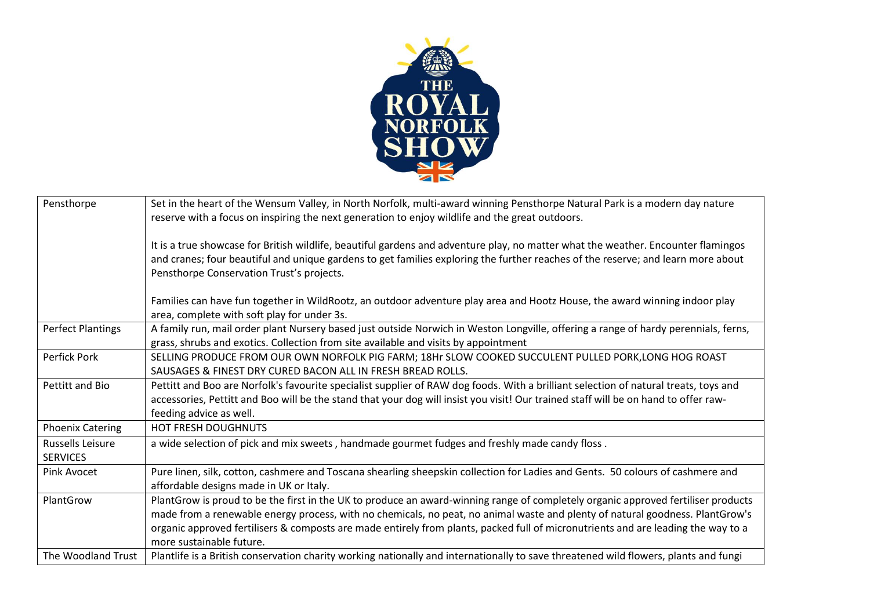

| Pensthorpe                                 | Set in the heart of the Wensum Valley, in North Norfolk, multi-award winning Pensthorpe Natural Park is a modern day nature<br>reserve with a focus on inspiring the next generation to enjoy wildlife and the great outdoors.                                                                                                                                                                                                      |
|--------------------------------------------|-------------------------------------------------------------------------------------------------------------------------------------------------------------------------------------------------------------------------------------------------------------------------------------------------------------------------------------------------------------------------------------------------------------------------------------|
|                                            | It is a true showcase for British wildlife, beautiful gardens and adventure play, no matter what the weather. Encounter flamingos<br>and cranes; four beautiful and unique gardens to get families exploring the further reaches of the reserve; and learn more about<br>Pensthorpe Conservation Trust's projects.                                                                                                                  |
|                                            | Families can have fun together in WildRootz, an outdoor adventure play area and Hootz House, the award winning indoor play<br>area, complete with soft play for under 3s.                                                                                                                                                                                                                                                           |
| <b>Perfect Plantings</b>                   | A family run, mail order plant Nursery based just outside Norwich in Weston Longville, offering a range of hardy perennials, ferns,<br>grass, shrubs and exotics. Collection from site available and visits by appointment                                                                                                                                                                                                          |
| <b>Perfick Pork</b>                        | SELLING PRODUCE FROM OUR OWN NORFOLK PIG FARM; 18Hr SLOW COOKED SUCCULENT PULLED PORK, LONG HOG ROAST<br>SAUSAGES & FINEST DRY CURED BACON ALL IN FRESH BREAD ROLLS.                                                                                                                                                                                                                                                                |
| Pettitt and Bio                            | Pettitt and Boo are Norfolk's favourite specialist supplier of RAW dog foods. With a brilliant selection of natural treats, toys and<br>accessories, Pettitt and Boo will be the stand that your dog will insist you visit! Our trained staff will be on hand to offer raw-<br>feeding advice as well.                                                                                                                              |
| <b>Phoenix Catering</b>                    | <b>HOT FRESH DOUGHNUTS</b>                                                                                                                                                                                                                                                                                                                                                                                                          |
| <b>Russells Leisure</b><br><b>SERVICES</b> | a wide selection of pick and mix sweets, handmade gourmet fudges and freshly made candy floss.                                                                                                                                                                                                                                                                                                                                      |
| Pink Avocet                                | Pure linen, silk, cotton, cashmere and Toscana shearling sheepskin collection for Ladies and Gents. 50 colours of cashmere and<br>affordable designs made in UK or Italy.                                                                                                                                                                                                                                                           |
| PlantGrow                                  | PlantGrow is proud to be the first in the UK to produce an award-winning range of completely organic approved fertiliser products<br>made from a renewable energy process, with no chemicals, no peat, no animal waste and plenty of natural goodness. PlantGrow's<br>organic approved fertilisers & composts are made entirely from plants, packed full of micronutrients and are leading the way to a<br>more sustainable future. |
| The Woodland Trust                         | Plantlife is a British conservation charity working nationally and internationally to save threatened wild flowers, plants and fungi                                                                                                                                                                                                                                                                                                |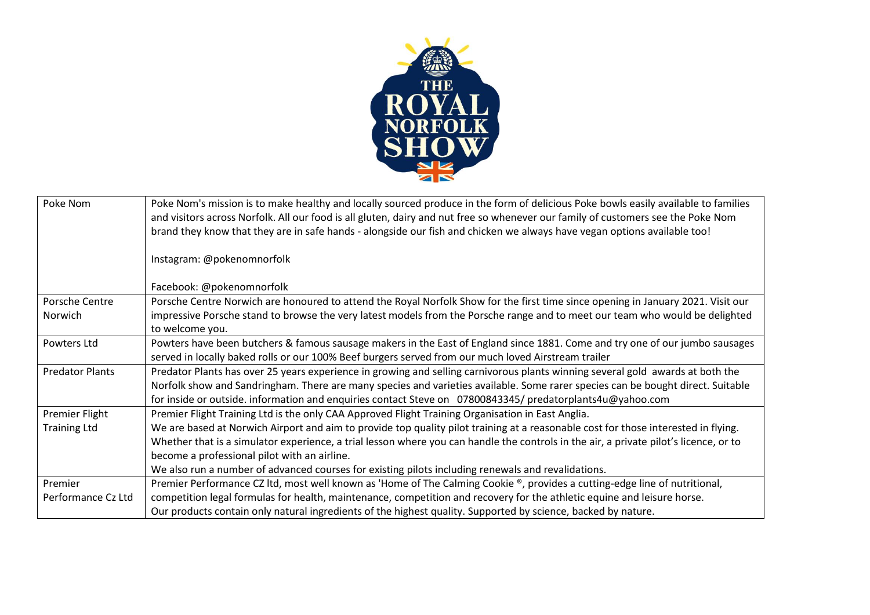

| Poke Nom                  | Poke Nom's mission is to make healthy and locally sourced produce in the form of delicious Poke bowls easily available to families<br>and visitors across Norfolk. All our food is all gluten, dairy and nut free so whenever our family of customers see the Poke Nom<br>brand they know that they are in safe hands - alongside our fish and chicken we always have vegan options available too! |
|---------------------------|----------------------------------------------------------------------------------------------------------------------------------------------------------------------------------------------------------------------------------------------------------------------------------------------------------------------------------------------------------------------------------------------------|
|                           | Instagram: @pokenomnorfolk                                                                                                                                                                                                                                                                                                                                                                         |
|                           | Facebook: @pokenomnorfolk                                                                                                                                                                                                                                                                                                                                                                          |
| Porsche Centre<br>Norwich | Porsche Centre Norwich are honoured to attend the Royal Norfolk Show for the first time since opening in January 2021. Visit our<br>impressive Porsche stand to browse the very latest models from the Porsche range and to meet our team who would be delighted<br>to welcome you.                                                                                                                |
| Powters Ltd               | Powters have been butchers & famous sausage makers in the East of England since 1881. Come and try one of our jumbo sausages<br>served in locally baked rolls or our 100% Beef burgers served from our much loved Airstream trailer                                                                                                                                                                |
| <b>Predator Plants</b>    | Predator Plants has over 25 years experience in growing and selling carnivorous plants winning several gold awards at both the                                                                                                                                                                                                                                                                     |
|                           | Norfolk show and Sandringham. There are many species and varieties available. Some rarer species can be bought direct. Suitable                                                                                                                                                                                                                                                                    |
|                           | for inside or outside. information and enquiries contact Steve on 07800843345/ predatorplants4u@yahoo.com                                                                                                                                                                                                                                                                                          |
| Premier Flight            | Premier Flight Training Ltd is the only CAA Approved Flight Training Organisation in East Anglia.                                                                                                                                                                                                                                                                                                  |
| <b>Training Ltd</b>       | We are based at Norwich Airport and aim to provide top quality pilot training at a reasonable cost for those interested in flying.                                                                                                                                                                                                                                                                 |
|                           | Whether that is a simulator experience, a trial lesson where you can handle the controls in the air, a private pilot's licence, or to                                                                                                                                                                                                                                                              |
|                           | become a professional pilot with an airline.                                                                                                                                                                                                                                                                                                                                                       |
|                           | We also run a number of advanced courses for existing pilots including renewals and revalidations.                                                                                                                                                                                                                                                                                                 |
| Premier                   | Premier Performance CZ ltd, most well known as 'Home of The Calming Cookie ®, provides a cutting-edge line of nutritional,                                                                                                                                                                                                                                                                         |
| Performance Cz Ltd        | competition legal formulas for health, maintenance, competition and recovery for the athletic equine and leisure horse.                                                                                                                                                                                                                                                                            |
|                           | Our products contain only natural ingredients of the highest quality. Supported by science, backed by nature.                                                                                                                                                                                                                                                                                      |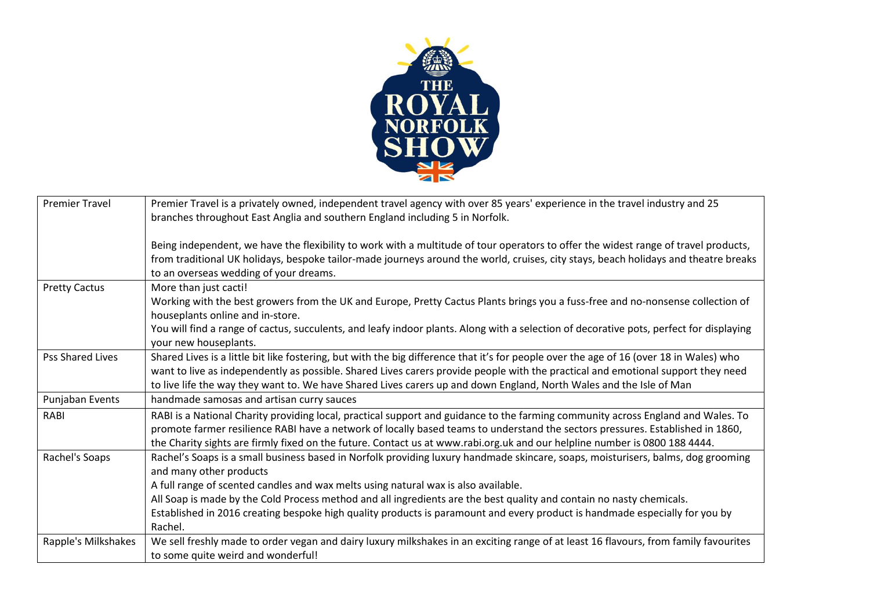

| <b>Premier Travel</b> | Premier Travel is a privately owned, independent travel agency with over 85 years' experience in the travel industry and 25<br>branches throughout East Anglia and southern England including 5 in Norfolk.                                                                                                                                                                                        |
|-----------------------|----------------------------------------------------------------------------------------------------------------------------------------------------------------------------------------------------------------------------------------------------------------------------------------------------------------------------------------------------------------------------------------------------|
|                       | Being independent, we have the flexibility to work with a multitude of tour operators to offer the widest range of travel products,<br>from traditional UK holidays, bespoke tailor-made journeys around the world, cruises, city stays, beach holidays and theatre breaks<br>to an overseas wedding of your dreams.                                                                               |
| <b>Pretty Cactus</b>  | More than just cacti!<br>Working with the best growers from the UK and Europe, Pretty Cactus Plants brings you a fuss-free and no-nonsense collection of<br>houseplants online and in-store.                                                                                                                                                                                                       |
|                       | You will find a range of cactus, succulents, and leafy indoor plants. Along with a selection of decorative pots, perfect for displaying<br>your new houseplants.                                                                                                                                                                                                                                   |
| Pss Shared Lives      | Shared Lives is a little bit like fostering, but with the big difference that it's for people over the age of 16 (over 18 in Wales) who<br>want to live as independently as possible. Shared Lives carers provide people with the practical and emotional support they need<br>to live life the way they want to. We have Shared Lives carers up and down England, North Wales and the Isle of Man |
| Punjaban Events       | handmade samosas and artisan curry sauces                                                                                                                                                                                                                                                                                                                                                          |
| RABI                  | RABI is a National Charity providing local, practical support and guidance to the farming community across England and Wales. To<br>promote farmer resilience RABI have a network of locally based teams to understand the sectors pressures. Established in 1860,<br>the Charity sights are firmly fixed on the future. Contact us at www.rabi.org.uk and our helpline number is 0800 188 4444.   |
| Rachel's Soaps        | Rachel's Soaps is a small business based in Norfolk providing luxury handmade skincare, soaps, moisturisers, balms, dog grooming<br>and many other products<br>A full range of scented candles and wax melts using natural wax is also available.                                                                                                                                                  |
|                       | All Soap is made by the Cold Process method and all ingredients are the best quality and contain no nasty chemicals.                                                                                                                                                                                                                                                                               |
|                       | Established in 2016 creating bespoke high quality products is paramount and every product is handmade especially for you by<br>Rachel.                                                                                                                                                                                                                                                             |
| Rapple's Milkshakes   | We sell freshly made to order vegan and dairy luxury milkshakes in an exciting range of at least 16 flavours, from family favourites<br>to some quite weird and wonderful!                                                                                                                                                                                                                         |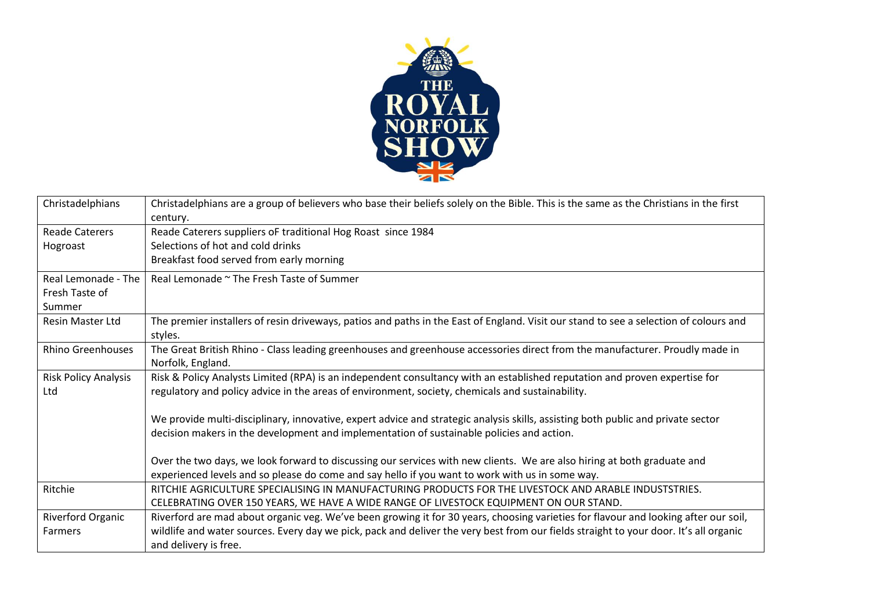

| Christadelphians                                | Christadelphians are a group of believers who base their beliefs solely on the Bible. This is the same as the Christians in the first<br>century.                                                                              |
|-------------------------------------------------|--------------------------------------------------------------------------------------------------------------------------------------------------------------------------------------------------------------------------------|
| <b>Reade Caterers</b><br>Hogroast               | Reade Caterers suppliers oF traditional Hog Roast since 1984<br>Selections of hot and cold drinks<br>Breakfast food served from early morning                                                                                  |
| Real Lemonade - The<br>Fresh Taste of<br>Summer | Real Lemonade ~ The Fresh Taste of Summer                                                                                                                                                                                      |
| <b>Resin Master Ltd</b>                         | The premier installers of resin driveways, patios and paths in the East of England. Visit our stand to see a selection of colours and<br>styles.                                                                               |
| <b>Rhino Greenhouses</b>                        | The Great British Rhino - Class leading greenhouses and greenhouse accessories direct from the manufacturer. Proudly made in<br>Norfolk, England.                                                                              |
| <b>Risk Policy Analysis</b><br>Ltd              | Risk & Policy Analysts Limited (RPA) is an independent consultancy with an established reputation and proven expertise for<br>regulatory and policy advice in the areas of environment, society, chemicals and sustainability. |
|                                                 | We provide multi-disciplinary, innovative, expert advice and strategic analysis skills, assisting both public and private sector<br>decision makers in the development and implementation of sustainable policies and action.  |
|                                                 | Over the two days, we look forward to discussing our services with new clients. We are also hiring at both graduate and<br>experienced levels and so please do come and say hello if you want to work with us in some way.     |
| Ritchie                                         | RITCHIE AGRICULTURE SPECIALISING IN MANUFACTURING PRODUCTS FOR THE LIVESTOCK AND ARABLE INDUSTSTRIES.<br>CELEBRATING OVER 150 YEARS, WE HAVE A WIDE RANGE OF LIVESTOCK EQUIPMENT ON OUR STAND.                                 |
| Riverford Organic                               | Riverford are mad about organic veg. We've been growing it for 30 years, choosing varieties for flavour and looking after our soil,                                                                                            |
| <b>Farmers</b>                                  | wildlife and water sources. Every day we pick, pack and deliver the very best from our fields straight to your door. It's all organic<br>and delivery is free.                                                                 |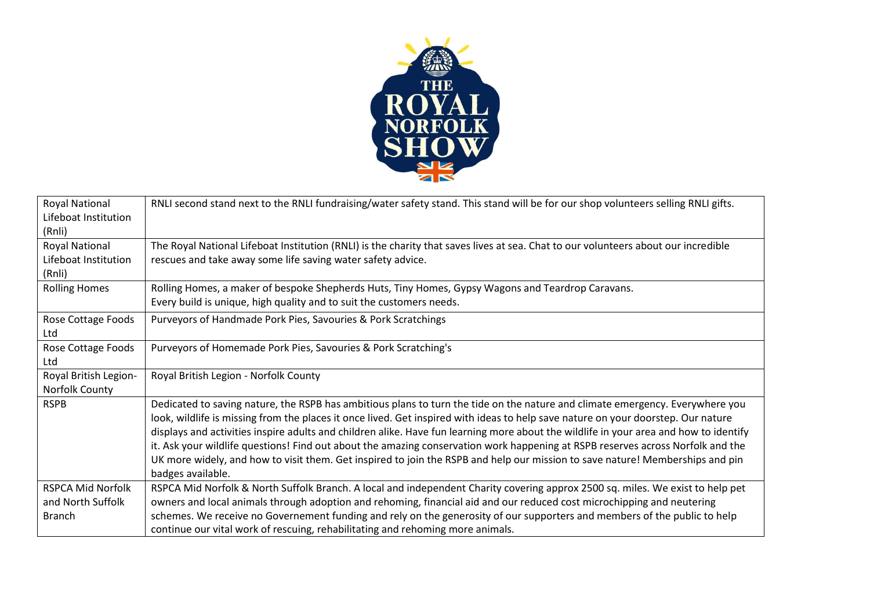

| <b>Royal National</b>    | RNLI second stand next to the RNLI fundraising/water safety stand. This stand will be for our shop volunteers selling RNLI gifts.     |
|--------------------------|---------------------------------------------------------------------------------------------------------------------------------------|
| Lifeboat Institution     |                                                                                                                                       |
| (Rnli)                   |                                                                                                                                       |
| Royal National           | The Royal National Lifeboat Institution (RNLI) is the charity that saves lives at sea. Chat to our volunteers about our incredible    |
| Lifeboat Institution     | rescues and take away some life saving water safety advice.                                                                           |
| (Rnli)                   |                                                                                                                                       |
| <b>Rolling Homes</b>     | Rolling Homes, a maker of bespoke Shepherds Huts, Tiny Homes, Gypsy Wagons and Teardrop Caravans.                                     |
|                          | Every build is unique, high quality and to suit the customers needs.                                                                  |
| Rose Cottage Foods       | Purveyors of Handmade Pork Pies, Savouries & Pork Scratchings                                                                         |
| Ltd                      |                                                                                                                                       |
| Rose Cottage Foods       | Purveyors of Homemade Pork Pies, Savouries & Pork Scratching's                                                                        |
| Ltd                      |                                                                                                                                       |
| Royal British Legion-    | Royal British Legion - Norfolk County                                                                                                 |
| Norfolk County           |                                                                                                                                       |
| <b>RSPB</b>              | Dedicated to saving nature, the RSPB has ambitious plans to turn the tide on the nature and climate emergency. Everywhere you         |
|                          | look, wildlife is missing from the places it once lived. Get inspired with ideas to help save nature on your doorstep. Our nature     |
|                          | displays and activities inspire adults and children alike. Have fun learning more about the wildlife in your area and how to identify |
|                          | it. Ask your wildlife questions! Find out about the amazing conservation work happening at RSPB reserves across Norfolk and the       |
|                          | UK more widely, and how to visit them. Get inspired to join the RSPB and help our mission to save nature! Memberships and pin         |
|                          | badges available.                                                                                                                     |
| <b>RSPCA Mid Norfolk</b> | RSPCA Mid Norfolk & North Suffolk Branch. A local and independent Charity covering approx 2500 sq. miles. We exist to help pet        |
| and North Suffolk        | owners and local animals through adoption and rehoming, financial aid and our reduced cost microchipping and neutering                |
| <b>Branch</b>            | schemes. We receive no Governement funding and rely on the generosity of our supporters and members of the public to help             |
|                          | continue our vital work of rescuing, rehabilitating and rehoming more animals.                                                        |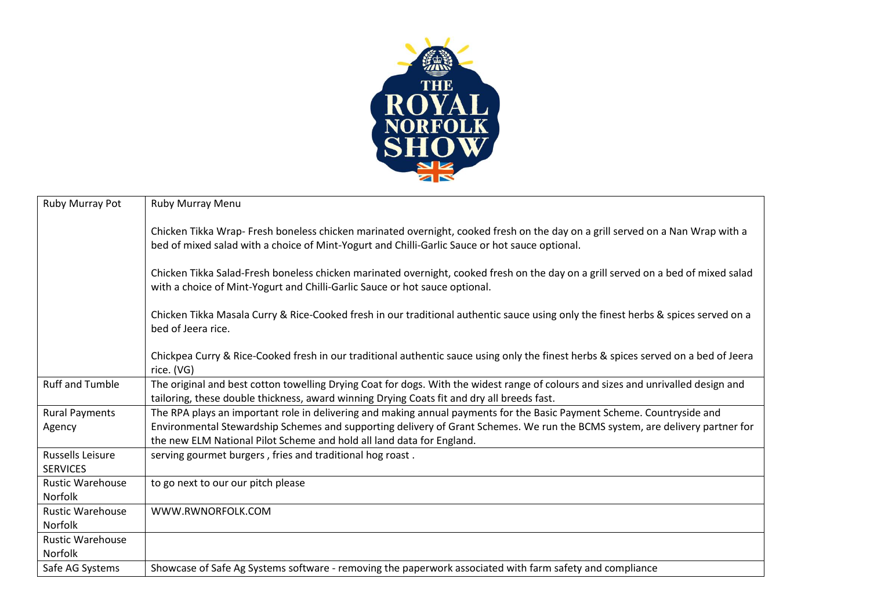

| Ruby Murray Pot                            | <b>Ruby Murray Menu</b>                                                                                                                                                                                                          |
|--------------------------------------------|----------------------------------------------------------------------------------------------------------------------------------------------------------------------------------------------------------------------------------|
|                                            | Chicken Tikka Wrap- Fresh boneless chicken marinated overnight, cooked fresh on the day on a grill served on a Nan Wrap with a<br>bed of mixed salad with a choice of Mint-Yogurt and Chilli-Garlic Sauce or hot sauce optional. |
|                                            | Chicken Tikka Salad-Fresh boneless chicken marinated overnight, cooked fresh on the day on a grill served on a bed of mixed salad<br>with a choice of Mint-Yogurt and Chilli-Garlic Sauce or hot sauce optional.                 |
|                                            | Chicken Tikka Masala Curry & Rice-Cooked fresh in our traditional authentic sauce using only the finest herbs & spices served on a<br>bed of Jeera rice.                                                                         |
|                                            | Chickpea Curry & Rice-Cooked fresh in our traditional authentic sauce using only the finest herbs & spices served on a bed of Jeera<br>rice. (VG)                                                                                |
| <b>Ruff and Tumble</b>                     | The original and best cotton towelling Drying Coat for dogs. With the widest range of colours and sizes and unrivalled design and<br>tailoring, these double thickness, award winning Drying Coats fit and dry all breeds fast.  |
| <b>Rural Payments</b>                      | The RPA plays an important role in delivering and making annual payments for the Basic Payment Scheme. Countryside and                                                                                                           |
| Agency                                     | Environmental Stewardship Schemes and supporting delivery of Grant Schemes. We run the BCMS system, are delivery partner for<br>the new ELM National Pilot Scheme and hold all land data for England.                            |
| <b>Russells Leisure</b><br><b>SERVICES</b> | serving gourmet burgers, fries and traditional hog roast.                                                                                                                                                                        |
| <b>Rustic Warehouse</b><br><b>Norfolk</b>  | to go next to our our pitch please                                                                                                                                                                                               |
| <b>Rustic Warehouse</b><br>Norfolk         | WWW.RWNORFOLK.COM                                                                                                                                                                                                                |
| <b>Rustic Warehouse</b><br><b>Norfolk</b>  |                                                                                                                                                                                                                                  |
| Safe AG Systems                            | Showcase of Safe Ag Systems software - removing the paperwork associated with farm safety and compliance                                                                                                                         |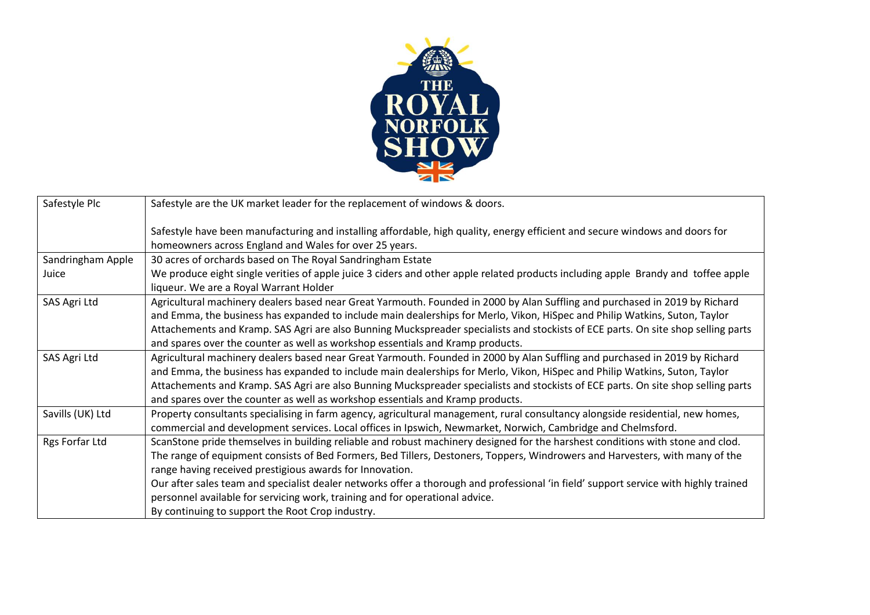

| Safestyle Plc     | Safestyle are the UK market leader for the replacement of windows & doors.                                                                                                             |
|-------------------|----------------------------------------------------------------------------------------------------------------------------------------------------------------------------------------|
|                   | Safestyle have been manufacturing and installing affordable, high quality, energy efficient and secure windows and doors for<br>homeowners across England and Wales for over 25 years. |
| Sandringham Apple | 30 acres of orchards based on The Royal Sandringham Estate                                                                                                                             |
| Juice             | We produce eight single verities of apple juice 3 ciders and other apple related products including apple Brandy and toffee apple<br>liqueur. We are a Royal Warrant Holder            |
| SAS Agri Ltd      | Agricultural machinery dealers based near Great Yarmouth. Founded in 2000 by Alan Suffling and purchased in 2019 by Richard                                                            |
|                   | and Emma, the business has expanded to include main dealerships for Merlo, Vikon, HiSpec and Philip Watkins, Suton, Taylor                                                             |
|                   | Attachements and Kramp. SAS Agri are also Bunning Muckspreader specialists and stockists of ECE parts. On site shop selling parts                                                      |
|                   | and spares over the counter as well as workshop essentials and Kramp products.                                                                                                         |
| SAS Agri Ltd      | Agricultural machinery dealers based near Great Yarmouth. Founded in 2000 by Alan Suffling and purchased in 2019 by Richard                                                            |
|                   | and Emma, the business has expanded to include main dealerships for Merlo, Vikon, HiSpec and Philip Watkins, Suton, Taylor                                                             |
|                   | Attachements and Kramp. SAS Agri are also Bunning Muckspreader specialists and stockists of ECE parts. On site shop selling parts                                                      |
|                   | and spares over the counter as well as workshop essentials and Kramp products.                                                                                                         |
| Savills (UK) Ltd  | Property consultants specialising in farm agency, agricultural management, rural consultancy alongside residential, new homes,                                                         |
|                   | commercial and development services. Local offices in Ipswich, Newmarket, Norwich, Cambridge and Chelmsford.                                                                           |
| Rgs Forfar Ltd    | ScanStone pride themselves in building reliable and robust machinery designed for the harshest conditions with stone and clod.                                                         |
|                   | The range of equipment consists of Bed Formers, Bed Tillers, Destoners, Toppers, Windrowers and Harvesters, with many of the                                                           |
|                   | range having received prestigious awards for Innovation.                                                                                                                               |
|                   | Our after sales team and specialist dealer networks offer a thorough and professional 'in field' support service with highly trained                                                   |
|                   | personnel available for servicing work, training and for operational advice.                                                                                                           |
|                   | By continuing to support the Root Crop industry.                                                                                                                                       |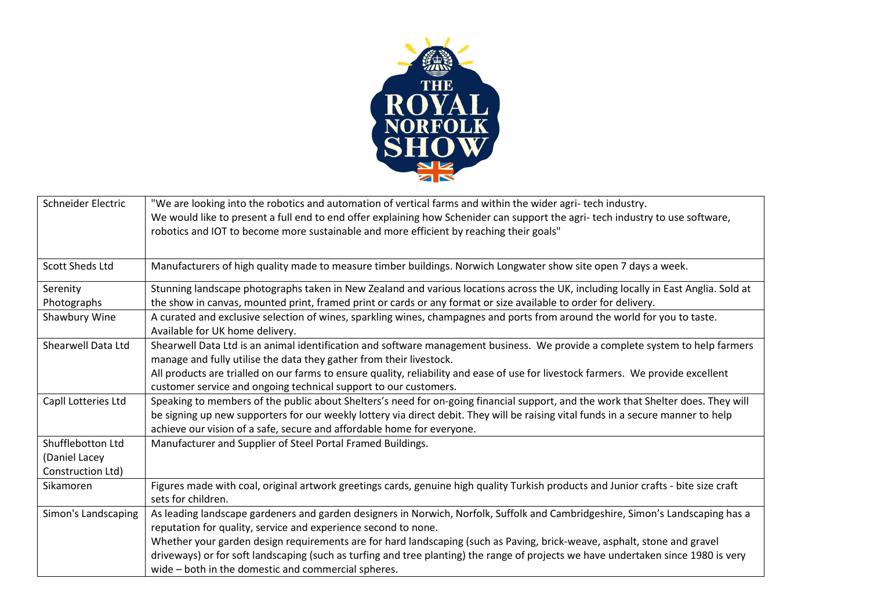

| Schneider Electric     | "We are looking into the robotics and automation of vertical farms and within the wider agri-tech industry.                         |
|------------------------|-------------------------------------------------------------------------------------------------------------------------------------|
|                        | We would like to present a full end to end offer explaining how Schenider can support the agri-tech industry to use software,       |
|                        | robotics and IOT to become more sustainable and more efficient by reaching their goals"                                             |
|                        |                                                                                                                                     |
| <b>Scott Sheds Ltd</b> | Manufacturers of high quality made to measure timber buildings. Norwich Longwater show site open 7 days a week.                     |
| Serenity               | Stunning landscape photographs taken in New Zealand and various locations across the UK, including locally in East Anglia. Sold at  |
| Photographs            | the show in canvas, mounted print, framed print or cards or any format or size available to order for delivery.                     |
| Shawbury Wine          | A curated and exclusive selection of wines, sparkling wines, champagnes and ports from around the world for you to taste.           |
|                        | Available for UK home delivery.                                                                                                     |
| Shearwell Data Ltd     | Shearwell Data Ltd is an animal identification and software management business. We provide a complete system to help farmers       |
|                        | manage and fully utilise the data they gather from their livestock.                                                                 |
|                        | All products are trialled on our farms to ensure quality, reliability and ease of use for livestock farmers. We provide excellent   |
|                        | customer service and ongoing technical support to our customers.                                                                    |
| Capll Lotteries Ltd    | Speaking to members of the public about Shelters's need for on-going financial support, and the work that Shelter does. They will   |
|                        | be signing up new supporters for our weekly lottery via direct debit. They will be raising vital funds in a secure manner to help   |
|                        | achieve our vision of a safe, secure and affordable home for everyone.                                                              |
| Shufflebotton Ltd      | Manufacturer and Supplier of Steel Portal Framed Buildings.                                                                         |
| (Daniel Lacey          |                                                                                                                                     |
| Construction Ltd)      |                                                                                                                                     |
| Sikamoren              | Figures made with coal, original artwork greetings cards, genuine high quality Turkish products and Junior crafts - bite size craft |
|                        | sets for children.                                                                                                                  |
| Simon's Landscaping    | As leading landscape gardeners and garden designers in Norwich, Norfolk, Suffolk and Cambridgeshire, Simon's Landscaping has a      |
|                        | reputation for quality, service and experience second to none.                                                                      |
|                        | Whether your garden design requirements are for hard landscaping (such as Paving, brick-weave, asphalt, stone and gravel            |
|                        | driveways) or for soft landscaping (such as turfing and tree planting) the range of projects we have undertaken since 1980 is very  |
|                        | wide – both in the domestic and commercial spheres.                                                                                 |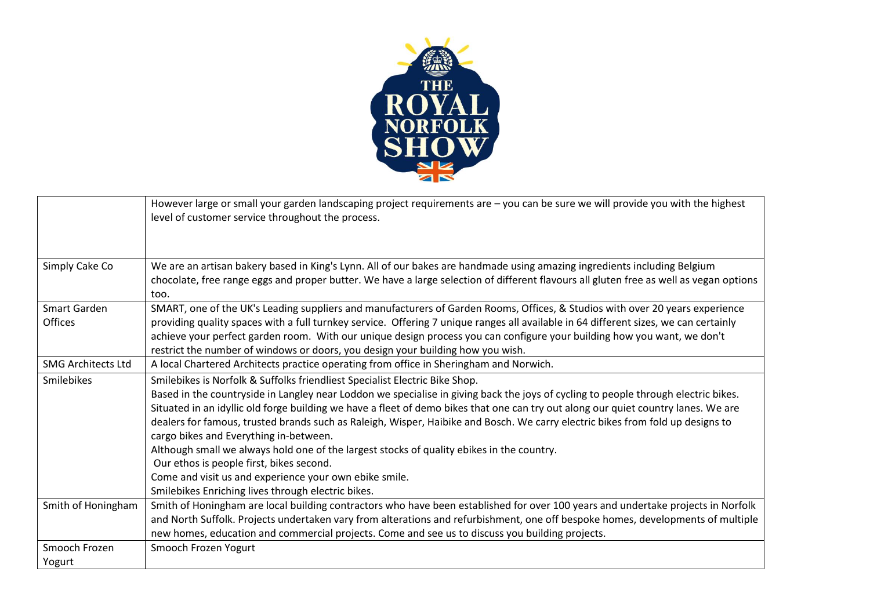

|                           | However large or small your garden landscaping project requirements are - you can be sure we will provide you with the highest<br>level of customer service throughout the process.                                                                                                                                                                                                                                                                                                                                                                                                                                                                                                                                                                                                          |
|---------------------------|----------------------------------------------------------------------------------------------------------------------------------------------------------------------------------------------------------------------------------------------------------------------------------------------------------------------------------------------------------------------------------------------------------------------------------------------------------------------------------------------------------------------------------------------------------------------------------------------------------------------------------------------------------------------------------------------------------------------------------------------------------------------------------------------|
| Simply Cake Co            | We are an artisan bakery based in King's Lynn. All of our bakes are handmade using amazing ingredients including Belgium<br>chocolate, free range eggs and proper butter. We have a large selection of different flavours all gluten free as well as vegan options<br>too.                                                                                                                                                                                                                                                                                                                                                                                                                                                                                                                   |
| Smart Garden<br>Offices   | SMART, one of the UK's Leading suppliers and manufacturers of Garden Rooms, Offices, & Studios with over 20 years experience<br>providing quality spaces with a full turnkey service. Offering 7 unique ranges all available in 64 different sizes, we can certainly<br>achieve your perfect garden room. With our unique design process you can configure your building how you want, we don't<br>restrict the number of windows or doors, you design your building how you wish.                                                                                                                                                                                                                                                                                                           |
| <b>SMG Architects Ltd</b> | A local Chartered Architects practice operating from office in Sheringham and Norwich.                                                                                                                                                                                                                                                                                                                                                                                                                                                                                                                                                                                                                                                                                                       |
| Smilebikes                | Smilebikes is Norfolk & Suffolks friendliest Specialist Electric Bike Shop.<br>Based in the countryside in Langley near Loddon we specialise in giving back the joys of cycling to people through electric bikes.<br>Situated in an idyllic old forge building we have a fleet of demo bikes that one can try out along our quiet country lanes. We are<br>dealers for famous, trusted brands such as Raleigh, Wisper, Haibike and Bosch. We carry electric bikes from fold up designs to<br>cargo bikes and Everything in-between.<br>Although small we always hold one of the largest stocks of quality ebikes in the country.<br>Our ethos is people first, bikes second.<br>Come and visit us and experience your own ebike smile.<br>Smilebikes Enriching lives through electric bikes. |
| Smith of Honingham        | Smith of Honingham are local building contractors who have been established for over 100 years and undertake projects in Norfolk<br>and North Suffolk. Projects undertaken vary from alterations and refurbishment, one off bespoke homes, developments of multiple<br>new homes, education and commercial projects. Come and see us to discuss you building projects.                                                                                                                                                                                                                                                                                                                                                                                                                       |
| Smooch Frozen<br>Yogurt   | Smooch Frozen Yogurt                                                                                                                                                                                                                                                                                                                                                                                                                                                                                                                                                                                                                                                                                                                                                                         |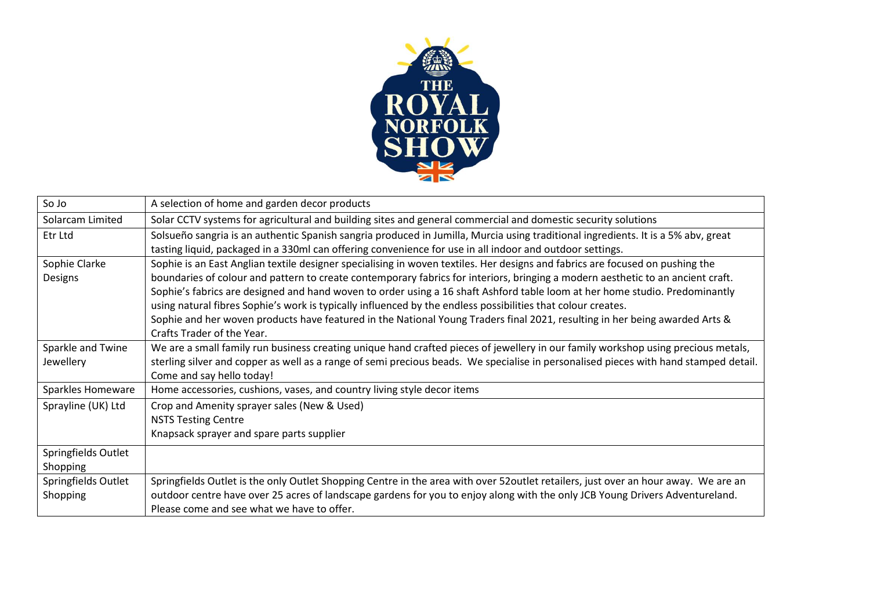

| So Jo               | A selection of home and garden decor products                                                                                        |
|---------------------|--------------------------------------------------------------------------------------------------------------------------------------|
| Solarcam Limited    | Solar CCTV systems for agricultural and building sites and general commercial and domestic security solutions                        |
| Etr Ltd             | Solsueño sangria is an authentic Spanish sangria produced in Jumilla, Murcia using traditional ingredients. It is a 5% abv, great    |
|                     | tasting liquid, packaged in a 330ml can offering convenience for use in all indoor and outdoor settings.                             |
| Sophie Clarke       | Sophie is an East Anglian textile designer specialising in woven textiles. Her designs and fabrics are focused on pushing the        |
| Designs             | boundaries of colour and pattern to create contemporary fabrics for interiors, bringing a modern aesthetic to an ancient craft.      |
|                     | Sophie's fabrics are designed and hand woven to order using a 16 shaft Ashford table loom at her home studio. Predominantly          |
|                     | using natural fibres Sophie's work is typically influenced by the endless possibilities that colour creates.                         |
|                     | Sophie and her woven products have featured in the National Young Traders final 2021, resulting in her being awarded Arts &          |
|                     | Crafts Trader of the Year.                                                                                                           |
| Sparkle and Twine   | We are a small family run business creating unique hand crafted pieces of jewellery in our family workshop using precious metals,    |
| Jewellery           | sterling silver and copper as well as a range of semi precious beads. We specialise in personalised pieces with hand stamped detail. |
|                     | Come and say hello today!                                                                                                            |
| Sparkles Homeware   | Home accessories, cushions, vases, and country living style decor items                                                              |
| Sprayline (UK) Ltd  | Crop and Amenity sprayer sales (New & Used)                                                                                          |
|                     | <b>NSTS Testing Centre</b>                                                                                                           |
|                     | Knapsack sprayer and spare parts supplier                                                                                            |
| Springfields Outlet |                                                                                                                                      |
| Shopping            |                                                                                                                                      |
| Springfields Outlet | Springfields Outlet is the only Outlet Shopping Centre in the area with over 52outlet retailers, just over an hour away. We are an   |
| Shopping            | outdoor centre have over 25 acres of landscape gardens for you to enjoy along with the only JCB Young Drivers Adventureland.         |
|                     | Please come and see what we have to offer.                                                                                           |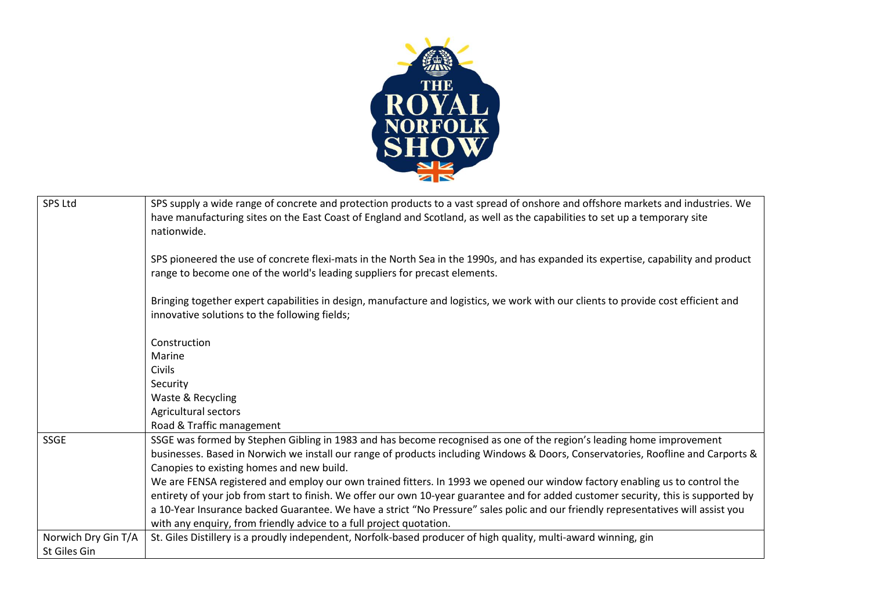

| <b>SPS Ltd</b>      | SPS supply a wide range of concrete and protection products to a vast spread of onshore and offshore markets and industries. We     |
|---------------------|-------------------------------------------------------------------------------------------------------------------------------------|
|                     | have manufacturing sites on the East Coast of England and Scotland, as well as the capabilities to set up a temporary site          |
|                     | nationwide.                                                                                                                         |
|                     |                                                                                                                                     |
|                     | SPS pioneered the use of concrete flexi-mats in the North Sea in the 1990s, and has expanded its expertise, capability and product  |
|                     | range to become one of the world's leading suppliers for precast elements.                                                          |
|                     |                                                                                                                                     |
|                     | Bringing together expert capabilities in design, manufacture and logistics, we work with our clients to provide cost efficient and  |
|                     | innovative solutions to the following fields;                                                                                       |
|                     |                                                                                                                                     |
|                     | Construction                                                                                                                        |
|                     | Marine                                                                                                                              |
|                     | <b>Civils</b>                                                                                                                       |
|                     | Security                                                                                                                            |
|                     | Waste & Recycling                                                                                                                   |
|                     | Agricultural sectors                                                                                                                |
|                     | Road & Traffic management                                                                                                           |
| <b>SSGE</b>         | SSGE was formed by Stephen Gibling in 1983 and has become recognised as one of the region's leading home improvement                |
|                     | businesses. Based in Norwich we install our range of products including Windows & Doors, Conservatories, Roofline and Carports &    |
|                     | Canopies to existing homes and new build.                                                                                           |
|                     | We are FENSA registered and employ our own trained fitters. In 1993 we opened our window factory enabling us to control the         |
|                     | entirety of your job from start to finish. We offer our own 10-year guarantee and for added customer security, this is supported by |
|                     | a 10-Year Insurance backed Guarantee. We have a strict "No Pressure" sales polic and our friendly representatives will assist you   |
|                     | with any enquiry, from friendly advice to a full project quotation.                                                                 |
| Norwich Dry Gin T/A | St. Giles Distillery is a proudly independent, Norfolk-based producer of high quality, multi-award winning, gin                     |
| St Giles Gin        |                                                                                                                                     |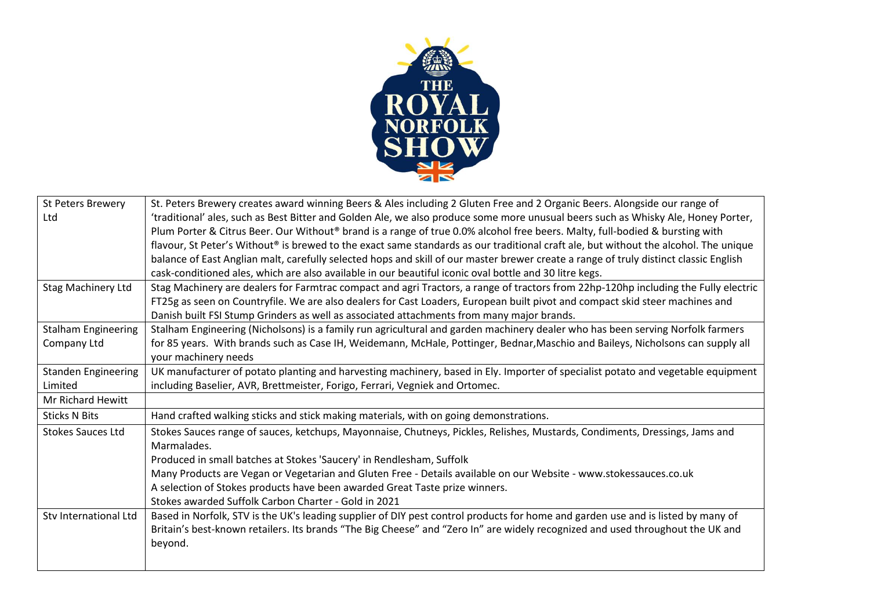

| <b>St Peters Brewery</b>   | St. Peters Brewery creates award winning Beers & Ales including 2 Gluten Free and 2 Organic Beers. Alongside our range of             |
|----------------------------|---------------------------------------------------------------------------------------------------------------------------------------|
| Ltd                        | 'traditional' ales, such as Best Bitter and Golden Ale, we also produce some more unusual beers such as Whisky Ale, Honey Porter,     |
|                            | Plum Porter & Citrus Beer. Our Without® brand is a range of true 0.0% alcohol free beers. Malty, full-bodied & bursting with          |
|                            | flavour, St Peter's Without® is brewed to the exact same standards as our traditional craft ale, but without the alcohol. The unique  |
|                            | balance of East Anglian malt, carefully selected hops and skill of our master brewer create a range of truly distinct classic English |
|                            | cask-conditioned ales, which are also available in our beautiful iconic oval bottle and 30 litre kegs.                                |
| <b>Stag Machinery Ltd</b>  | Stag Machinery are dealers for Farmtrac compact and agri Tractors, a range of tractors from 22hp-120hp including the Fully electric   |
|                            | FT25g as seen on Countryfile. We are also dealers for Cast Loaders, European built pivot and compact skid steer machines and          |
|                            | Danish built FSI Stump Grinders as well as associated attachments from many major brands.                                             |
| <b>Stalham Engineering</b> | Stalham Engineering (Nicholsons) is a family run agricultural and garden machinery dealer who has been serving Norfolk farmers        |
| Company Ltd                | for 85 years. With brands such as Case IH, Weidemann, McHale, Pottinger, Bednar, Maschio and Baileys, Nicholsons can supply all       |
|                            | your machinery needs                                                                                                                  |
| <b>Standen Engineering</b> | UK manufacturer of potato planting and harvesting machinery, based in Ely. Importer of specialist potato and vegetable equipment      |
| Limited                    | including Baselier, AVR, Brettmeister, Forigo, Ferrari, Vegniek and Ortomec.                                                          |
| Mr Richard Hewitt          |                                                                                                                                       |
| <b>Sticks N Bits</b>       | Hand crafted walking sticks and stick making materials, with on going demonstrations.                                                 |
| <b>Stokes Sauces Ltd</b>   | Stokes Sauces range of sauces, ketchups, Mayonnaise, Chutneys, Pickles, Relishes, Mustards, Condiments, Dressings, Jams and           |
|                            | Marmalades.                                                                                                                           |
|                            | Produced in small batches at Stokes 'Saucery' in Rendlesham, Suffolk                                                                  |
|                            | Many Products are Vegan or Vegetarian and Gluten Free - Details available on our Website - www.stokessauces.co.uk                     |
|                            | A selection of Stokes products have been awarded Great Taste prize winners.                                                           |
|                            | Stokes awarded Suffolk Carbon Charter - Gold in 2021                                                                                  |
| Stv International Ltd      | Based in Norfolk, STV is the UK's leading supplier of DIY pest control products for home and garden use and is listed by many of      |
|                            | Britain's best-known retailers. Its brands "The Big Cheese" and "Zero In" are widely recognized and used throughout the UK and        |
|                            | beyond.                                                                                                                               |
|                            |                                                                                                                                       |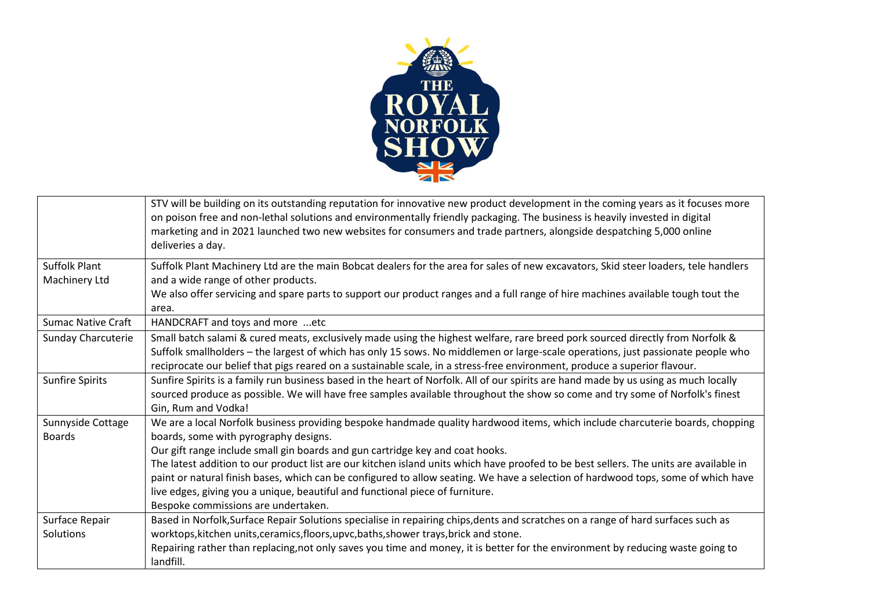

|                           | STV will be building on its outstanding reputation for innovative new product development in the coming years as it focuses more<br>on poison free and non-lethal solutions and environmentally friendly packaging. The business is heavily invested in digital<br>marketing and in 2021 launched two new websites for consumers and trade partners, alongside despatching 5,000 online<br>deliveries a day. |
|---------------------------|--------------------------------------------------------------------------------------------------------------------------------------------------------------------------------------------------------------------------------------------------------------------------------------------------------------------------------------------------------------------------------------------------------------|
| <b>Suffolk Plant</b>      | Suffolk Plant Machinery Ltd are the main Bobcat dealers for the area for sales of new excavators, Skid steer loaders, tele handlers                                                                                                                                                                                                                                                                          |
| Machinery Ltd             | and a wide range of other products.                                                                                                                                                                                                                                                                                                                                                                          |
|                           | We also offer servicing and spare parts to support our product ranges and a full range of hire machines available tough tout the<br>area.                                                                                                                                                                                                                                                                    |
| <b>Sumac Native Craft</b> | HANDCRAFT and toys and more etc                                                                                                                                                                                                                                                                                                                                                                              |
| <b>Sunday Charcuterie</b> | Small batch salami & cured meats, exclusively made using the highest welfare, rare breed pork sourced directly from Norfolk &                                                                                                                                                                                                                                                                                |
|                           | Suffolk smallholders – the largest of which has only 15 sows. No middlemen or large-scale operations, just passionate people who                                                                                                                                                                                                                                                                             |
|                           | reciprocate our belief that pigs reared on a sustainable scale, in a stress-free environment, produce a superior flavour.                                                                                                                                                                                                                                                                                    |
| <b>Sunfire Spirits</b>    | Sunfire Spirits is a family run business based in the heart of Norfolk. All of our spirits are hand made by us using as much locally                                                                                                                                                                                                                                                                         |
|                           | sourced produce as possible. We will have free samples available throughout the show so come and try some of Norfolk's finest                                                                                                                                                                                                                                                                                |
|                           | Gin, Rum and Vodka!                                                                                                                                                                                                                                                                                                                                                                                          |
| Sunnyside Cottage         | We are a local Norfolk business providing bespoke handmade quality hardwood items, which include charcuterie boards, chopping                                                                                                                                                                                                                                                                                |
| <b>Boards</b>             | boards, some with pyrography designs.                                                                                                                                                                                                                                                                                                                                                                        |
|                           | Our gift range include small gin boards and gun cartridge key and coat hooks.                                                                                                                                                                                                                                                                                                                                |
|                           | The latest addition to our product list are our kitchen island units which have proofed to be best sellers. The units are available in                                                                                                                                                                                                                                                                       |
|                           | paint or natural finish bases, which can be configured to allow seating. We have a selection of hardwood tops, some of which have                                                                                                                                                                                                                                                                            |
|                           | live edges, giving you a unique, beautiful and functional piece of furniture.                                                                                                                                                                                                                                                                                                                                |
|                           | Bespoke commissions are undertaken.                                                                                                                                                                                                                                                                                                                                                                          |
| Surface Repair            | Based in Norfolk, Surface Repair Solutions specialise in repairing chips, dents and scratches on a range of hard surfaces such as                                                                                                                                                                                                                                                                            |
| Solutions                 | worktops, kitchen units, ceramics, floors, upvc, baths, shower trays, brick and stone.                                                                                                                                                                                                                                                                                                                       |
|                           | Repairing rather than replacing, not only saves you time and money, it is better for the environment by reducing waste going to                                                                                                                                                                                                                                                                              |
|                           | landfill.                                                                                                                                                                                                                                                                                                                                                                                                    |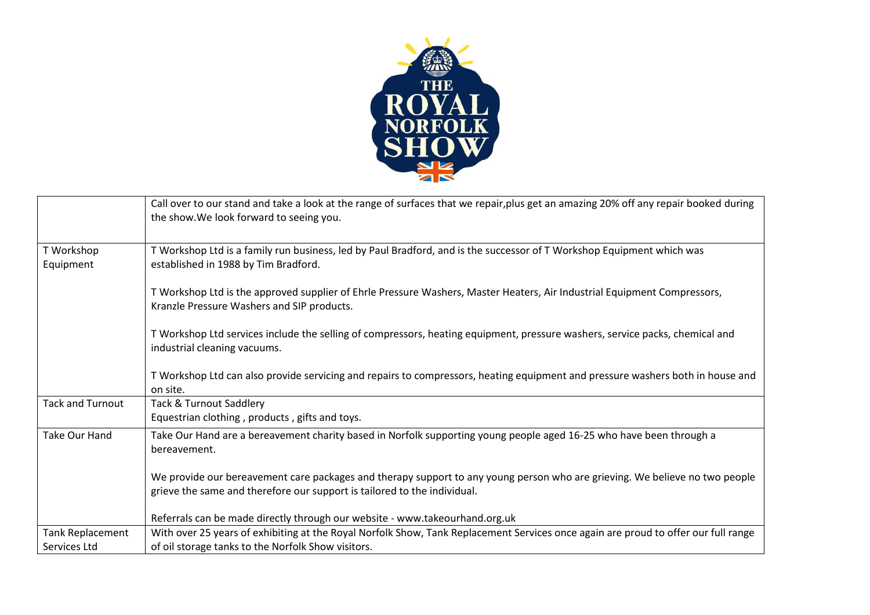

|                         | Call over to our stand and take a look at the range of surfaces that we repair, plus get an amazing 20% off any repair booked during<br>the show. We look forward to seeing you.                        |
|-------------------------|---------------------------------------------------------------------------------------------------------------------------------------------------------------------------------------------------------|
| T Workshop<br>Equipment | T Workshop Ltd is a family run business, led by Paul Bradford, and is the successor of T Workshop Equipment which was<br>established in 1988 by Tim Bradford.                                           |
|                         | T Workshop Ltd is the approved supplier of Ehrle Pressure Washers, Master Heaters, Air Industrial Equipment Compressors,<br>Kranzle Pressure Washers and SIP products.                                  |
|                         | T Workshop Ltd services include the selling of compressors, heating equipment, pressure washers, service packs, chemical and<br>industrial cleaning vacuums.                                            |
|                         | T Workshop Ltd can also provide servicing and repairs to compressors, heating equipment and pressure washers both in house and<br>on site.                                                              |
| <b>Tack and Turnout</b> | <b>Tack &amp; Turnout Saddlery</b><br>Equestrian clothing, products, gifts and toys.                                                                                                                    |
| <b>Take Our Hand</b>    | Take Our Hand are a bereavement charity based in Norfolk supporting young people aged 16-25 who have been through a<br>bereavement.                                                                     |
|                         | We provide our bereavement care packages and therapy support to any young person who are grieving. We believe no two people<br>grieve the same and therefore our support is tailored to the individual. |
|                         | Referrals can be made directly through our website - www.takeourhand.org.uk                                                                                                                             |
| Tank Replacement        | With over 25 years of exhibiting at the Royal Norfolk Show, Tank Replacement Services once again are proud to offer our full range                                                                      |
| Services Ltd            | of oil storage tanks to the Norfolk Show visitors.                                                                                                                                                      |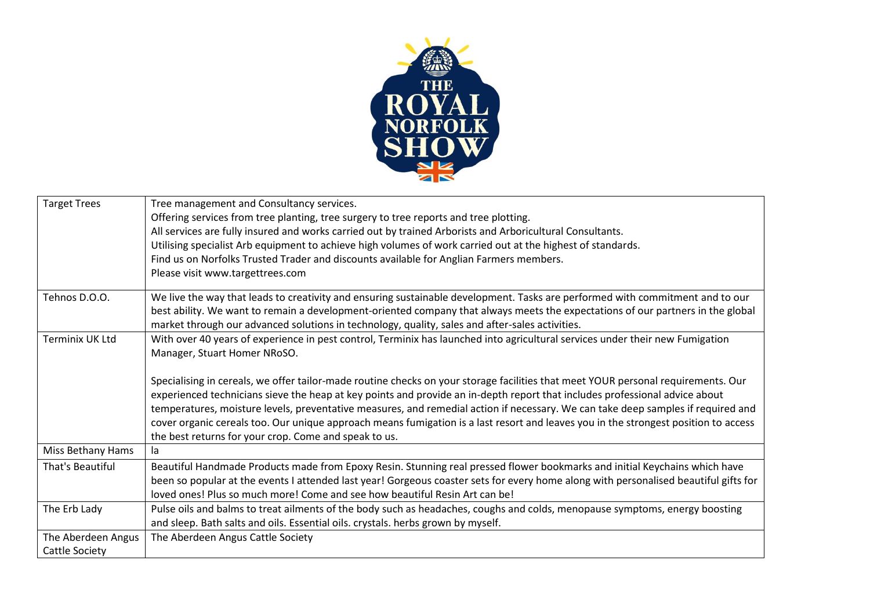

| <b>Target Trees</b>    | Tree management and Consultancy services.                                                                                            |
|------------------------|--------------------------------------------------------------------------------------------------------------------------------------|
|                        | Offering services from tree planting, tree surgery to tree reports and tree plotting.                                                |
|                        | All services are fully insured and works carried out by trained Arborists and Arboricultural Consultants.                            |
|                        | Utilising specialist Arb equipment to achieve high volumes of work carried out at the highest of standards.                          |
|                        | Find us on Norfolks Trusted Trader and discounts available for Anglian Farmers members.                                              |
|                        | Please visit www.targettrees.com                                                                                                     |
|                        |                                                                                                                                      |
| Tehnos D.O.O.          | We live the way that leads to creativity and ensuring sustainable development. Tasks are performed with commitment and to our        |
|                        | best ability. We want to remain a development-oriented company that always meets the expectations of our partners in the global      |
|                        | market through our advanced solutions in technology, quality, sales and after-sales activities.                                      |
| <b>Terminix UK Ltd</b> | With over 40 years of experience in pest control, Terminix has launched into agricultural services under their new Fumigation        |
|                        | Manager, Stuart Homer NRoSO.                                                                                                         |
|                        |                                                                                                                                      |
|                        | Specialising in cereals, we offer tailor-made routine checks on your storage facilities that meet YOUR personal requirements. Our    |
|                        | experienced technicians sieve the heap at key points and provide an in-depth report that includes professional advice about          |
|                        | temperatures, moisture levels, preventative measures, and remedial action if necessary. We can take deep samples if required and     |
|                        | cover organic cereals too. Our unique approach means fumigation is a last resort and leaves you in the strongest position to access  |
|                        | the best returns for your crop. Come and speak to us.                                                                                |
| Miss Bethany Hams      | la                                                                                                                                   |
| That's Beautiful       | Beautiful Handmade Products made from Epoxy Resin. Stunning real pressed flower bookmarks and initial Keychains which have           |
|                        | been so popular at the events I attended last year! Gorgeous coaster sets for every home along with personalised beautiful gifts for |
|                        | loved ones! Plus so much more! Come and see how beautiful Resin Art can be!                                                          |
| The Erb Lady           | Pulse oils and balms to treat ailments of the body such as headaches, coughs and colds, menopause symptoms, energy boosting          |
|                        | and sleep. Bath salts and oils. Essential oils. crystals. herbs grown by myself.                                                     |
| The Aberdeen Angus     | The Aberdeen Angus Cattle Society                                                                                                    |
| Cattle Society         |                                                                                                                                      |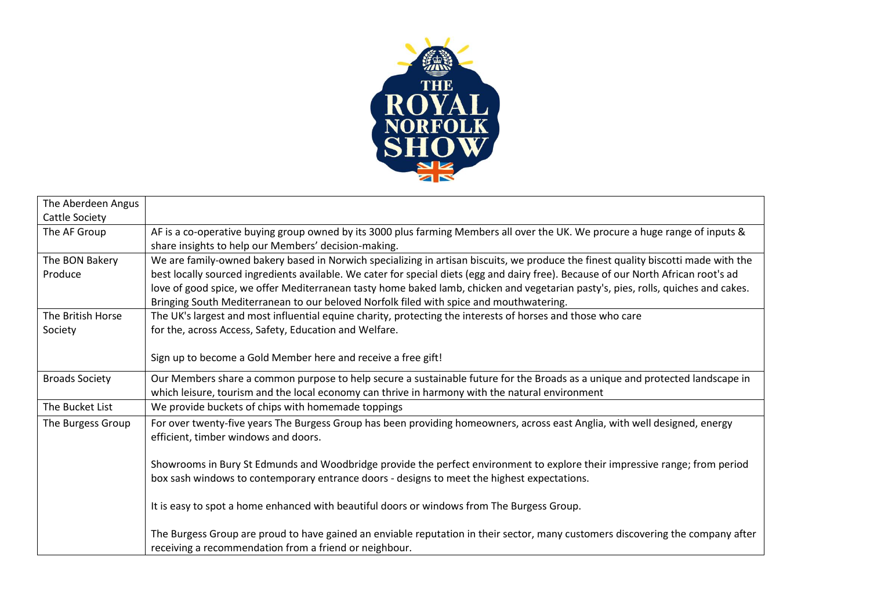

| The Aberdeen Angus        |                                                                                                                                                                                                                                                                                                                                                                                                                                                                                                           |
|---------------------------|-----------------------------------------------------------------------------------------------------------------------------------------------------------------------------------------------------------------------------------------------------------------------------------------------------------------------------------------------------------------------------------------------------------------------------------------------------------------------------------------------------------|
| Cattle Society            |                                                                                                                                                                                                                                                                                                                                                                                                                                                                                                           |
| The AF Group              | AF is a co-operative buying group owned by its 3000 plus farming Members all over the UK. We procure a huge range of inputs &<br>share insights to help our Members' decision-making.                                                                                                                                                                                                                                                                                                                     |
| The BON Bakery<br>Produce | We are family-owned bakery based in Norwich specializing in artisan biscuits, we produce the finest quality biscotti made with the<br>best locally sourced ingredients available. We cater for special diets (egg and dairy free). Because of our North African root's ad<br>love of good spice, we offer Mediterranean tasty home baked lamb, chicken and vegetarian pasty's, pies, rolls, quiches and cakes.<br>Bringing South Mediterranean to our beloved Norfolk filed with spice and mouthwatering. |
| The British Horse         | The UK's largest and most influential equine charity, protecting the interests of horses and those who care                                                                                                                                                                                                                                                                                                                                                                                               |
| Society                   | for the, across Access, Safety, Education and Welfare.                                                                                                                                                                                                                                                                                                                                                                                                                                                    |
|                           | Sign up to become a Gold Member here and receive a free gift!                                                                                                                                                                                                                                                                                                                                                                                                                                             |
| <b>Broads Society</b>     | Our Members share a common purpose to help secure a sustainable future for the Broads as a unique and protected landscape in<br>which leisure, tourism and the local economy can thrive in harmony with the natural environment                                                                                                                                                                                                                                                                           |
| The Bucket List           | We provide buckets of chips with homemade toppings                                                                                                                                                                                                                                                                                                                                                                                                                                                        |
| The Burgess Group         | For over twenty-five years The Burgess Group has been providing homeowners, across east Anglia, with well designed, energy<br>efficient, timber windows and doors.                                                                                                                                                                                                                                                                                                                                        |
|                           | Showrooms in Bury St Edmunds and Woodbridge provide the perfect environment to explore their impressive range; from period<br>box sash windows to contemporary entrance doors - designs to meet the highest expectations.                                                                                                                                                                                                                                                                                 |
|                           | It is easy to spot a home enhanced with beautiful doors or windows from The Burgess Group.                                                                                                                                                                                                                                                                                                                                                                                                                |
|                           | The Burgess Group are proud to have gained an enviable reputation in their sector, many customers discovering the company after<br>receiving a recommendation from a friend or neighbour.                                                                                                                                                                                                                                                                                                                 |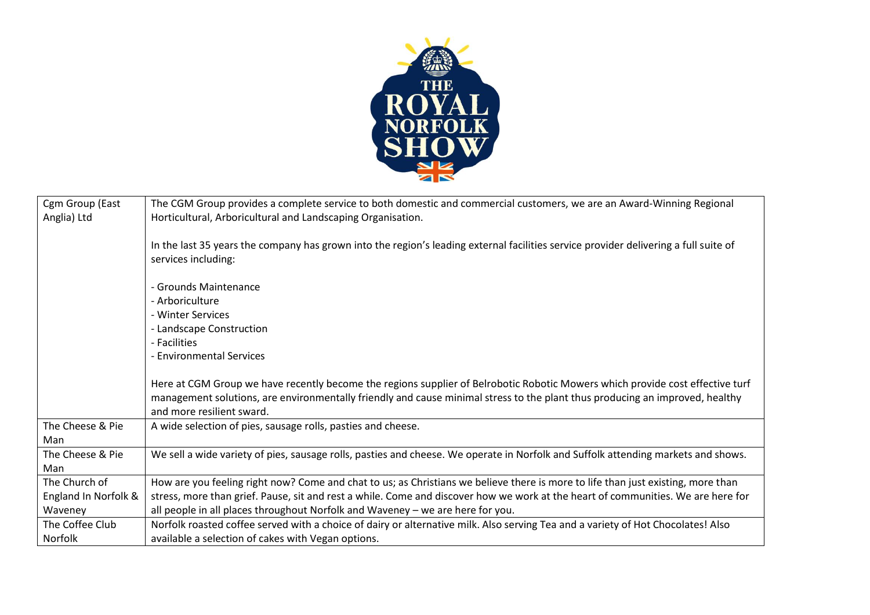

| Cgm Group (East      | The CGM Group provides a complete service to both domestic and commercial customers, we are an Award-Winning Regional                                                                                                                                                                      |
|----------------------|--------------------------------------------------------------------------------------------------------------------------------------------------------------------------------------------------------------------------------------------------------------------------------------------|
| Anglia) Ltd          | Horticultural, Arboricultural and Landscaping Organisation.                                                                                                                                                                                                                                |
|                      |                                                                                                                                                                                                                                                                                            |
|                      | In the last 35 years the company has grown into the region's leading external facilities service provider delivering a full suite of                                                                                                                                                       |
|                      | services including:                                                                                                                                                                                                                                                                        |
|                      | - Grounds Maintenance                                                                                                                                                                                                                                                                      |
|                      | - Arboriculture                                                                                                                                                                                                                                                                            |
|                      | - Winter Services                                                                                                                                                                                                                                                                          |
|                      |                                                                                                                                                                                                                                                                                            |
|                      | - Landscape Construction<br>- Facilities                                                                                                                                                                                                                                                   |
|                      |                                                                                                                                                                                                                                                                                            |
|                      | - Environmental Services                                                                                                                                                                                                                                                                   |
|                      | Here at CGM Group we have recently become the regions supplier of Belrobotic Robotic Mowers which provide cost effective turf<br>management solutions, are environmentally friendly and cause minimal stress to the plant thus producing an improved, healthy<br>and more resilient sward. |
| The Cheese & Pie     | A wide selection of pies, sausage rolls, pasties and cheese.                                                                                                                                                                                                                               |
| Man                  |                                                                                                                                                                                                                                                                                            |
| The Cheese & Pie     | We sell a wide variety of pies, sausage rolls, pasties and cheese. We operate in Norfolk and Suffolk attending markets and shows.                                                                                                                                                          |
| Man                  |                                                                                                                                                                                                                                                                                            |
| The Church of        | How are you feeling right now? Come and chat to us; as Christians we believe there is more to life than just existing, more than                                                                                                                                                           |
| England In Norfolk & | stress, more than grief. Pause, sit and rest a while. Come and discover how we work at the heart of communities. We are here for                                                                                                                                                           |
| Waveney              | all people in all places throughout Norfolk and Waveney - we are here for you.                                                                                                                                                                                                             |
| The Coffee Club      | Norfolk roasted coffee served with a choice of dairy or alternative milk. Also serving Tea and a variety of Hot Chocolates! Also                                                                                                                                                           |
| <b>Norfolk</b>       | available a selection of cakes with Vegan options.                                                                                                                                                                                                                                         |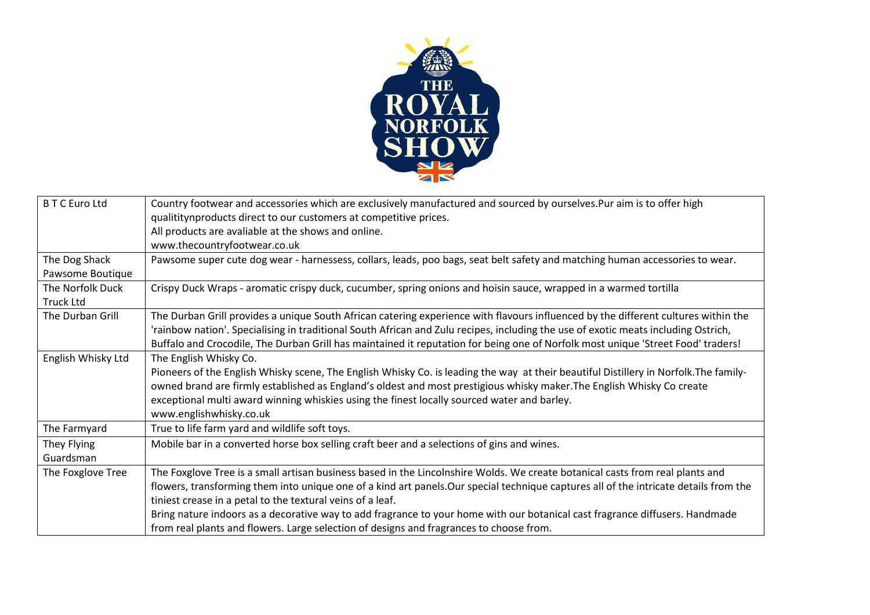

| <b>BTC</b> Euro Ltd | Country footwear and accessories which are exclusively manufactured and sourced by ourselves.Pur aim is to offer high                 |
|---------------------|---------------------------------------------------------------------------------------------------------------------------------------|
|                     | qualititynproducts direct to our customers at competitive prices.                                                                     |
|                     | All products are avaliable at the shows and online.                                                                                   |
|                     | www.thecountryfootwear.co.uk                                                                                                          |
| The Dog Shack       | Pawsome super cute dog wear - harnessess, collars, leads, poo bags, seat belt safety and matching human accessories to wear.          |
| Pawsome Boutique    |                                                                                                                                       |
| The Norfolk Duck    | Crispy Duck Wraps - aromatic crispy duck, cucumber, spring onions and hoisin sauce, wrapped in a warmed tortilla                      |
| <b>Truck Ltd</b>    |                                                                                                                                       |
| The Durban Grill    | The Durban Grill provides a unique South African catering experience with flavours influenced by the different cultures within the    |
|                     | 'rainbow nation'. Specialising in traditional South African and Zulu recipes, including the use of exotic meats including Ostrich,    |
|                     | Buffalo and Crocodile, The Durban Grill has maintained it reputation for being one of Norfolk most unique 'Street Food' traders!      |
| English Whisky Ltd  | The English Whisky Co.                                                                                                                |
|                     | Pioneers of the English Whisky scene, The English Whisky Co. is leading the way at their beautiful Distillery in Norfolk. The family- |
|                     | owned brand are firmly established as England's oldest and most prestigious whisky maker. The English Whisky Co create                |
|                     | exceptional multi award winning whiskies using the finest locally sourced water and barley.                                           |
|                     | www.englishwhisky.co.uk                                                                                                               |
| The Farmyard        | True to life farm yard and wildlife soft toys.                                                                                        |
| They Flying         | Mobile bar in a converted horse box selling craft beer and a selections of gins and wines.                                            |
| Guardsman           |                                                                                                                                       |
| The Foxglove Tree   | The Foxglove Tree is a small artisan business based in the Lincolnshire Wolds. We create botanical casts from real plants and         |
|                     | flowers, transforming them into unique one of a kind art panels. Our special technique captures all of the intricate details from the |
|                     | tiniest crease in a petal to the textural veins of a leaf.                                                                            |
|                     | Bring nature indoors as a decorative way to add fragrance to your home with our botanical cast fragrance diffusers. Handmade          |
|                     | from real plants and flowers. Large selection of designs and fragrances to choose from.                                               |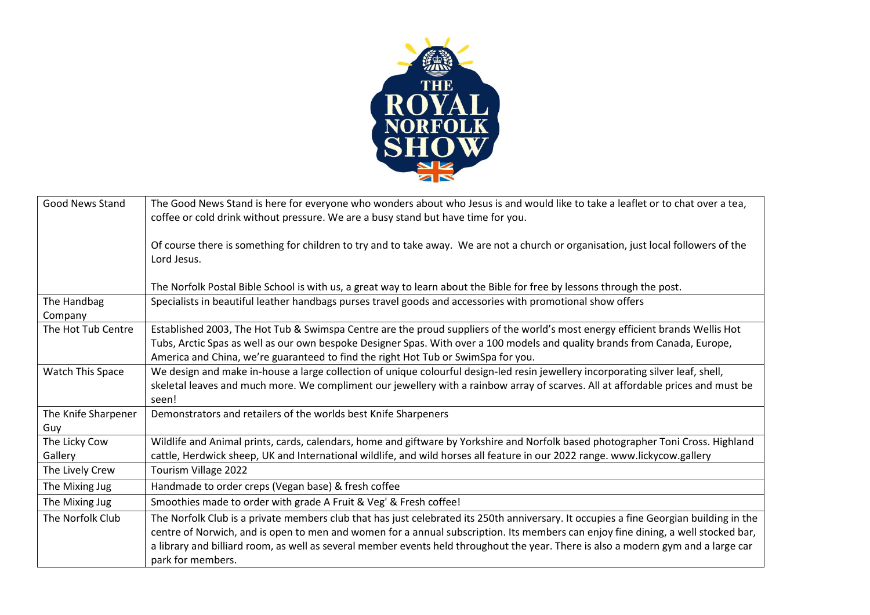

| <b>Good News Stand</b>     | The Good News Stand is here for everyone who wonders about who Jesus is and would like to take a leaflet or to chat over a tea,<br>coffee or cold drink without pressure. We are a busy stand but have time for you.                                                                                                                                                                                                                   |
|----------------------------|----------------------------------------------------------------------------------------------------------------------------------------------------------------------------------------------------------------------------------------------------------------------------------------------------------------------------------------------------------------------------------------------------------------------------------------|
|                            | Of course there is something for children to try and to take away. We are not a church or organisation, just local followers of the<br>Lord Jesus.                                                                                                                                                                                                                                                                                     |
|                            | The Norfolk Postal Bible School is with us, a great way to learn about the Bible for free by lessons through the post.                                                                                                                                                                                                                                                                                                                 |
| The Handbag<br>Company     | Specialists in beautiful leather handbags purses travel goods and accessories with promotional show offers                                                                                                                                                                                                                                                                                                                             |
| The Hot Tub Centre         | Established 2003, The Hot Tub & Swimspa Centre are the proud suppliers of the world's most energy efficient brands Wellis Hot<br>Tubs, Arctic Spas as well as our own bespoke Designer Spas. With over a 100 models and quality brands from Canada, Europe,<br>America and China, we're guaranteed to find the right Hot Tub or SwimSpa for you.                                                                                       |
| Watch This Space           | We design and make in-house a large collection of unique colourful design-led resin jewellery incorporating silver leaf, shell,<br>skeletal leaves and much more. We compliment our jewellery with a rainbow array of scarves. All at affordable prices and must be<br>seen!                                                                                                                                                           |
| The Knife Sharpener<br>Guy | Demonstrators and retailers of the worlds best Knife Sharpeners                                                                                                                                                                                                                                                                                                                                                                        |
| The Licky Cow<br>Gallery   | Wildlife and Animal prints, cards, calendars, home and giftware by Yorkshire and Norfolk based photographer Toni Cross. Highland<br>cattle, Herdwick sheep, UK and International wildlife, and wild horses all feature in our 2022 range. www.lickycow.gallery                                                                                                                                                                         |
| The Lively Crew            | Tourism Village 2022                                                                                                                                                                                                                                                                                                                                                                                                                   |
| The Mixing Jug             | Handmade to order creps (Vegan base) & fresh coffee                                                                                                                                                                                                                                                                                                                                                                                    |
| The Mixing Jug             | Smoothies made to order with grade A Fruit & Veg' & Fresh coffee!                                                                                                                                                                                                                                                                                                                                                                      |
| The Norfolk Club           | The Norfolk Club is a private members club that has just celebrated its 250th anniversary. It occupies a fine Georgian building in the<br>centre of Norwich, and is open to men and women for a annual subscription. Its members can enjoy fine dining, a well stocked bar,<br>a library and billiard room, as well as several member events held throughout the year. There is also a modern gym and a large car<br>park for members. |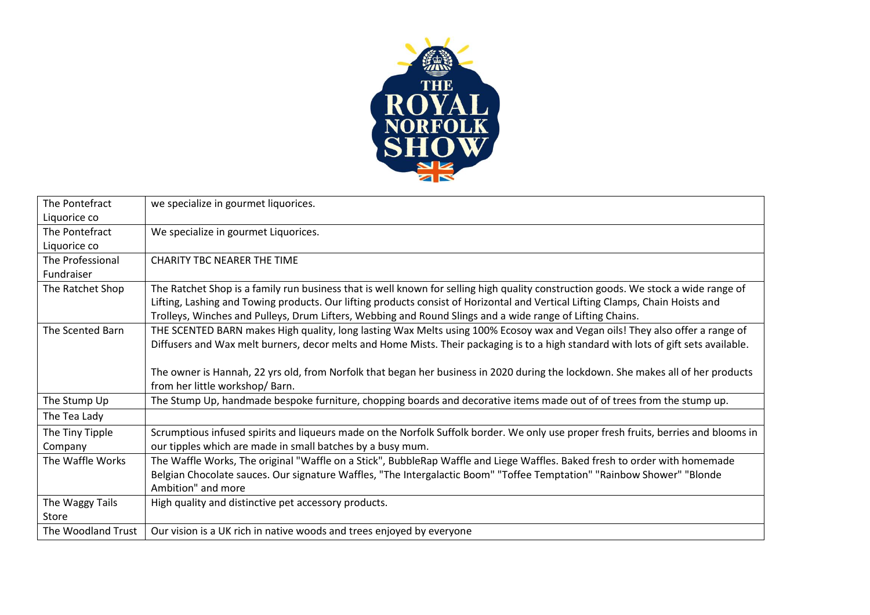

| The Pontefract     | we specialize in gourmet liquorices.                                                                                                                                |
|--------------------|---------------------------------------------------------------------------------------------------------------------------------------------------------------------|
| Liquorice co       |                                                                                                                                                                     |
| The Pontefract     | We specialize in gourmet Liquorices.                                                                                                                                |
| Liquorice co       |                                                                                                                                                                     |
| The Professional   | <b>CHARITY TBC NEARER THE TIME</b>                                                                                                                                  |
| Fundraiser         |                                                                                                                                                                     |
| The Ratchet Shop   | The Ratchet Shop is a family run business that is well known for selling high quality construction goods. We stock a wide range of                                  |
|                    | Lifting, Lashing and Towing products. Our lifting products consist of Horizontal and Vertical Lifting Clamps, Chain Hoists and                                      |
|                    | Trolleys, Winches and Pulleys, Drum Lifters, Webbing and Round Slings and a wide range of Lifting Chains.                                                           |
| The Scented Barn   | THE SCENTED BARN makes High quality, long lasting Wax Melts using 100% Ecosoy wax and Vegan oils! They also offer a range of                                        |
|                    | Diffusers and Wax melt burners, decor melts and Home Mists. Their packaging is to a high standard with lots of gift sets available.                                 |
|                    |                                                                                                                                                                     |
|                    | The owner is Hannah, 22 yrs old, from Norfolk that began her business in 2020 during the lockdown. She makes all of her products<br>from her little workshop/ Barn. |
| The Stump Up       | The Stump Up, handmade bespoke furniture, chopping boards and decorative items made out of of trees from the stump up.                                              |
| The Tea Lady       |                                                                                                                                                                     |
| The Tiny Tipple    | Scrumptious infused spirits and liqueurs made on the Norfolk Suffolk border. We only use proper fresh fruits, berries and blooms in                                 |
| Company            | our tipples which are made in small batches by a busy mum.                                                                                                          |
| The Waffle Works   | The Waffle Works, The original "Waffle on a Stick", BubbleRap Waffle and Liege Waffles. Baked fresh to order with homemade                                          |
|                    | Belgian Chocolate sauces. Our signature Waffles, "The Intergalactic Boom" "Toffee Temptation" "Rainbow Shower" "Blonde                                              |
|                    | Ambition" and more                                                                                                                                                  |
| The Waggy Tails    | High quality and distinctive pet accessory products.                                                                                                                |
| Store              |                                                                                                                                                                     |
| The Woodland Trust | Our vision is a UK rich in native woods and trees enjoyed by everyone                                                                                               |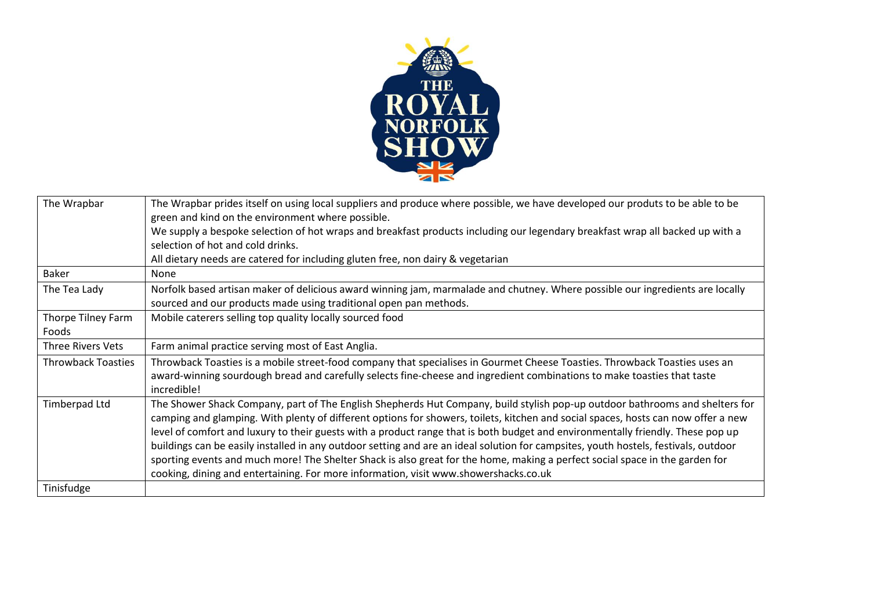

| The Wrapbar                 | The Wrapbar prides itself on using local suppliers and produce where possible, we have developed our produts to be able to be<br>green and kind on the environment where possible.                                                                                                                                                                                                                                                                                                                                                                                                                                                                                                                                                                                  |
|-----------------------------|---------------------------------------------------------------------------------------------------------------------------------------------------------------------------------------------------------------------------------------------------------------------------------------------------------------------------------------------------------------------------------------------------------------------------------------------------------------------------------------------------------------------------------------------------------------------------------------------------------------------------------------------------------------------------------------------------------------------------------------------------------------------|
|                             | We supply a bespoke selection of hot wraps and breakfast products including our legendary breakfast wrap all backed up with a<br>selection of hot and cold drinks.                                                                                                                                                                                                                                                                                                                                                                                                                                                                                                                                                                                                  |
|                             | All dietary needs are catered for including gluten free, non dairy & vegetarian                                                                                                                                                                                                                                                                                                                                                                                                                                                                                                                                                                                                                                                                                     |
| Baker                       | None                                                                                                                                                                                                                                                                                                                                                                                                                                                                                                                                                                                                                                                                                                                                                                |
| The Tea Lady                | Norfolk based artisan maker of delicious award winning jam, marmalade and chutney. Where possible our ingredients are locally<br>sourced and our products made using traditional open pan methods.                                                                                                                                                                                                                                                                                                                                                                                                                                                                                                                                                                  |
| Thorpe Tilney Farm<br>Foods | Mobile caterers selling top quality locally sourced food                                                                                                                                                                                                                                                                                                                                                                                                                                                                                                                                                                                                                                                                                                            |
| Three Rivers Vets           | Farm animal practice serving most of East Anglia.                                                                                                                                                                                                                                                                                                                                                                                                                                                                                                                                                                                                                                                                                                                   |
| <b>Throwback Toasties</b>   | Throwback Toasties is a mobile street-food company that specialises in Gourmet Cheese Toasties. Throwback Toasties uses an<br>award-winning sourdough bread and carefully selects fine-cheese and ingredient combinations to make toasties that taste<br>incredible!                                                                                                                                                                                                                                                                                                                                                                                                                                                                                                |
| <b>Timberpad Ltd</b>        | The Shower Shack Company, part of The English Shepherds Hut Company, build stylish pop-up outdoor bathrooms and shelters for<br>camping and glamping. With plenty of different options for showers, toilets, kitchen and social spaces, hosts can now offer a new<br>level of comfort and luxury to their guests with a product range that is both budget and environmentally friendly. These pop up<br>buildings can be easily installed in any outdoor setting and are an ideal solution for campsites, youth hostels, festivals, outdoor<br>sporting events and much more! The Shelter Shack is also great for the home, making a perfect social space in the garden for<br>cooking, dining and entertaining. For more information, visit www.showershacks.co.uk |
| Tinisfudge                  |                                                                                                                                                                                                                                                                                                                                                                                                                                                                                                                                                                                                                                                                                                                                                                     |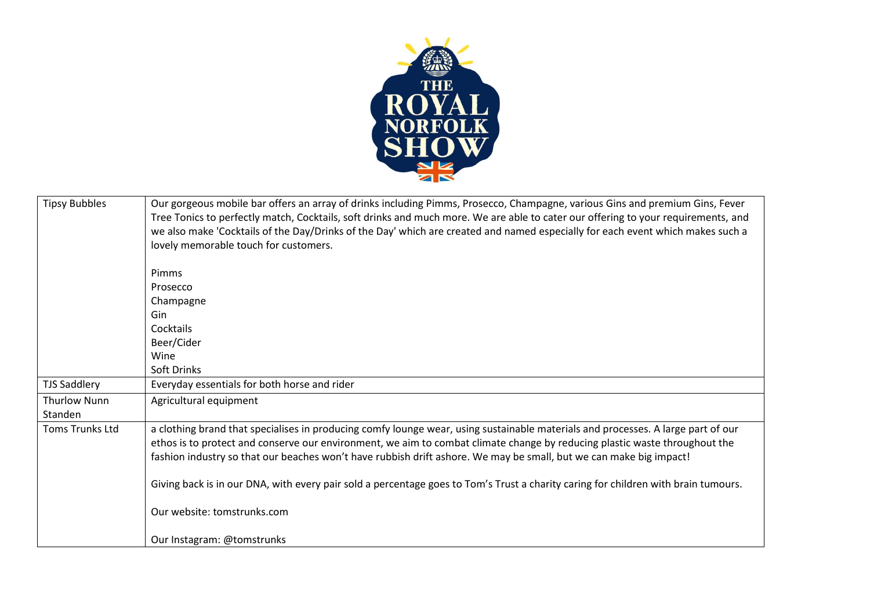

| <b>Tipsy Bubbles</b>   | Our gorgeous mobile bar offers an array of drinks including Pimms, Prosecco, Champagne, various Gins and premium Gins, Fever<br>Tree Tonics to perfectly match, Cocktails, soft drinks and much more. We are able to cater our offering to your requirements, and<br>we also make 'Cocktails of the Day/Drinks of the Day' which are created and named especially for each event which makes such a<br>lovely memorable touch for customers. |
|------------------------|----------------------------------------------------------------------------------------------------------------------------------------------------------------------------------------------------------------------------------------------------------------------------------------------------------------------------------------------------------------------------------------------------------------------------------------------|
|                        | Pimms                                                                                                                                                                                                                                                                                                                                                                                                                                        |
|                        | Prosecco                                                                                                                                                                                                                                                                                                                                                                                                                                     |
|                        | Champagne                                                                                                                                                                                                                                                                                                                                                                                                                                    |
|                        | Gin                                                                                                                                                                                                                                                                                                                                                                                                                                          |
|                        | Cocktails                                                                                                                                                                                                                                                                                                                                                                                                                                    |
|                        | Beer/Cider                                                                                                                                                                                                                                                                                                                                                                                                                                   |
|                        | Wine                                                                                                                                                                                                                                                                                                                                                                                                                                         |
|                        | Soft Drinks                                                                                                                                                                                                                                                                                                                                                                                                                                  |
| <b>TJS Saddlery</b>    | Everyday essentials for both horse and rider                                                                                                                                                                                                                                                                                                                                                                                                 |
| <b>Thurlow Nunn</b>    | Agricultural equipment                                                                                                                                                                                                                                                                                                                                                                                                                       |
| Standen                |                                                                                                                                                                                                                                                                                                                                                                                                                                              |
| <b>Toms Trunks Ltd</b> | a clothing brand that specialises in producing comfy lounge wear, using sustainable materials and processes. A large part of our<br>ethos is to protect and conserve our environment, we aim to combat climate change by reducing plastic waste throughout the<br>fashion industry so that our beaches won't have rubbish drift ashore. We may be small, but we can make big impact!                                                         |
|                        | Giving back is in our DNA, with every pair sold a percentage goes to Tom's Trust a charity caring for children with brain tumours.                                                                                                                                                                                                                                                                                                           |
|                        | Our website: tomstrunks.com                                                                                                                                                                                                                                                                                                                                                                                                                  |
|                        | Our Instagram: @tomstrunks                                                                                                                                                                                                                                                                                                                                                                                                                   |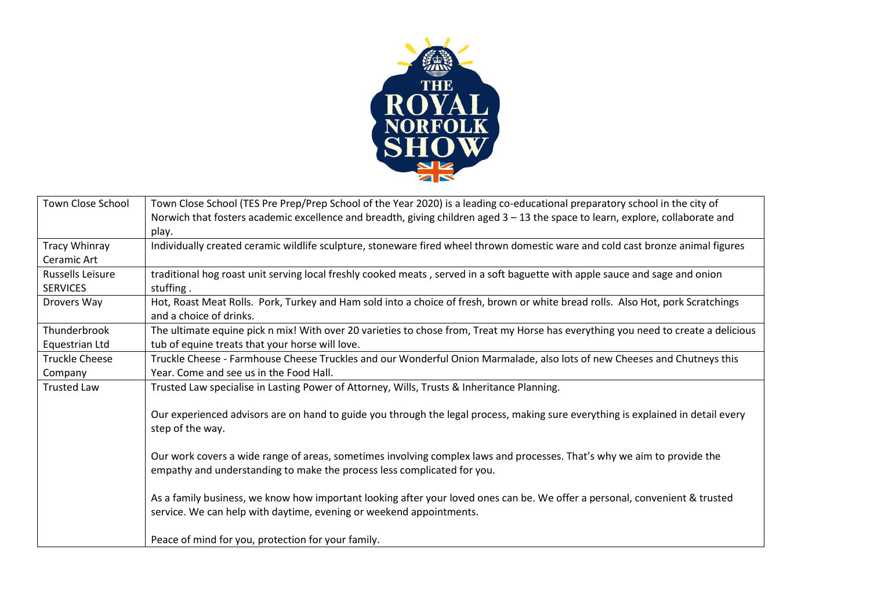

| Town Close School       | Town Close School (TES Pre Prep/Prep School of the Year 2020) is a leading co-educational preparatory school in the city of        |
|-------------------------|------------------------------------------------------------------------------------------------------------------------------------|
|                         | Norwich that fosters academic excellence and breadth, giving children aged 3 - 13 the space to learn, explore, collaborate and     |
|                         | play.                                                                                                                              |
| Tracy Whinray           | Individually created ceramic wildlife sculpture, stoneware fired wheel thrown domestic ware and cold cast bronze animal figures    |
| Ceramic Art             |                                                                                                                                    |
| <b>Russells Leisure</b> | traditional hog roast unit serving local freshly cooked meats, served in a soft baguette with apple sauce and sage and onion       |
| <b>SERVICES</b>         | stuffing.                                                                                                                          |
| Drovers Way             | Hot, Roast Meat Rolls. Pork, Turkey and Ham sold into a choice of fresh, brown or white bread rolls. Also Hot, pork Scratchings    |
|                         | and a choice of drinks.                                                                                                            |
| Thunderbrook            | The ultimate equine pick n mix! With over 20 varieties to chose from, Treat my Horse has everything you need to create a delicious |
| Equestrian Ltd          | tub of equine treats that your horse will love.                                                                                    |
| <b>Truckle Cheese</b>   | Truckle Cheese - Farmhouse Cheese Truckles and our Wonderful Onion Marmalade, also lots of new Cheeses and Chutneys this           |
| Company                 | Year, Come and see us in the Food Hall.                                                                                            |
| <b>Trusted Law</b>      | Trusted Law specialise in Lasting Power of Attorney, Wills, Trusts & Inheritance Planning.                                         |
|                         |                                                                                                                                    |
|                         | Our experienced advisors are on hand to guide you through the legal process, making sure everything is explained in detail every   |
|                         | step of the way.                                                                                                                   |
|                         |                                                                                                                                    |
|                         | Our work covers a wide range of areas, sometimes involving complex laws and processes. That's why we aim to provide the            |
|                         | empathy and understanding to make the process less complicated for you.                                                            |
|                         |                                                                                                                                    |
|                         | As a family business, we know how important looking after your loved ones can be. We offer a personal, convenient & trusted        |
|                         | service. We can help with daytime, evening or weekend appointments.                                                                |
|                         |                                                                                                                                    |
|                         | Peace of mind for you, protection for your family.                                                                                 |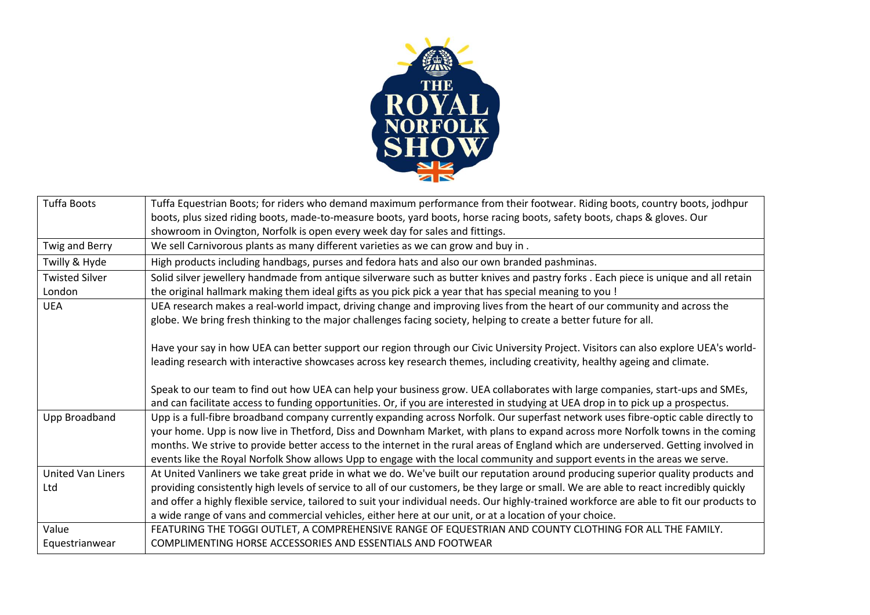

| <b>Tuffa Boots</b>    | Tuffa Equestrian Boots; for riders who demand maximum performance from their footwear. Riding boots, country boots, jodhpur               |
|-----------------------|-------------------------------------------------------------------------------------------------------------------------------------------|
|                       | boots, plus sized riding boots, made-to-measure boots, yard boots, horse racing boots, safety boots, chaps & gloves. Our                  |
|                       | showroom in Ovington, Norfolk is open every week day for sales and fittings.                                                              |
| Twig and Berry        | We sell Carnivorous plants as many different varieties as we can grow and buy in.                                                         |
| Twilly & Hyde         | High products including handbags, purses and fedora hats and also our own branded pashminas.                                              |
| <b>Twisted Silver</b> | Solid silver jewellery handmade from antique silverware such as butter knives and pastry forks. Each piece is unique and all retain       |
| London                | the original hallmark making them ideal gifts as you pick pick a year that has special meaning to you !                                   |
| <b>UEA</b>            | UEA research makes a real-world impact, driving change and improving lives from the heart of our community and across the                 |
|                       | globe. We bring fresh thinking to the major challenges facing society, helping to create a better future for all.                         |
|                       |                                                                                                                                           |
|                       | Have your say in how UEA can better support our region through our Civic University Project. Visitors can also explore UEA's world-       |
|                       | leading research with interactive showcases across key research themes, including creativity, healthy ageing and climate.                 |
|                       |                                                                                                                                           |
|                       | Speak to our team to find out how UEA can help your business grow. UEA collaborates with large companies, start-ups and SMEs,             |
|                       | and can facilitate access to funding opportunities. Or, if you are interested in studying at UEA drop in to pick up a prospectus.         |
| Upp Broadband         | Upp is a full-fibre broadband company currently expanding across Norfolk. Our superfast network uses fibre-optic cable directly to        |
|                       | your home. Upp is now live in Thetford, Diss and Downham Market, with plans to expand across more Norfolk towns in the coming             |
|                       | months. We strive to provide better access to the internet in the rural areas of England which are underserved. Getting involved in       |
|                       | events like the Royal Norfolk Show allows Upp to engage with the local community and support events in the areas we serve.                |
| United Van Liners     | At United Vanliners we take great pride in what we do. We've built our reputation around producing superior quality products and          |
| Ltd                   | providing consistently high levels of service to all of our customers, be they large or small. We are able to react incredibly quickly    |
|                       | and offer a highly flexible service, tailored to suit your individual needs. Our highly-trained workforce are able to fit our products to |
|                       | a wide range of vans and commercial vehicles, either here at our unit, or at a location of your choice.                                   |
| Value                 | FEATURING THE TOGGI OUTLET, A COMPREHENSIVE RANGE OF EQUESTRIAN AND COUNTY CLOTHING FOR ALL THE FAMILY.                                   |
| Equestrianwear        | COMPLIMENTING HORSE ACCESSORIES AND ESSENTIALS AND FOOTWEAR                                                                               |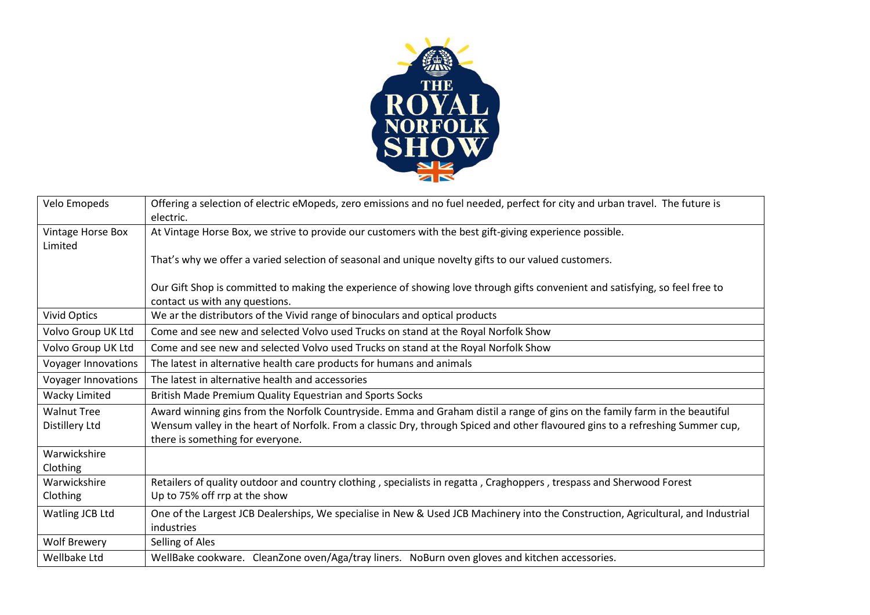

| Velo Emopeds                 | Offering a selection of electric eMopeds, zero emissions and no fuel needed, perfect for city and urban travel. The future is                                      |
|------------------------------|--------------------------------------------------------------------------------------------------------------------------------------------------------------------|
|                              | electric.                                                                                                                                                          |
| Vintage Horse Box<br>Limited | At Vintage Horse Box, we strive to provide our customers with the best gift-giving experience possible.                                                            |
|                              | That's why we offer a varied selection of seasonal and unique novelty gifts to our valued customers.                                                               |
|                              | Our Gift Shop is committed to making the experience of showing love through gifts convenient and satisfying, so feel free to<br>contact us with any questions.     |
| <b>Vivid Optics</b>          | We ar the distributors of the Vivid range of binoculars and optical products                                                                                       |
| Volvo Group UK Ltd           | Come and see new and selected Volvo used Trucks on stand at the Royal Norfolk Show                                                                                 |
| Volvo Group UK Ltd           | Come and see new and selected Volvo used Trucks on stand at the Royal Norfolk Show                                                                                 |
| Voyager Innovations          | The latest in alternative health care products for humans and animals                                                                                              |
| Voyager Innovations          | The latest in alternative health and accessories                                                                                                                   |
| <b>Wacky Limited</b>         | British Made Premium Quality Equestrian and Sports Socks                                                                                                           |
| <b>Walnut Tree</b>           | Award winning gins from the Norfolk Countryside. Emma and Graham distil a range of gins on the family farm in the beautiful                                        |
| Distillery Ltd               | Wensum valley in the heart of Norfolk. From a classic Dry, through Spiced and other flavoured gins to a refreshing Summer cup,<br>there is something for everyone. |
| Warwickshire                 |                                                                                                                                                                    |
| Clothing                     |                                                                                                                                                                    |
| Warwickshire                 | Retailers of quality outdoor and country clothing, specialists in regatta, Craghoppers, trespass and Sherwood Forest                                               |
| Clothing                     | Up to 75% off rrp at the show                                                                                                                                      |
| Watling JCB Ltd              | One of the Largest JCB Dealerships, We specialise in New & Used JCB Machinery into the Construction, Agricultural, and Industrial                                  |
|                              | industries                                                                                                                                                         |
| <b>Wolf Brewery</b>          | Selling of Ales                                                                                                                                                    |
| Wellbake Ltd                 | WellBake cookware. CleanZone oven/Aga/tray liners. NoBurn oven gloves and kitchen accessories.                                                                     |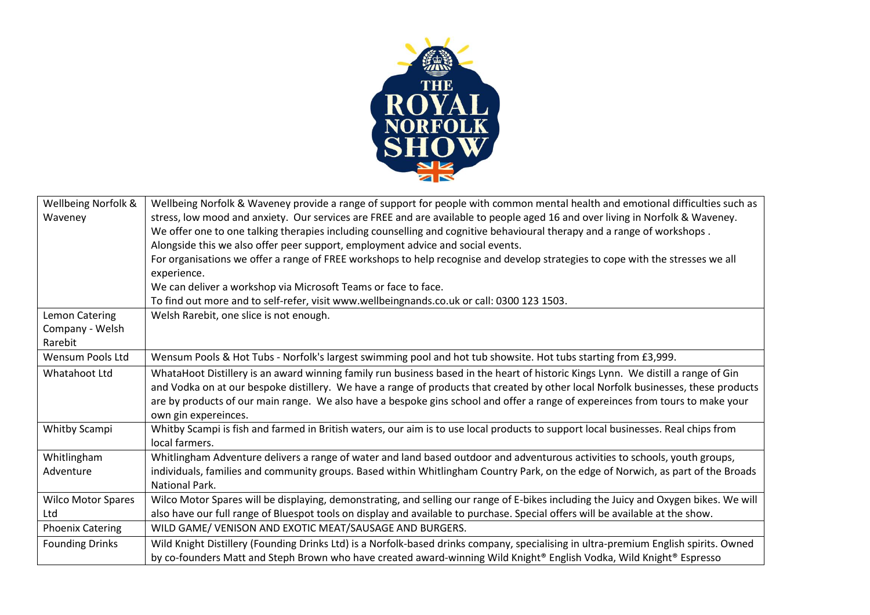

| Wellbeing Norfolk &       | Wellbeing Norfolk & Waveney provide a range of support for people with common mental health and emotional difficulties such as       |
|---------------------------|--------------------------------------------------------------------------------------------------------------------------------------|
| Waveney                   | stress, low mood and anxiety. Our services are FREE and are available to people aged 16 and over living in Norfolk & Waveney.        |
|                           | We offer one to one talking therapies including counselling and cognitive behavioural therapy and a range of workshops.              |
|                           | Alongside this we also offer peer support, employment advice and social events.                                                      |
|                           | For organisations we offer a range of FREE workshops to help recognise and develop strategies to cope with the stresses we all       |
|                           | experience.                                                                                                                          |
|                           | We can deliver a workshop via Microsoft Teams or face to face.                                                                       |
|                           | To find out more and to self-refer, visit www.wellbeingnands.co.uk or call: 0300 123 1503.                                           |
| Lemon Catering            | Welsh Rarebit, one slice is not enough.                                                                                              |
| Company - Welsh           |                                                                                                                                      |
| Rarebit                   |                                                                                                                                      |
| <b>Wensum Pools Ltd</b>   | Wensum Pools & Hot Tubs - Norfolk's largest swimming pool and hot tub showsite. Hot tubs starting from £3,999.                       |
| Whatahoot Ltd             | WhataHoot Distillery is an award winning family run business based in the heart of historic Kings Lynn. We distill a range of Gin    |
|                           | and Vodka on at our bespoke distillery. We have a range of products that created by other local Norfolk businesses, these products   |
|                           | are by products of our main range. We also have a bespoke gins school and offer a range of expereinces from tours to make your       |
|                           | own gin expereinces.                                                                                                                 |
| Whitby Scampi             | Whitby Scampi is fish and farmed in British waters, our aim is to use local products to support local businesses. Real chips from    |
|                           | local farmers.                                                                                                                       |
| Whitlingham               | Whitlingham Adventure delivers a range of water and land based outdoor and adventurous activities to schools, youth groups,          |
| Adventure                 | individuals, families and community groups. Based within Whitlingham Country Park, on the edge of Norwich, as part of the Broads     |
|                           | <b>National Park.</b>                                                                                                                |
| <b>Wilco Motor Spares</b> | Wilco Motor Spares will be displaying, demonstrating, and selling our range of E-bikes including the Juicy and Oxygen bikes. We will |
| Ltd                       | also have our full range of Bluespot tools on display and available to purchase. Special offers will be available at the show.       |
| <b>Phoenix Catering</b>   | WILD GAME/ VENISON AND EXOTIC MEAT/SAUSAGE AND BURGERS.                                                                              |
| <b>Founding Drinks</b>    | Wild Knight Distillery (Founding Drinks Ltd) is a Norfolk-based drinks company, specialising in ultra-premium English spirits. Owned |
|                           | by co-founders Matt and Steph Brown who have created award-winning Wild Knight® English Vodka, Wild Knight® Espresso                 |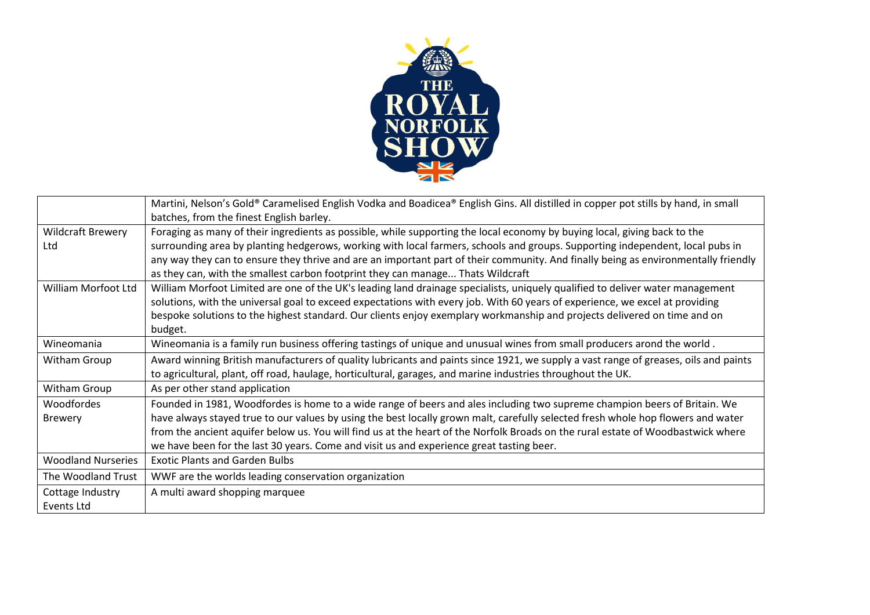

|                           | Martini, Nelson's Gold® Caramelised English Vodka and Boadicea® English Gins. All distilled in copper pot stills by hand, in small  |
|---------------------------|-------------------------------------------------------------------------------------------------------------------------------------|
|                           | batches, from the finest English barley.                                                                                            |
| <b>Wildcraft Brewery</b>  | Foraging as many of their ingredients as possible, while supporting the local economy by buying local, giving back to the           |
| Ltd                       | surrounding area by planting hedgerows, working with local farmers, schools and groups. Supporting independent, local pubs in       |
|                           | any way they can to ensure they thrive and are an important part of their community. And finally being as environmentally friendly  |
|                           | as they can, with the smallest carbon footprint they can manage Thats Wildcraft                                                     |
| William Morfoot Ltd       | William Morfoot Limited are one of the UK's leading land drainage specialists, uniquely qualified to deliver water management       |
|                           | solutions, with the universal goal to exceed expectations with every job. With 60 years of experience, we excel at providing        |
|                           | bespoke solutions to the highest standard. Our clients enjoy exemplary workmanship and projects delivered on time and on            |
|                           | budget.                                                                                                                             |
| Wineomania                | Wineomania is a family run business offering tastings of unique and unusual wines from small producers arond the world.             |
| Witham Group              | Award winning British manufacturers of quality lubricants and paints since 1921, we supply a vast range of greases, oils and paints |
|                           | to agricultural, plant, off road, haulage, horticultural, garages, and marine industries throughout the UK.                         |
| Witham Group              | As per other stand application                                                                                                      |
| Woodfordes                | Founded in 1981, Woodfordes is home to a wide range of beers and ales including two supreme champion beers of Britain. We           |
| <b>Brewery</b>            | have always stayed true to our values by using the best locally grown malt, carefully selected fresh whole hop flowers and water    |
|                           | from the ancient aquifer below us. You will find us at the heart of the Norfolk Broads on the rural estate of Woodbastwick where    |
|                           | we have been for the last 30 years. Come and visit us and experience great tasting beer.                                            |
| <b>Woodland Nurseries</b> | <b>Exotic Plants and Garden Bulbs</b>                                                                                               |
| The Woodland Trust        | WWF are the worlds leading conservation organization                                                                                |
| Cottage Industry          | A multi award shopping marquee                                                                                                      |
| Events Ltd                |                                                                                                                                     |